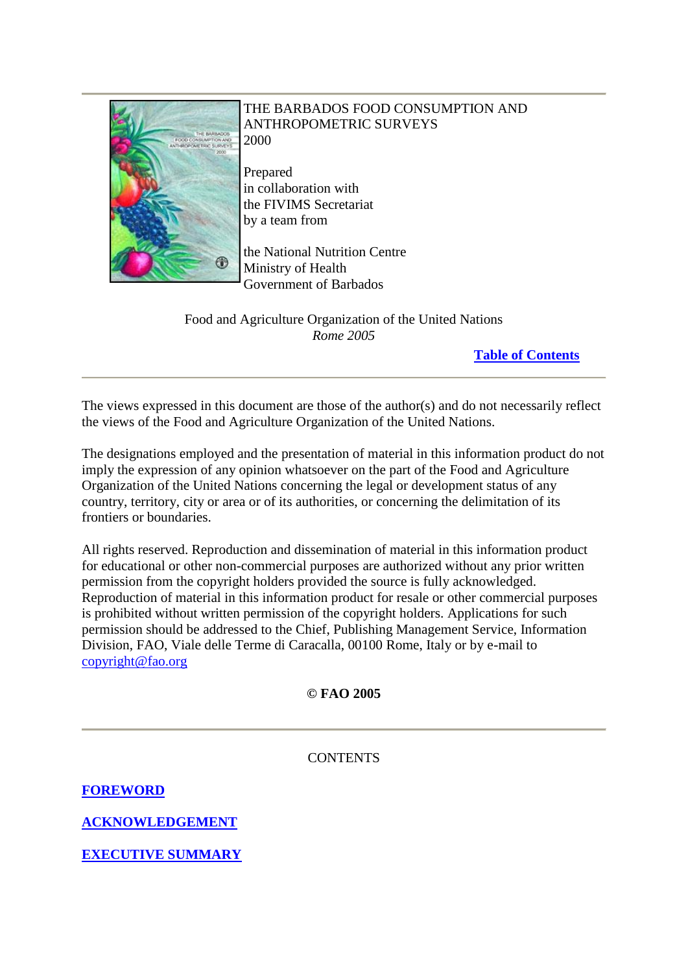

### THE BARBADOS FOOD CONSUMPTION AND ANTHROPOMETRIC SURVEYS 2000

**Prepared** in collaboration with the FIVIMS Secretariat by a team from

the National Nutrition Centre Ministry of Health Government of Barbados

Food and Agriculture Organization of the United Nations *Rome 2005*

**[Table of Contents](http://www.fao.org/docrep/008/y5883e/y5883e00.htm#Contents)**

The views expressed in this document are those of the author(s) and do not necessarily reflect the views of the Food and Agriculture Organization of the United Nations.

The designations employed and the presentation of material in this information product do not imply the expression of any opinion whatsoever on the part of the Food and Agriculture Organization of the United Nations concerning the legal or development status of any country, territory, city or area or of its authorities, or concerning the delimitation of its frontiers or boundaries.

All rights reserved. Reproduction and dissemination of material in this information product for educational or other non-commercial purposes are authorized without any prior written permission from the copyright holders provided the source is fully acknowledged. Reproduction of material in this information product for resale or other commercial purposes is prohibited without written permission of the copyright holders. Applications for such permission should be addressed to the Chief, Publishing Management Service, Information Division, FAO, Viale delle Terme di Caracalla, 00100 Rome, Italy or by e-mail to [copyright@fao.org](mailto:copyright@fao.org)

**© FAO 2005**

**CONTENTS** 

**[FOREWORD](http://www.fao.org/docrep/008/y5883e/y5883e01.htm#bm01)**

**[ACKNOWLEDGEMENT](http://www.fao.org/docrep/008/y5883e/y5883e02.htm#bm02)**

**[EXECUTIVE SUMMARY](http://www.fao.org/docrep/008/y5883e/y5883e03.htm#bm03)**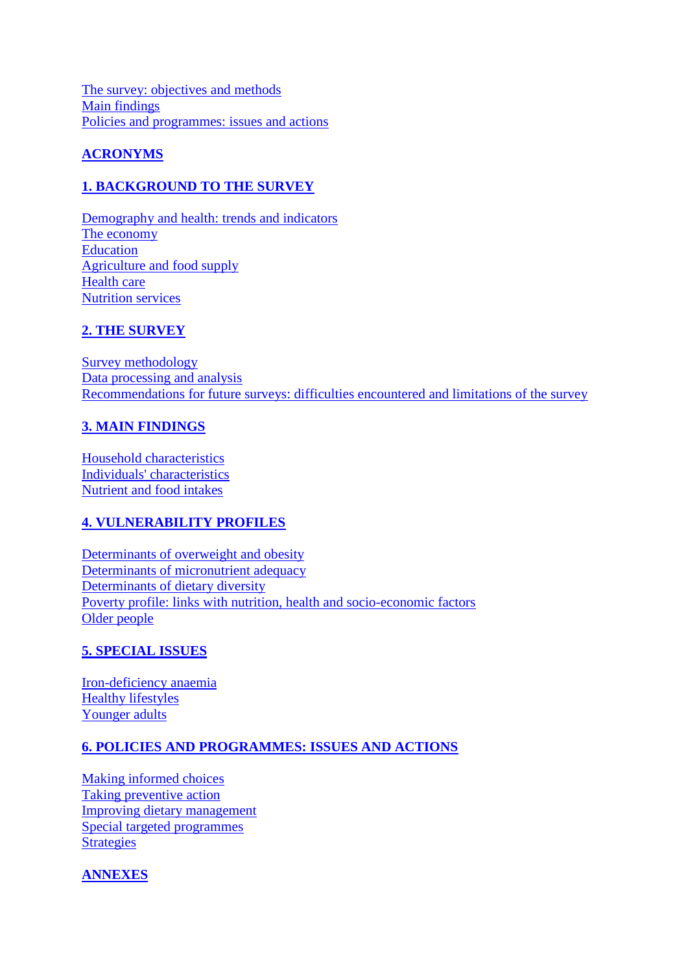[The survey: objectives and methods](http://www.fao.org/docrep/008/y5883e/y5883e03.htm#bm03.1) [Main findings](http://www.fao.org/docrep/008/y5883e/y5883e03.htm#bm03.2) [Policies and programmes: issues and actions](http://www.fao.org/docrep/008/y5883e/y5883e03.htm#bm03.3)

### **[ACRONYMS](http://www.fao.org/docrep/008/y5883e/y5883e04.htm#bm04)**

## **[1. BACKGROUND TO THE SURVEY](http://www.fao.org/docrep/008/y5883e/y5883e05.htm#bm05)**

[Demography and health: trends and indicators](http://www.fao.org/docrep/008/y5883e/y5883e05.htm#bm05.1) [The economy](http://www.fao.org/docrep/008/y5883e/y5883e05.htm#bm05.2) [Education](http://www.fao.org/docrep/008/y5883e/y5883e05.htm#bm05.3) [Agriculture and food supply](http://www.fao.org/docrep/008/y5883e/y5883e05.htm#bm05.4) [Health care](http://www.fao.org/docrep/008/y5883e/y5883e05.htm#bm05.5) [Nutrition services](http://www.fao.org/docrep/008/y5883e/y5883e05.htm#bm05.6)

## **[2. THE SURVEY](http://www.fao.org/docrep/008/y5883e/y5883e06.htm#bm06)**

[Survey methodology](http://www.fao.org/docrep/008/y5883e/y5883e06.htm#bm06.1) [Data processing and analysis](http://www.fao.org/docrep/008/y5883e/y5883e06.htm#bm06.2) [Recommendations for future surveys: difficulties encountered and limitations of the survey](http://www.fao.org/docrep/008/y5883e/y5883e06.htm#bm06.3)

### **[3. MAIN FINDINGS](http://www.fao.org/docrep/008/y5883e/y5883e07.htm#bm07)**

[Household characteristics](http://www.fao.org/docrep/008/y5883e/y5883e07.htm#bm07.1) [Individuals' characteristics](http://www.fao.org/docrep/008/y5883e/y5883e07.htm#bm07.2) [Nutrient and food intakes](http://www.fao.org/docrep/008/y5883e/y5883e07.htm#bm07.3)

### **[4. VULNERABILITY PROFILES](http://www.fao.org/docrep/008/y5883e/y5883e08.htm#bm08)**

[Determinants of overweight and obesity](http://www.fao.org/docrep/008/y5883e/y5883e08.htm#bm08.1) [Determinants of micronutrient adequacy](http://www.fao.org/docrep/008/y5883e/y5883e08.htm#bm08.2) [Determinants of dietary diversity](http://www.fao.org/docrep/008/y5883e/y5883e08.htm#bm08.3) [Poverty profile: links with nutrition, health and socio-economic factors](http://www.fao.org/docrep/008/y5883e/y5883e08.htm#bm08.4) [Older people](http://www.fao.org/docrep/008/y5883e/y5883e08.htm#bm08.5)

## **[5. SPECIAL ISSUES](http://www.fao.org/docrep/008/y5883e/y5883e09.htm#bm9)**

[Iron-deficiency anaemia](http://www.fao.org/docrep/008/y5883e/y5883e09.htm#bm09.1) [Healthy lifestyles](http://www.fao.org/docrep/008/y5883e/y5883e09.htm#bm09.2) [Younger adults](http://www.fao.org/docrep/008/y5883e/y5883e09.htm#bm09.3)

### **[6. POLICIES AND PROGRAMMES: ISSUES AND ACTIONS](http://www.fao.org/docrep/008/y5883e/y5883e0a.htm#bm10)**

[Making informed choices](http://www.fao.org/docrep/008/y5883e/y5883e0a.htm#bm10.1) [Taking preventive action](http://www.fao.org/docrep/008/y5883e/y5883e0a.htm#bm10.2) [Improving dietary management](http://www.fao.org/docrep/008/y5883e/y5883e0a.htm#bm10.3) [Special targeted programmes](http://www.fao.org/docrep/008/y5883e/y5883e0a.htm#bm10.4) **[Strategies](http://www.fao.org/docrep/008/y5883e/y5883e0a.htm#bm10.5)** 

**[ANNEXES](http://www.fao.org/docrep/008/y5883e/y5883e0b.htm#bm11)**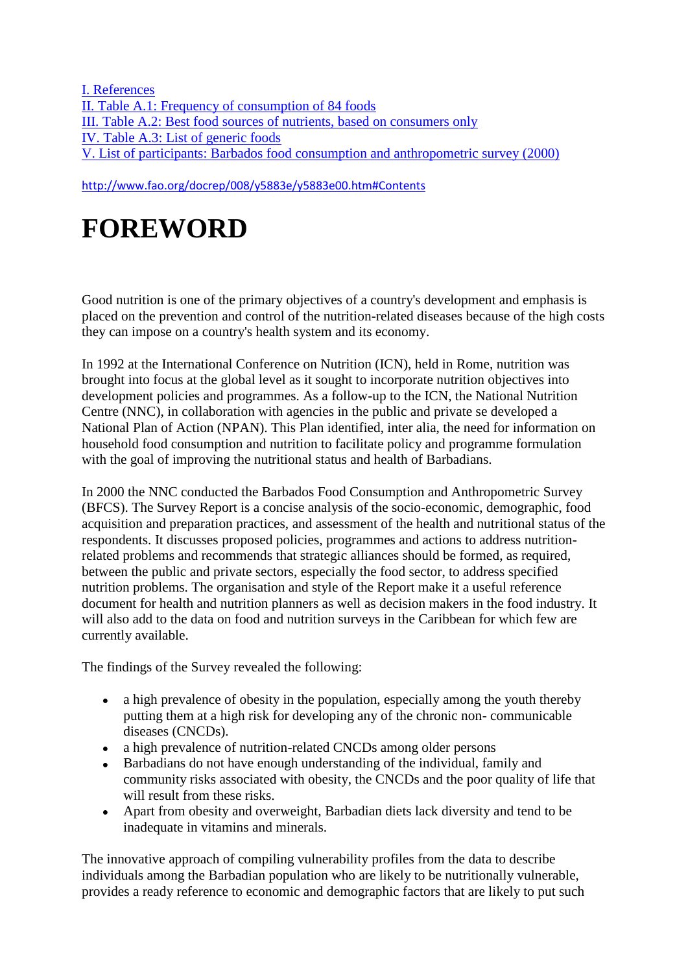[I. References](http://www.fao.org/docrep/008/y5883e/y5883e0b.htm#bm11.1) [II. Table A.1: Frequency of consumption of 84 foods](http://www.fao.org/docrep/008/y5883e/y5883e0b.htm#bm11.2) [III. Table A.2: Best food sources of nutrients, based on consumers only](http://www.fao.org/docrep/008/y5883e/y5883e0b.htm#bm11.3) [IV. Table A.3: List of generic foods](http://www.fao.org/docrep/008/y5883e/y5883e0b.htm#bm11.4) [V. List of participants: Barbados food consumption and anthropometric survey \(2000\)](http://www.fao.org/docrep/008/y5883e/y5883e0b.htm#bm11.5)

<http://www.fao.org/docrep/008/y5883e/y5883e00.htm#Contents>

# **FOREWORD**

Good nutrition is one of the primary objectives of a country's development and emphasis is placed on the prevention and control of the nutrition-related diseases because of the high costs they can impose on a country's health system and its economy.

In 1992 at the International Conference on Nutrition (ICN), held in Rome, nutrition was brought into focus at the global level as it sought to incorporate nutrition objectives into development policies and programmes. As a follow-up to the ICN, the National Nutrition Centre (NNC), in collaboration with agencies in the public and private se developed a National Plan of Action (NPAN). This Plan identified, inter alia, the need for information on household food consumption and nutrition to facilitate policy and programme formulation with the goal of improving the nutritional status and health of Barbadians.

In 2000 the NNC conducted the Barbados Food Consumption and Anthropometric Survey (BFCS). The Survey Report is a concise analysis of the socio-economic, demographic, food acquisition and preparation practices, and assessment of the health and nutritional status of the respondents. It discusses proposed policies, programmes and actions to address nutritionrelated problems and recommends that strategic alliances should be formed, as required, between the public and private sectors, especially the food sector, to address specified nutrition problems. The organisation and style of the Report make it a useful reference document for health and nutrition planners as well as decision makers in the food industry. It will also add to the data on food and nutrition surveys in the Caribbean for which few are currently available.

The findings of the Survey revealed the following:

- a high prevalence of obesity in the population, especially among the youth thereby putting them at a high risk for developing any of the chronic non- communicable diseases (CNCDs).
- a high prevalence of nutrition-related CNCDs among older persons
- Barbadians do not have enough understanding of the individual, family and community risks associated with obesity, the CNCDs and the poor quality of life that will result from these risks.
- Apart from obesity and overweight, Barbadian diets lack diversity and tend to be inadequate in vitamins and minerals.

The innovative approach of compiling vulnerability profiles from the data to describe individuals among the Barbadian population who are likely to be nutritionally vulnerable, provides a ready reference to economic and demographic factors that are likely to put such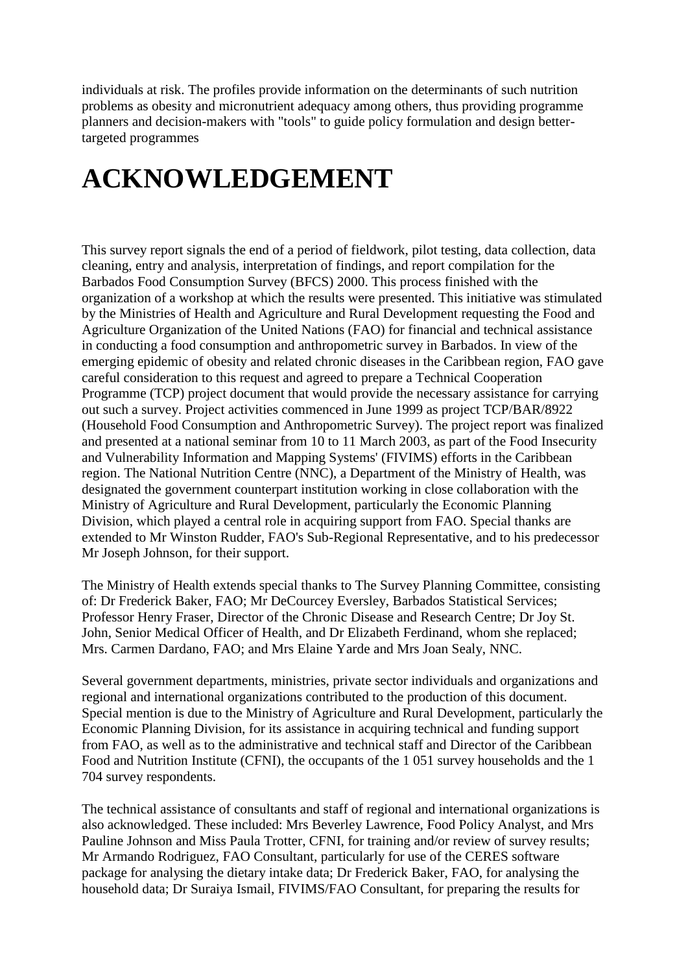individuals at risk. The profiles provide information on the determinants of such nutrition problems as obesity and micronutrient adequacy among others, thus providing programme planners and decision-makers with "tools" to guide policy formulation and design bettertargeted programmes

# **ACKNOWLEDGEMENT**

This survey report signals the end of a period of fieldwork, pilot testing, data collection, data cleaning, entry and analysis, interpretation of findings, and report compilation for the Barbados Food Consumption Survey (BFCS) 2000. This process finished with the organization of a workshop at which the results were presented. This initiative was stimulated by the Ministries of Health and Agriculture and Rural Development requesting the Food and Agriculture Organization of the United Nations (FAO) for financial and technical assistance in conducting a food consumption and anthropometric survey in Barbados. In view of the emerging epidemic of obesity and related chronic diseases in the Caribbean region, FAO gave careful consideration to this request and agreed to prepare a Technical Cooperation Programme (TCP) project document that would provide the necessary assistance for carrying out such a survey. Project activities commenced in June 1999 as project TCP/BAR/8922 (Household Food Consumption and Anthropometric Survey). The project report was finalized and presented at a national seminar from 10 to 11 March 2003, as part of the Food Insecurity and Vulnerability Information and Mapping Systems' (FIVIMS) efforts in the Caribbean region. The National Nutrition Centre (NNC), a Department of the Ministry of Health, was designated the government counterpart institution working in close collaboration with the Ministry of Agriculture and Rural Development, particularly the Economic Planning Division, which played a central role in acquiring support from FAO. Special thanks are extended to Mr Winston Rudder, FAO's Sub-Regional Representative, and to his predecessor Mr Joseph Johnson, for their support.

The Ministry of Health extends special thanks to The Survey Planning Committee, consisting of: Dr Frederick Baker, FAO; Mr DeCourcey Eversley, Barbados Statistical Services; Professor Henry Fraser, Director of the Chronic Disease and Research Centre; Dr Joy St. John, Senior Medical Officer of Health, and Dr Elizabeth Ferdinand, whom she replaced; Mrs. Carmen Dardano, FAO; and Mrs Elaine Yarde and Mrs Joan Sealy, NNC.

Several government departments, ministries, private sector individuals and organizations and regional and international organizations contributed to the production of this document. Special mention is due to the Ministry of Agriculture and Rural Development, particularly the Economic Planning Division, for its assistance in acquiring technical and funding support from FAO, as well as to the administrative and technical staff and Director of the Caribbean Food and Nutrition Institute (CFNI), the occupants of the 1 051 survey households and the 1 704 survey respondents.

The technical assistance of consultants and staff of regional and international organizations is also acknowledged. These included: Mrs Beverley Lawrence, Food Policy Analyst, and Mrs Pauline Johnson and Miss Paula Trotter, CFNI, for training and/or review of survey results; Mr Armando Rodriguez, FAO Consultant, particularly for use of the CERES software package for analysing the dietary intake data; Dr Frederick Baker, FAO, for analysing the household data; Dr Suraiya Ismail, FIVIMS/FAO Consultant, for preparing the results for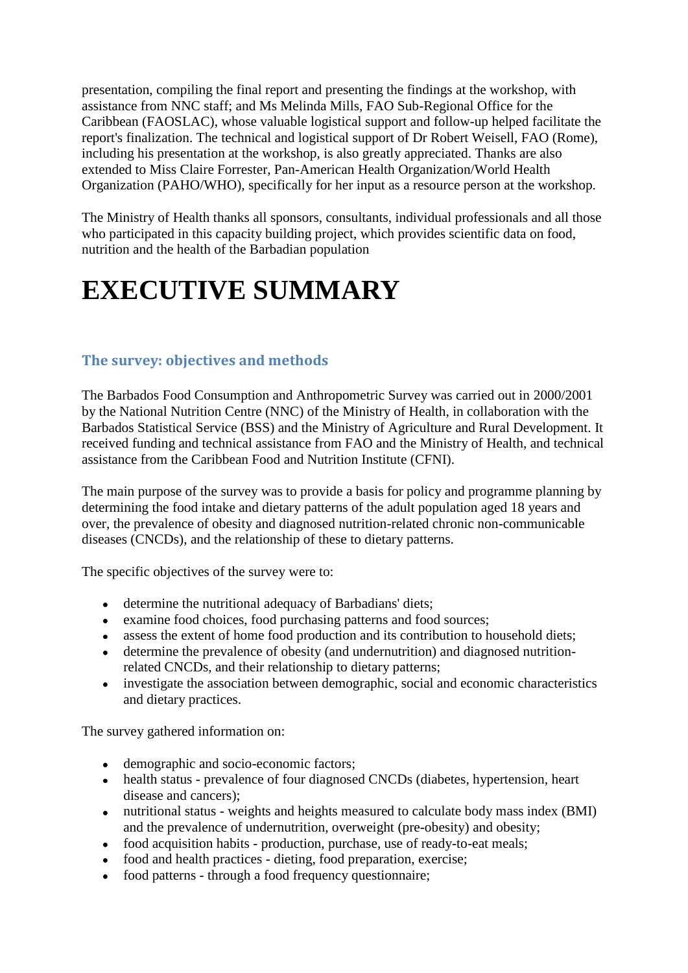presentation, compiling the final report and presenting the findings at the workshop, with assistance from NNC staff; and Ms Melinda Mills, FAO Sub-Regional Office for the Caribbean (FAOSLAC), whose valuable logistical support and follow-up helped facilitate the report's finalization. The technical and logistical support of Dr Robert Weisell, FAO (Rome), including his presentation at the workshop, is also greatly appreciated. Thanks are also extended to Miss Claire Forrester, Pan-American Health Organization/World Health Organization (PAHO/WHO), specifically for her input as a resource person at the workshop.

The Ministry of Health thanks all sponsors, consultants, individual professionals and all those who participated in this capacity building project, which provides scientific data on food, nutrition and the health of the Barbadian population

## **EXECUTIVE SUMMARY**

## **The survey: objectives and methods**

The Barbados Food Consumption and Anthropometric Survey was carried out in 2000/2001 by the National Nutrition Centre (NNC) of the Ministry of Health, in collaboration with the Barbados Statistical Service (BSS) and the Ministry of Agriculture and Rural Development. It received funding and technical assistance from FAO and the Ministry of Health, and technical assistance from the Caribbean Food and Nutrition Institute (CFNI).

The main purpose of the survey was to provide a basis for policy and programme planning by determining the food intake and dietary patterns of the adult population aged 18 years and over, the prevalence of obesity and diagnosed nutrition-related chronic non-communicable diseases (CNCDs), and the relationship of these to dietary patterns.

The specific objectives of the survey were to:

- determine the nutritional adequacy of Barbadians' diets;
- examine food choices, food purchasing patterns and food sources;
- assess the extent of home food production and its contribution to household diets;
- determine the prevalence of obesity (and undernutrition) and diagnosed nutritionrelated CNCDs, and their relationship to dietary patterns;
- investigate the association between demographic, social and economic characteristics and dietary practices.

The survey gathered information on:

- demographic and socio-economic factors;
- health status prevalence of four diagnosed CNCDs (diabetes, hypertension, heart disease and cancers);
- nutritional status weights and heights measured to calculate body mass index (BMI) and the prevalence of undernutrition, overweight (pre-obesity) and obesity;
- food acquisition habits production, purchase, use of ready-to-eat meals;
- food and health practices dieting, food preparation, exercise;
- food patterns through a food frequency questionnaire;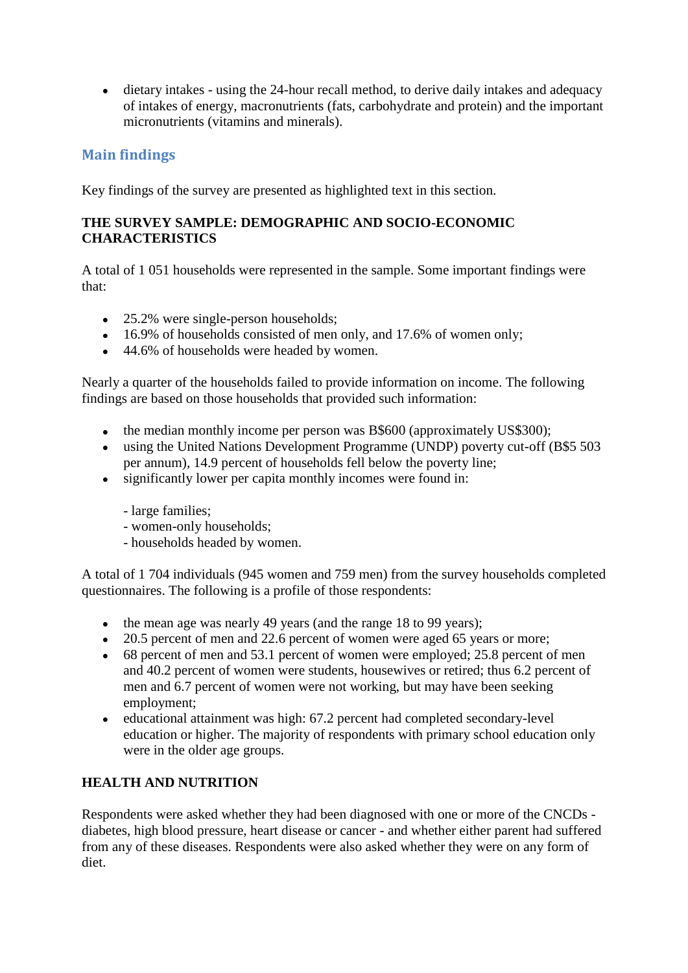dietary intakes - using the 24-hour recall method, to derive daily intakes and adequacy of intakes of energy, macronutrients (fats, carbohydrate and protein) and the important micronutrients (vitamins and minerals).

## **Main findings**

Key findings of the survey are presented as highlighted text in this section.

### **THE SURVEY SAMPLE: DEMOGRAPHIC AND SOCIO-ECONOMIC CHARACTERISTICS**

A total of 1 051 households were represented in the sample. Some important findings were that:

- 25.2% were single-person households;
- 16.9% of households consisted of men only, and 17.6% of women only;
- 44.6% of households were headed by women.

Nearly a quarter of the households failed to provide information on income. The following findings are based on those households that provided such information:

- the median monthly income per person was B\$600 (approximately US\$300);
- using the United Nations Development Programme (UNDP) poverty cut-off (B\$5 503 per annum), 14.9 percent of households fell below the poverty line;
- significantly lower per capita monthly incomes were found in:

### - large families;

- women-only households;
- households headed by women.

A total of 1 704 individuals (945 women and 759 men) from the survey households completed questionnaires. The following is a profile of those respondents:

- the mean age was nearly 49 years (and the range 18 to 99 years);
- 20.5 percent of men and 22.6 percent of women were aged 65 years or more;
- $\bullet$  68 percent of men and 53.1 percent of women were employed; 25.8 percent of men and 40.2 percent of women were students, housewives or retired; thus 6.2 percent of men and 6.7 percent of women were not working, but may have been seeking employment;
- educational attainment was high: 67.2 percent had completed secondary-level  $\bullet$ education or higher. The majority of respondents with primary school education only were in the older age groups.

### **HEALTH AND NUTRITION**

Respondents were asked whether they had been diagnosed with one or more of the CNCDs diabetes, high blood pressure, heart disease or cancer - and whether either parent had suffered from any of these diseases. Respondents were also asked whether they were on any form of diet.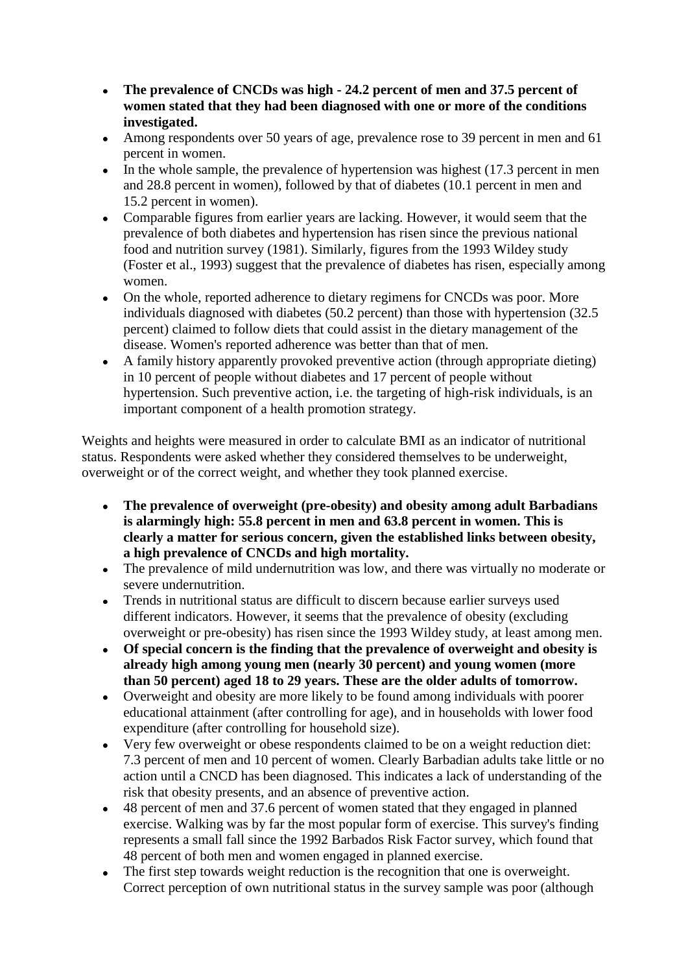- **The prevalence of CNCDs was high - 24.2 percent of men and 37.5 percent of women stated that they had been diagnosed with one or more of the conditions investigated.**
- Among respondents over 50 years of age, prevalence rose to 39 percent in men and 61 percent in women.
- In the whole sample, the prevalence of hypertension was highest (17.3 percent in men and 28.8 percent in women), followed by that of diabetes (10.1 percent in men and 15.2 percent in women).
- Comparable figures from earlier years are lacking. However, it would seem that the  $\bullet$ prevalence of both diabetes and hypertension has risen since the previous national food and nutrition survey (1981). Similarly, figures from the 1993 Wildey study (Foster et al., 1993) suggest that the prevalence of diabetes has risen, especially among women.
- On the whole, reported adherence to dietary regimens for CNCDs was poor. More individuals diagnosed with diabetes (50.2 percent) than those with hypertension (32.5 percent) claimed to follow diets that could assist in the dietary management of the disease. Women's reported adherence was better than that of men.
- A family history apparently provoked preventive action (through appropriate dieting) in 10 percent of people without diabetes and 17 percent of people without hypertension. Such preventive action, i.e. the targeting of high-risk individuals, is an important component of a health promotion strategy.

Weights and heights were measured in order to calculate BMI as an indicator of nutritional status. Respondents were asked whether they considered themselves to be underweight, overweight or of the correct weight, and whether they took planned exercise.

- **The prevalence of overweight (pre-obesity) and obesity among adult Barbadians**   $\bullet$ **is alarmingly high: 55.8 percent in men and 63.8 percent in women. This is clearly a matter for serious concern, given the established links between obesity, a high prevalence of CNCDs and high mortality.**
- The prevalence of mild undernutrition was low, and there was virtually no moderate or severe undernutrition.
- Trends in nutritional status are difficult to discern because earlier surveys used different indicators. However, it seems that the prevalence of obesity (excluding overweight or pre-obesity) has risen since the 1993 Wildey study, at least among men.
- **Of special concern is the finding that the prevalence of overweight and obesity is**   $\bullet$ **already high among young men (nearly 30 percent) and young women (more than 50 percent) aged 18 to 29 years. These are the older adults of tomorrow.**
- Overweight and obesity are more likely to be found among individuals with poorer educational attainment (after controlling for age), and in households with lower food expenditure (after controlling for household size).
- Very few overweight or obese respondents claimed to be on a weight reduction diet: 7.3 percent of men and 10 percent of women. Clearly Barbadian adults take little or no action until a CNCD has been diagnosed. This indicates a lack of understanding of the risk that obesity presents, and an absence of preventive action.
- 48 percent of men and 37.6 percent of women stated that they engaged in planned exercise. Walking was by far the most popular form of exercise. This survey's finding represents a small fall since the 1992 Barbados Risk Factor survey, which found that 48 percent of both men and women engaged in planned exercise.
- The first step towards weight reduction is the recognition that one is overweight. Correct perception of own nutritional status in the survey sample was poor (although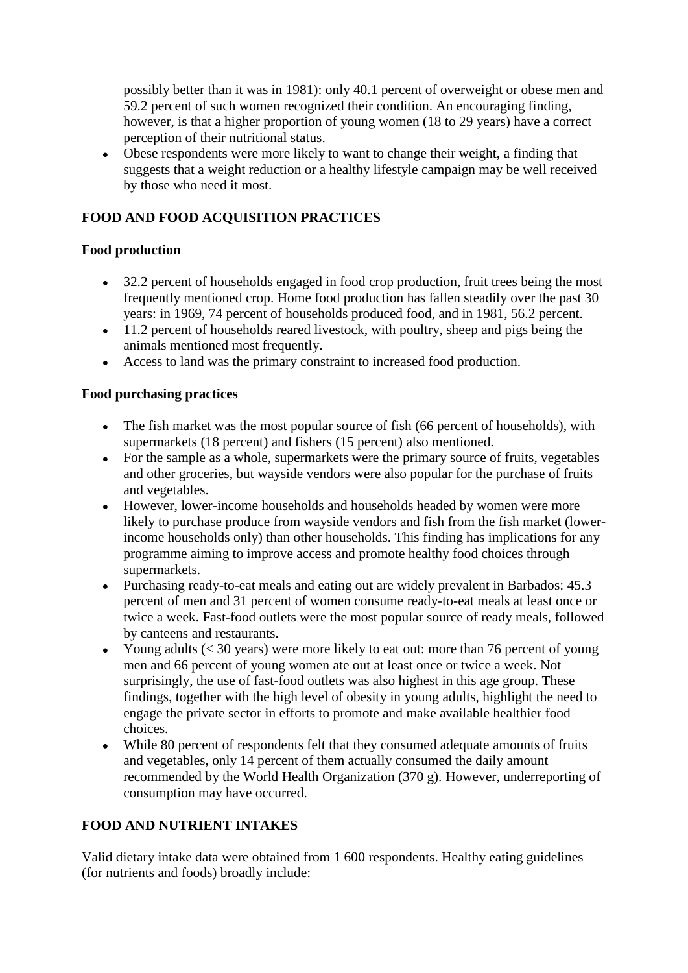possibly better than it was in 1981): only 40.1 percent of overweight or obese men and 59.2 percent of such women recognized their condition. An encouraging finding, however, is that a higher proportion of young women (18 to 29 years) have a correct perception of their nutritional status.

Obese respondents were more likely to want to change their weight, a finding that suggests that a weight reduction or a healthy lifestyle campaign may be well received by those who need it most.

## **FOOD AND FOOD ACQUISITION PRACTICES**

### **Food production**

- 32.2 percent of households engaged in food crop production, fruit trees being the most frequently mentioned crop. Home food production has fallen steadily over the past 30 years: in 1969, 74 percent of households produced food, and in 1981, 56.2 percent.
- 11.2 percent of households reared livestock, with poultry, sheep and pigs being the animals mentioned most frequently.
- Access to land was the primary constraint to increased food production.

### **Food purchasing practices**

- The fish market was the most popular source of fish (66 percent of households), with supermarkets (18 percent) and fishers (15 percent) also mentioned.
- For the sample as a whole, supermarkets were the primary source of fruits, vegetables and other groceries, but wayside vendors were also popular for the purchase of fruits and vegetables.
- However, lower-income households and households headed by women were more likely to purchase produce from wayside vendors and fish from the fish market (lowerincome households only) than other households. This finding has implications for any programme aiming to improve access and promote healthy food choices through supermarkets.
- Purchasing ready-to-eat meals and eating out are widely prevalent in Barbados: 45.3 percent of men and 31 percent of women consume ready-to-eat meals at least once or twice a week. Fast-food outlets were the most popular source of ready meals, followed by canteens and restaurants.
- Young adults  $( $30$  years) were more likely to eat out: more than 76 percent of young$ men and 66 percent of young women ate out at least once or twice a week. Not surprisingly, the use of fast-food outlets was also highest in this age group. These findings, together with the high level of obesity in young adults, highlight the need to engage the private sector in efforts to promote and make available healthier food choices.
- While 80 percent of respondents felt that they consumed adequate amounts of fruits and vegetables, only 14 percent of them actually consumed the daily amount recommended by the World Health Organization (370 g). However, underreporting of consumption may have occurred.

## **FOOD AND NUTRIENT INTAKES**

Valid dietary intake data were obtained from 1 600 respondents. Healthy eating guidelines (for nutrients and foods) broadly include: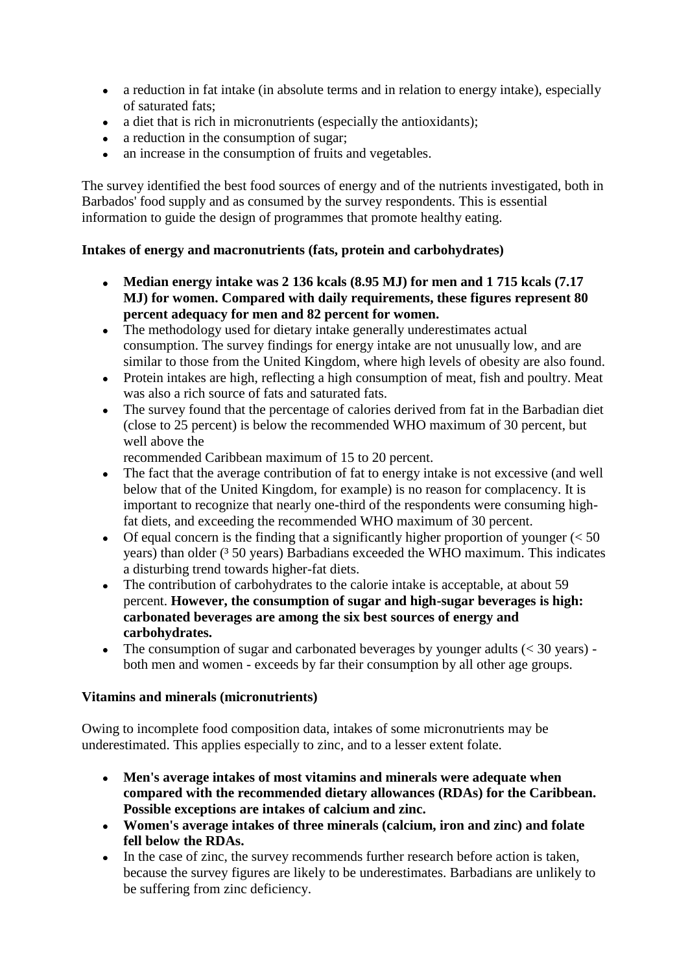- a reduction in fat intake (in absolute terms and in relation to energy intake), especially of saturated fats;
- a diet that is rich in micronutrients (especially the antioxidants);
- a reduction in the consumption of sugar;
- an increase in the consumption of fruits and vegetables.

The survey identified the best food sources of energy and of the nutrients investigated, both in Barbados' food supply and as consumed by the survey respondents. This is essential information to guide the design of programmes that promote healthy eating.

### **Intakes of energy and macronutrients (fats, protein and carbohydrates)**

- **Median energy intake was 2 136 kcals (8.95 MJ) for men and 1 715 kcals (7.17 MJ) for women. Compared with daily requirements, these figures represent 80 percent adequacy for men and 82 percent for women.**
- The methodology used for dietary intake generally underestimates actual consumption. The survey findings for energy intake are not unusually low, and are similar to those from the United Kingdom, where high levels of obesity are also found.
- Protein intakes are high, reflecting a high consumption of meat, fish and poultry. Meat was also a rich source of fats and saturated fats.
- The survey found that the percentage of calories derived from fat in the Barbadian diet (close to 25 percent) is below the recommended WHO maximum of 30 percent, but well above the

recommended Caribbean maximum of 15 to 20 percent.

- The fact that the average contribution of fat to energy intake is not excessive (and well below that of the United Kingdom, for example) is no reason for complacency. It is important to recognize that nearly one-third of the respondents were consuming highfat diets, and exceeding the recommended WHO maximum of 30 percent.
- Of equal concern is the finding that a significantly higher proportion of younger  $(< 50$ years) than older (<sup>3</sup> 50 years) Barbadians exceeded the WHO maximum. This indicates a disturbing trend towards higher-fat diets.
- The contribution of carbohydrates to the calorie intake is acceptable, at about 59 percent. **However, the consumption of sugar and high-sugar beverages is high: carbonated beverages are among the six best sources of energy and carbohydrates.**
- The consumption of sugar and carbonated beverages by younger adults  $( $30$  years) \bullet$ both men and women - exceeds by far their consumption by all other age groups.

### **Vitamins and minerals (micronutrients)**

Owing to incomplete food composition data, intakes of some micronutrients may be underestimated. This applies especially to zinc, and to a lesser extent folate.

- **Men's average intakes of most vitamins and minerals were adequate when compared with the recommended dietary allowances (RDAs) for the Caribbean. Possible exceptions are intakes of calcium and zinc.**
- **Women's average intakes of three minerals (calcium, iron and zinc) and folate fell below the RDAs.**
- In the case of zinc, the survey recommends further research before action is taken, because the survey figures are likely to be underestimates. Barbadians are unlikely to be suffering from zinc deficiency.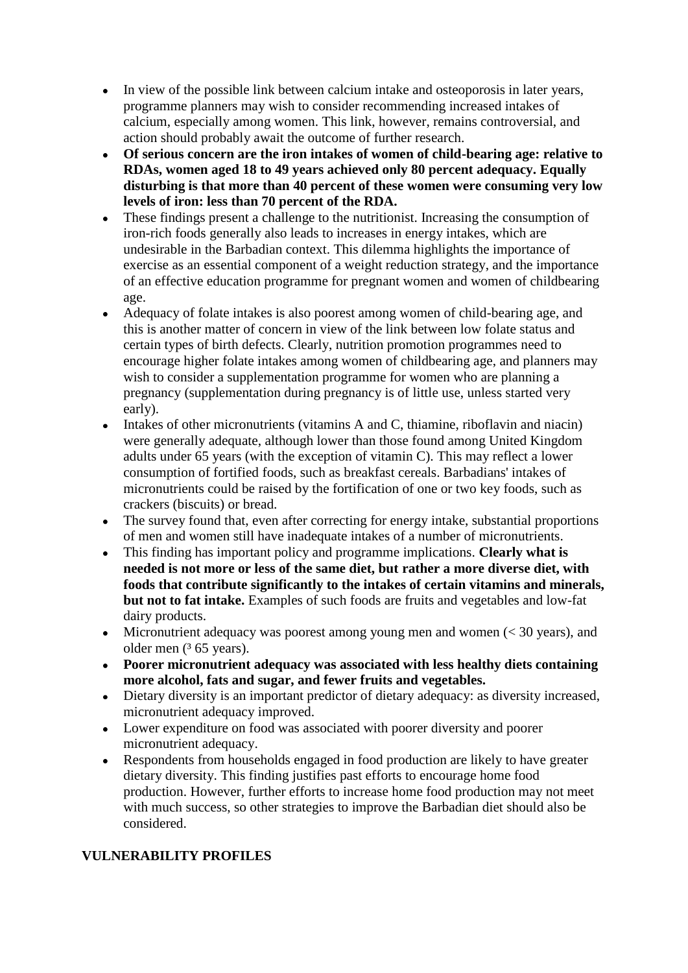- In view of the possible link between calcium intake and osteoporosis in later years, programme planners may wish to consider recommending increased intakes of calcium, especially among women. This link, however, remains controversial, and action should probably await the outcome of further research.
- **Of serious concern are the iron intakes of women of child-bearing age: relative to**   $\bullet$ **RDAs, women aged 18 to 49 years achieved only 80 percent adequacy. Equally disturbing is that more than 40 percent of these women were consuming very low levels of iron: less than 70 percent of the RDA.**
- These findings present a challenge to the nutritionist. Increasing the consumption of iron-rich foods generally also leads to increases in energy intakes, which are undesirable in the Barbadian context. This dilemma highlights the importance of exercise as an essential component of a weight reduction strategy, and the importance of an effective education programme for pregnant women and women of childbearing age.
- Adequacy of folate intakes is also poorest among women of child-bearing age, and this is another matter of concern in view of the link between low folate status and certain types of birth defects. Clearly, nutrition promotion programmes need to encourage higher folate intakes among women of childbearing age, and planners may wish to consider a supplementation programme for women who are planning a pregnancy (supplementation during pregnancy is of little use, unless started very early).
- Intakes of other micronutrients (vitamins A and C, thiamine, riboflavin and niacin) were generally adequate, although lower than those found among United Kingdom adults under 65 years (with the exception of vitamin C). This may reflect a lower consumption of fortified foods, such as breakfast cereals. Barbadians' intakes of micronutrients could be raised by the fortification of one or two key foods, such as crackers (biscuits) or bread.
- The survey found that, even after correcting for energy intake, substantial proportions of men and women still have inadequate intakes of a number of micronutrients.
- This finding has important policy and programme implications. **Clearly what is needed is not more or less of the same diet, but rather a more diverse diet, with foods that contribute significantly to the intakes of certain vitamins and minerals, but not to fat intake.** Examples of such foods are fruits and vegetables and low-fat dairy products.
- $\bullet$  Micronutrient adequacy was poorest among young men and women ( $\lt$  30 years), and older men (³ 65 years).
- **Poorer micronutrient adequacy was associated with less healthy diets containing more alcohol, fats and sugar, and fewer fruits and vegetables.**
- Dietary diversity is an important predictor of dietary adequacy: as diversity increased, micronutrient adequacy improved.
- Lower expenditure on food was associated with poorer diversity and poorer micronutrient adequacy.
- Respondents from households engaged in food production are likely to have greater dietary diversity. This finding justifies past efforts to encourage home food production. However, further efforts to increase home food production may not meet with much success, so other strategies to improve the Barbadian diet should also be considered.

### **VULNERABILITY PROFILES**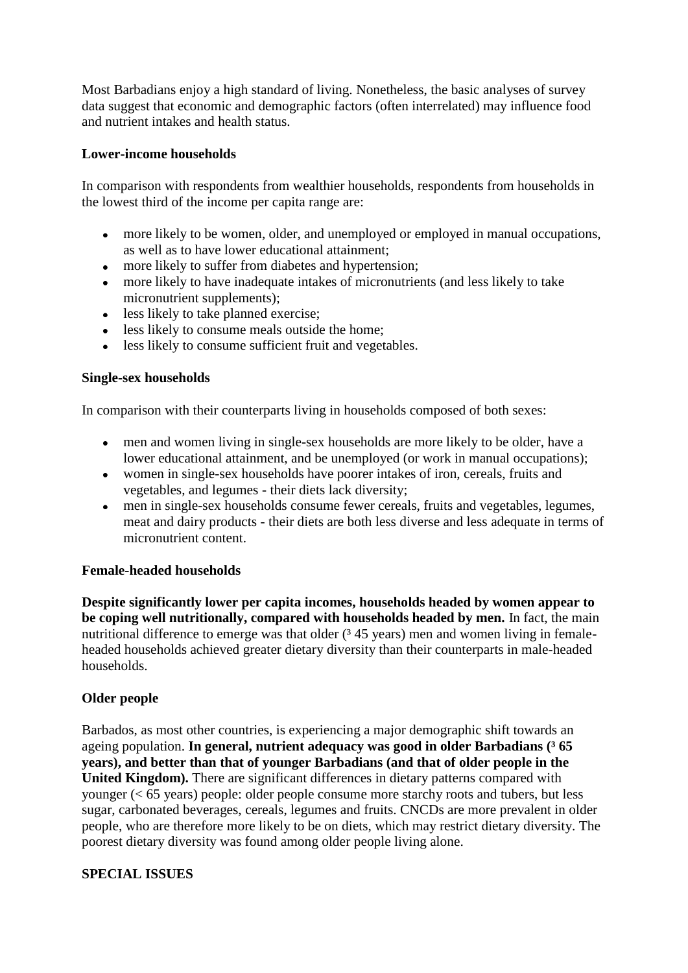Most Barbadians enjoy a high standard of living. Nonetheless, the basic analyses of survey data suggest that economic and demographic factors (often interrelated) may influence food and nutrient intakes and health status.

### **Lower-income households**

In comparison with respondents from wealthier households, respondents from households in the lowest third of the income per capita range are:

- more likely to be women, older, and unemployed or employed in manual occupations, as well as to have lower educational attainment;
- more likely to suffer from diabetes and hypertension;
- more likely to have inadequate intakes of micronutrients (and less likely to take micronutrient supplements);
- less likely to take planned exercise;
- less likely to consume meals outside the home;
- less likely to consume sufficient fruit and vegetables.

### **Single-sex households**

In comparison with their counterparts living in households composed of both sexes:

- men and women living in single-sex households are more likely to be older, have a lower educational attainment, and be unemployed (or work in manual occupations);
- women in single-sex households have poorer intakes of iron, cereals, fruits and vegetables, and legumes - their diets lack diversity;
- men in single-sex households consume fewer cereals, fruits and vegetables, legumes, meat and dairy products - their diets are both less diverse and less adequate in terms of micronutrient content.

### **Female-headed households**

**Despite significantly lower per capita incomes, households headed by women appear to be coping well nutritionally, compared with households headed by men.** In fact, the main nutritional difference to emerge was that older  $(3.45 \text{ years})$  men and women living in femaleheaded households achieved greater dietary diversity than their counterparts in male-headed households.

### **Older people**

Barbados, as most other countries, is experiencing a major demographic shift towards an ageing population. **In general, nutrient adequacy was good in older Barbadians** (<sup>3</sup> 65 **years), and better than that of younger Barbadians (and that of older people in the**  United Kingdom). There are significant differences in dietary patterns compared with younger (< 65 years) people: older people consume more starchy roots and tubers, but less sugar, carbonated beverages, cereals, legumes and fruits. CNCDs are more prevalent in older people, who are therefore more likely to be on diets, which may restrict dietary diversity. The poorest dietary diversity was found among older people living alone.

### **SPECIAL ISSUES**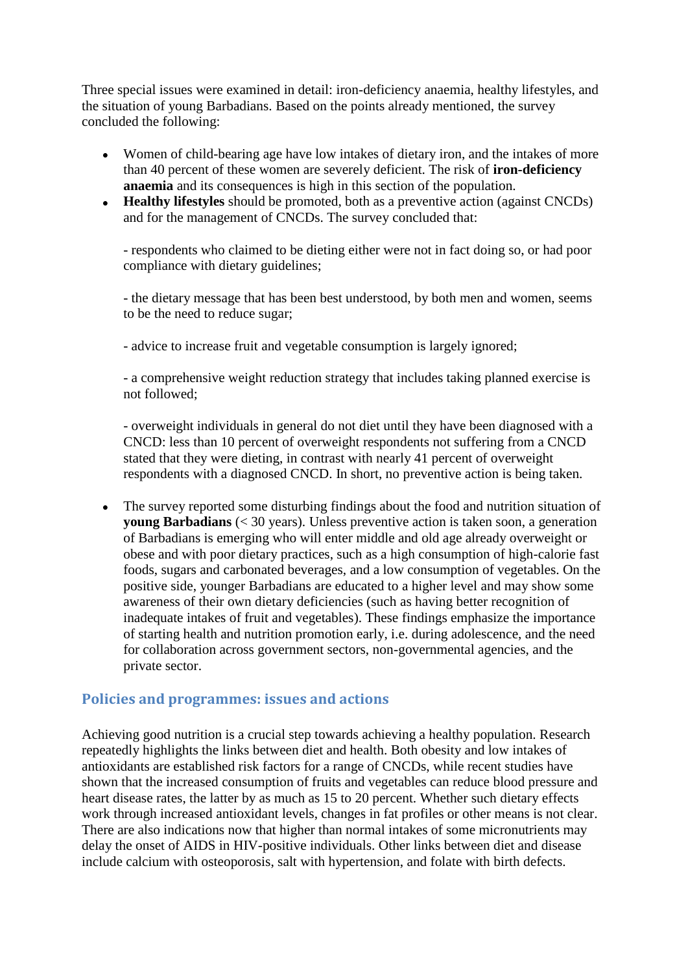Three special issues were examined in detail: iron-deficiency anaemia, healthy lifestyles, and the situation of young Barbadians. Based on the points already mentioned, the survey concluded the following:

- Women of child-bearing age have low intakes of dietary iron, and the intakes of more than 40 percent of these women are severely deficient. The risk of **iron-deficiency anaemia** and its consequences is high in this section of the population.
- **Healthy lifestyles** should be promoted, both as a preventive action (against CNCDs) and for the management of CNCDs. The survey concluded that:

- respondents who claimed to be dieting either were not in fact doing so, or had poor compliance with dietary guidelines;

- the dietary message that has been best understood, by both men and women, seems to be the need to reduce sugar;

- advice to increase fruit and vegetable consumption is largely ignored;

- a comprehensive weight reduction strategy that includes taking planned exercise is not followed;

- overweight individuals in general do not diet until they have been diagnosed with a CNCD: less than 10 percent of overweight respondents not suffering from a CNCD stated that they were dieting, in contrast with nearly 41 percent of overweight respondents with a diagnosed CNCD. In short, no preventive action is being taken.

The survey reported some disturbing findings about the food and nutrition situation of **young Barbadians** (< 30 years). Unless preventive action is taken soon, a generation of Barbadians is emerging who will enter middle and old age already overweight or obese and with poor dietary practices, such as a high consumption of high-calorie fast foods, sugars and carbonated beverages, and a low consumption of vegetables. On the positive side, younger Barbadians are educated to a higher level and may show some awareness of their own dietary deficiencies (such as having better recognition of inadequate intakes of fruit and vegetables). These findings emphasize the importance of starting health and nutrition promotion early, i.e. during adolescence, and the need for collaboration across government sectors, non-governmental agencies, and the private sector.

## **Policies and programmes: issues and actions**

Achieving good nutrition is a crucial step towards achieving a healthy population. Research repeatedly highlights the links between diet and health. Both obesity and low intakes of antioxidants are established risk factors for a range of CNCDs, while recent studies have shown that the increased consumption of fruits and vegetables can reduce blood pressure and heart disease rates, the latter by as much as 15 to 20 percent. Whether such dietary effects work through increased antioxidant levels, changes in fat profiles or other means is not clear. There are also indications now that higher than normal intakes of some micronutrients may delay the onset of AIDS in HIV-positive individuals. Other links between diet and disease include calcium with osteoporosis, salt with hypertension, and folate with birth defects.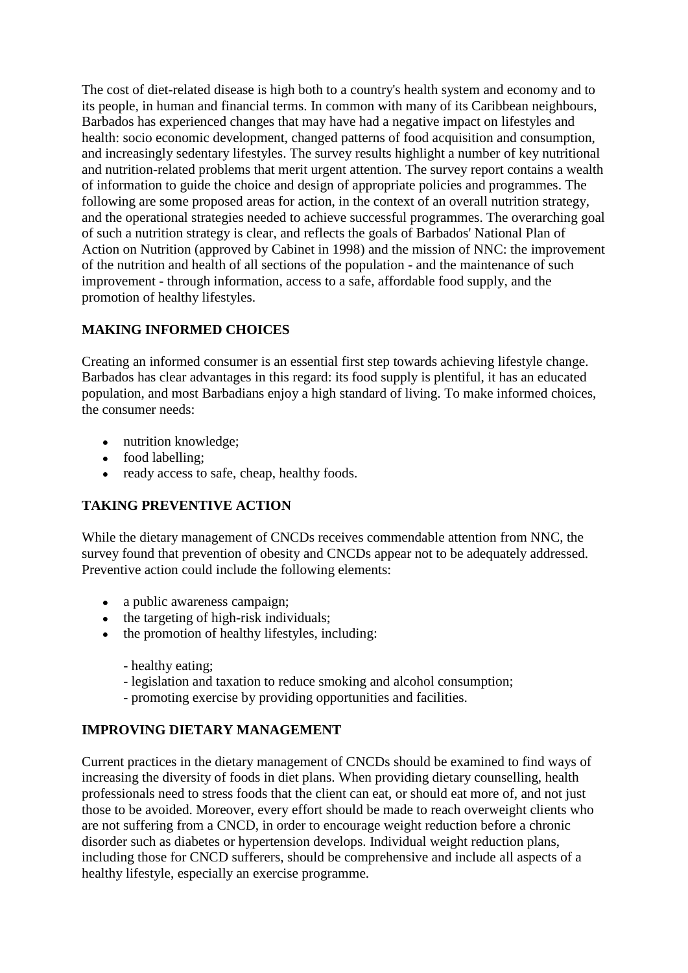The cost of diet-related disease is high both to a country's health system and economy and to its people, in human and financial terms. In common with many of its Caribbean neighbours, Barbados has experienced changes that may have had a negative impact on lifestyles and health: socio economic development, changed patterns of food acquisition and consumption, and increasingly sedentary lifestyles. The survey results highlight a number of key nutritional and nutrition-related problems that merit urgent attention. The survey report contains a wealth of information to guide the choice and design of appropriate policies and programmes. The following are some proposed areas for action, in the context of an overall nutrition strategy, and the operational strategies needed to achieve successful programmes. The overarching goal of such a nutrition strategy is clear, and reflects the goals of Barbados' National Plan of Action on Nutrition (approved by Cabinet in 1998) and the mission of NNC: the improvement of the nutrition and health of all sections of the population - and the maintenance of such improvement - through information, access to a safe, affordable food supply, and the promotion of healthy lifestyles.

## **MAKING INFORMED CHOICES**

Creating an informed consumer is an essential first step towards achieving lifestyle change. Barbados has clear advantages in this regard: its food supply is plentiful, it has an educated population, and most Barbadians enjoy a high standard of living. To make informed choices, the consumer needs:

- nutrition knowledge;
- food labelling;
- ready access to safe, cheap, healthy foods.

## **TAKING PREVENTIVE ACTION**

While the dietary management of CNCDs receives commendable attention from NNC, the survey found that prevention of obesity and CNCDs appear not to be adequately addressed. Preventive action could include the following elements:

- a public awareness campaign;
- the targeting of high-risk individuals;
- the promotion of healthy lifestyles, including:
	- healthy eating;
	- legislation and taxation to reduce smoking and alcohol consumption;
	- promoting exercise by providing opportunities and facilities.

## **IMPROVING DIETARY MANAGEMENT**

Current practices in the dietary management of CNCDs should be examined to find ways of increasing the diversity of foods in diet plans. When providing dietary counselling, health professionals need to stress foods that the client can eat, or should eat more of, and not just those to be avoided. Moreover, every effort should be made to reach overweight clients who are not suffering from a CNCD, in order to encourage weight reduction before a chronic disorder such as diabetes or hypertension develops. Individual weight reduction plans, including those for CNCD sufferers, should be comprehensive and include all aspects of a healthy lifestyle, especially an exercise programme.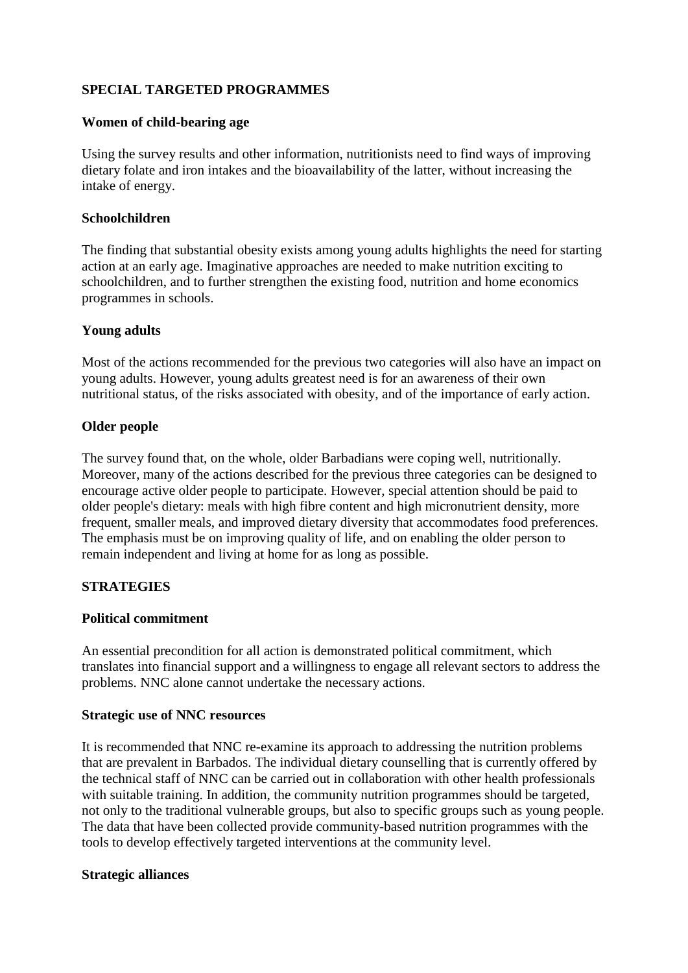### **SPECIAL TARGETED PROGRAMMES**

### **Women of child-bearing age**

Using the survey results and other information, nutritionists need to find ways of improving dietary folate and iron intakes and the bioavailability of the latter, without increasing the intake of energy.

### **Schoolchildren**

The finding that substantial obesity exists among young adults highlights the need for starting action at an early age. Imaginative approaches are needed to make nutrition exciting to schoolchildren, and to further strengthen the existing food, nutrition and home economics programmes in schools.

### **Young adults**

Most of the actions recommended for the previous two categories will also have an impact on young adults. However, young adults greatest need is for an awareness of their own nutritional status, of the risks associated with obesity, and of the importance of early action.

### **Older people**

The survey found that, on the whole, older Barbadians were coping well, nutritionally. Moreover, many of the actions described for the previous three categories can be designed to encourage active older people to participate. However, special attention should be paid to older people's dietary: meals with high fibre content and high micronutrient density, more frequent, smaller meals, and improved dietary diversity that accommodates food preferences. The emphasis must be on improving quality of life, and on enabling the older person to remain independent and living at home for as long as possible.

### **STRATEGIES**

### **Political commitment**

An essential precondition for all action is demonstrated political commitment, which translates into financial support and a willingness to engage all relevant sectors to address the problems. NNC alone cannot undertake the necessary actions.

### **Strategic use of NNC resources**

It is recommended that NNC re-examine its approach to addressing the nutrition problems that are prevalent in Barbados. The individual dietary counselling that is currently offered by the technical staff of NNC can be carried out in collaboration with other health professionals with suitable training. In addition, the community nutrition programmes should be targeted, not only to the traditional vulnerable groups, but also to specific groups such as young people. The data that have been collected provide community-based nutrition programmes with the tools to develop effectively targeted interventions at the community level.

### **Strategic alliances**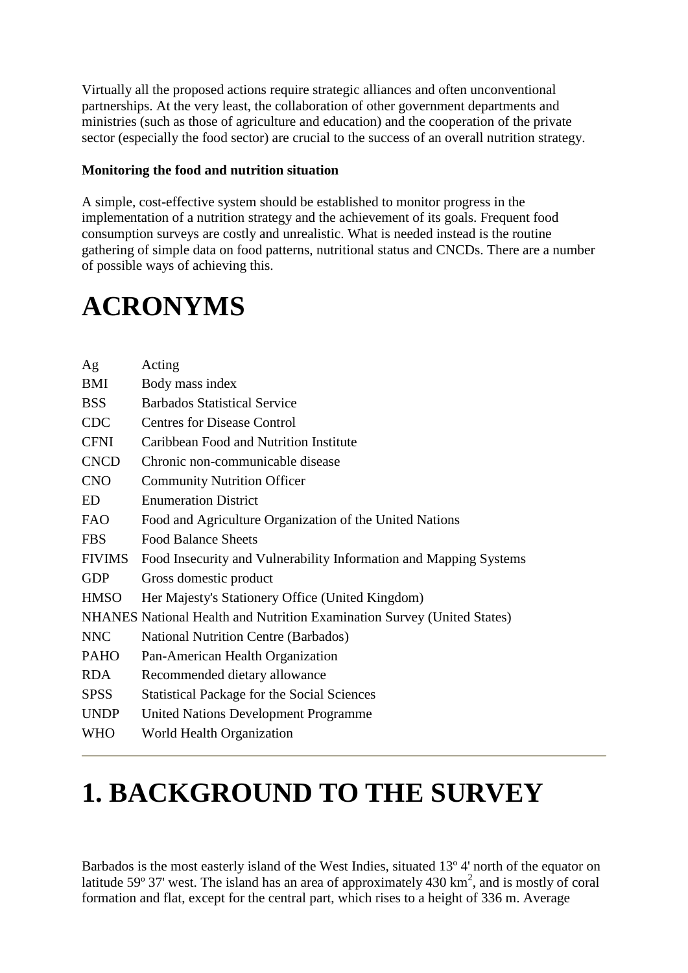Virtually all the proposed actions require strategic alliances and often unconventional partnerships. At the very least, the collaboration of other government departments and ministries (such as those of agriculture and education) and the cooperation of the private sector (especially the food sector) are crucial to the success of an overall nutrition strategy.

### **Monitoring the food and nutrition situation**

A simple, cost-effective system should be established to monitor progress in the implementation of a nutrition strategy and the achievement of its goals. Frequent food consumption surveys are costly and unrealistic. What is needed instead is the routine gathering of simple data on food patterns, nutritional status and CNCDs. There are a number of possible ways of achieving this.

## **ACRONYMS**

| Ag            | Acting                                                                  |
|---------------|-------------------------------------------------------------------------|
| BMI           | Body mass index                                                         |
| <b>BSS</b>    | <b>Barbados Statistical Service</b>                                     |
| <b>CDC</b>    | <b>Centres for Disease Control</b>                                      |
| <b>CFNI</b>   | Caribbean Food and Nutrition Institute                                  |
| <b>CNCD</b>   | Chronic non-communicable disease                                        |
| <b>CNO</b>    | <b>Community Nutrition Officer</b>                                      |
| <b>ED</b>     | <b>Enumeration District</b>                                             |
| <b>FAO</b>    | Food and Agriculture Organization of the United Nations                 |
| <b>FBS</b>    | <b>Food Balance Sheets</b>                                              |
| <b>FIVIMS</b> | Food Insecurity and Vulnerability Information and Mapping Systems       |
| <b>GDP</b>    | Gross domestic product                                                  |
| <b>HMSO</b>   | Her Majesty's Stationery Office (United Kingdom)                        |
|               | NHANES National Health and Nutrition Examination Survey (United States) |
| <b>NNC</b>    | <b>National Nutrition Centre (Barbados)</b>                             |
| <b>PAHO</b>   | Pan-American Health Organization                                        |
| <b>RDA</b>    | Recommended dietary allowance                                           |
| <b>SPSS</b>   | <b>Statistical Package for the Social Sciences</b>                      |
| <b>UNDP</b>   | <b>United Nations Development Programme</b>                             |
| <b>WHO</b>    | World Health Organization                                               |
|               |                                                                         |

# **1. BACKGROUND TO THE SURVEY**

Barbados is the most easterly island of the West Indies, situated 13<sup>o</sup> 4' north of the equator on latitude 59 $\degree$  37' west. The island has an area of approximately 430 km<sup>2</sup>, and is mostly of coral formation and flat, except for the central part, which rises to a height of 336 m. Average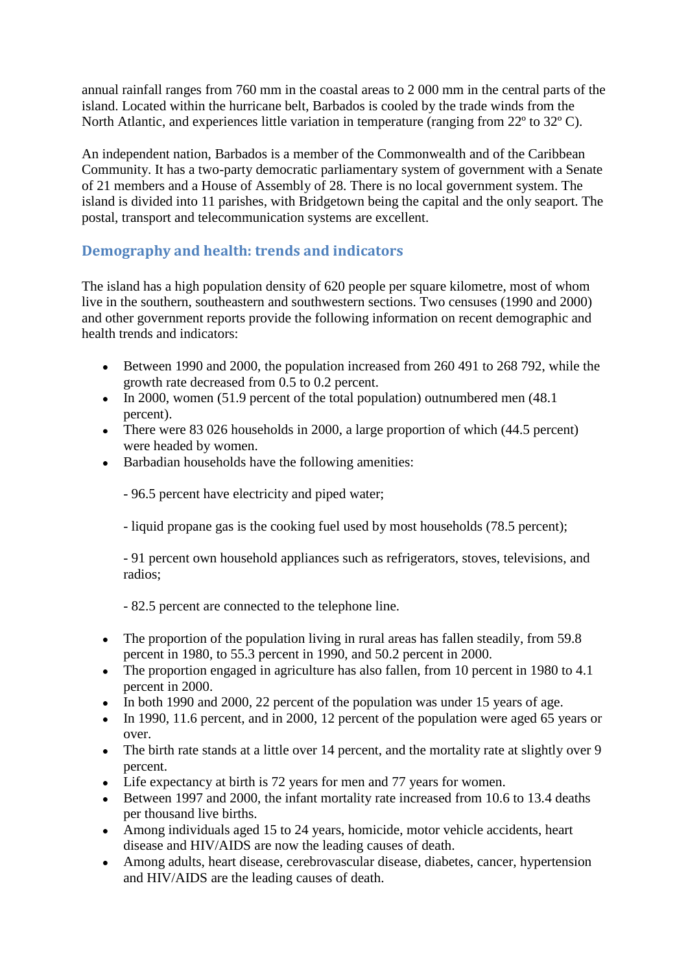annual rainfall ranges from 760 mm in the coastal areas to 2 000 mm in the central parts of the island. Located within the hurricane belt, Barbados is cooled by the trade winds from the North Atlantic, and experiences little variation in temperature (ranging from 22º to 32º C).

An independent nation, Barbados is a member of the Commonwealth and of the Caribbean Community. It has a two-party democratic parliamentary system of government with a Senate of 21 members and a House of Assembly of 28. There is no local government system. The island is divided into 11 parishes, with Bridgetown being the capital and the only seaport. The postal, transport and telecommunication systems are excellent.

## **Demography and health: trends and indicators**

The island has a high population density of 620 people per square kilometre, most of whom live in the southern, southeastern and southwestern sections. Two censuses (1990 and 2000) and other government reports provide the following information on recent demographic and health trends and indicators:

- Between 1990 and 2000, the population increased from 260 491 to 268 792, while the growth rate decreased from 0.5 to 0.2 percent.
- In 2000, women  $(51.9$  percent of the total population) outnumbered men  $(48.1)$ percent).
- There were 83 026 households in 2000, a large proportion of which (44.5 percent) were headed by women.
- Barbadian households have the following amenities:

- 96.5 percent have electricity and piped water;

- liquid propane gas is the cooking fuel used by most households (78.5 percent);

- 91 percent own household appliances such as refrigerators, stoves, televisions, and radios;

- 82.5 percent are connected to the telephone line.

- The proportion of the population living in rural areas has fallen steadily, from 59.8 percent in 1980, to 55.3 percent in 1990, and 50.2 percent in 2000.
- The proportion engaged in agriculture has also fallen, from 10 percent in 1980 to 4.1 percent in 2000.
- In both 1990 and 2000, 22 percent of the population was under 15 years of age.
- In 1990, 11.6 percent, and in 2000, 12 percent of the population were aged 65 years or over.
- The birth rate stands at a little over 14 percent, and the mortality rate at slightly over 9 percent.
- Life expectancy at birth is 72 years for men and 77 years for women.
- Between 1997 and 2000, the infant mortality rate increased from 10.6 to 13.4 deaths per thousand live births.
- Among individuals aged 15 to 24 years, homicide, motor vehicle accidents, heart disease and HIV/AIDS are now the leading causes of death.
- Among adults, heart disease, cerebrovascular disease, diabetes, cancer, hypertension and HIV/AIDS are the leading causes of death.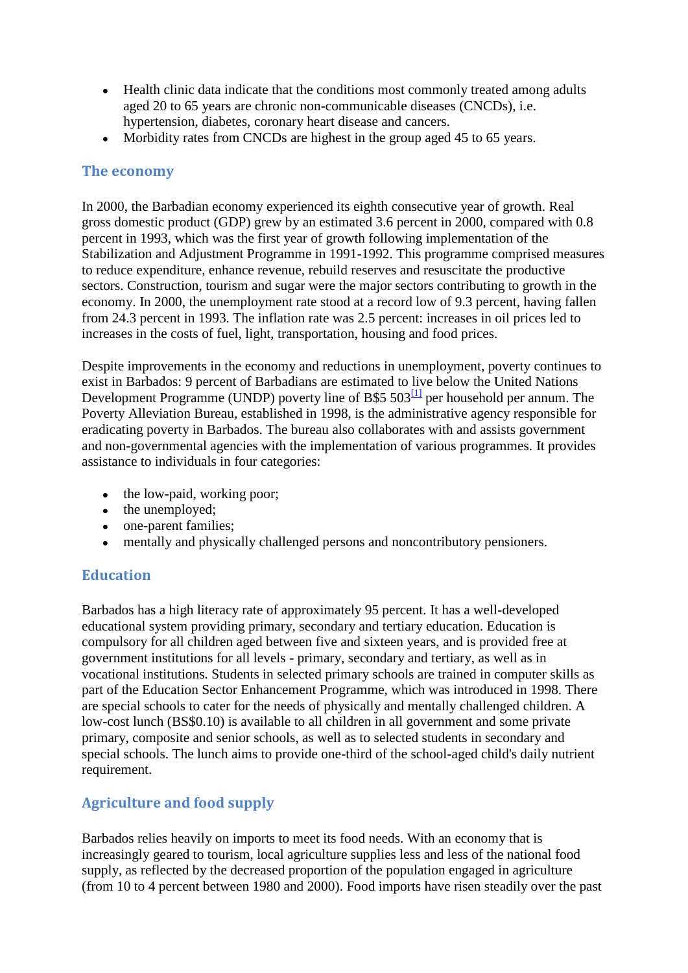- Health clinic data indicate that the conditions most commonly treated among adults aged 20 to 65 years are chronic non-communicable diseases (CNCDs), i.e. hypertension, diabetes, coronary heart disease and cancers.
- Morbidity rates from CNCDs are highest in the group aged 45 to 65 years.

## **The economy**

In 2000, the Barbadian economy experienced its eighth consecutive year of growth. Real gross domestic product (GDP) grew by an estimated 3.6 percent in 2000, compared with 0.8 percent in 1993, which was the first year of growth following implementation of the Stabilization and Adjustment Programme in 1991-1992. This programme comprised measures to reduce expenditure, enhance revenue, rebuild reserves and resuscitate the productive sectors. Construction, tourism and sugar were the major sectors contributing to growth in the economy. In 2000, the unemployment rate stood at a record low of 9.3 percent, having fallen from 24.3 percent in 1993. The inflation rate was 2.5 percent: increases in oil prices led to increases in the costs of fuel, light, transportation, housing and food prices.

Despite improvements in the economy and reductions in unemployment, poverty continues to exist in Barbados: 9 percent of Barbadians are estimated to live below the United Nations Development Programme (UNDP) poverty line of B\$5  $503$ <sup>[\[1\]](http://www.fao.org/docrep/008/y5883e/y5883e05.htm#fn1)</sup> per household per annum. The Poverty Alleviation Bureau, established in 1998, is the administrative agency responsible for eradicating poverty in Barbados. The bureau also collaborates with and assists government and non-governmental agencies with the implementation of various programmes. It provides assistance to individuals in four categories:

- $\bullet$  the low-paid, working poor;
- $\bullet$  the unemployed;
- one-parent families;
- mentally and physically challenged persons and noncontributory pensioners.

## **Education**

Barbados has a high literacy rate of approximately 95 percent. It has a well-developed educational system providing primary, secondary and tertiary education. Education is compulsory for all children aged between five and sixteen years, and is provided free at government institutions for all levels - primary, secondary and tertiary, as well as in vocational institutions. Students in selected primary schools are trained in computer skills as part of the Education Sector Enhancement Programme, which was introduced in 1998. There are special schools to cater for the needs of physically and mentally challenged children. A low-cost lunch (BS\$0.10) is available to all children in all government and some private primary, composite and senior schools, as well as to selected students in secondary and special schools. The lunch aims to provide one-third of the school-aged child's daily nutrient requirement.

## **Agriculture and food supply**

Barbados relies heavily on imports to meet its food needs. With an economy that is increasingly geared to tourism, local agriculture supplies less and less of the national food supply, as reflected by the decreased proportion of the population engaged in agriculture (from 10 to 4 percent between 1980 and 2000). Food imports have risen steadily over the past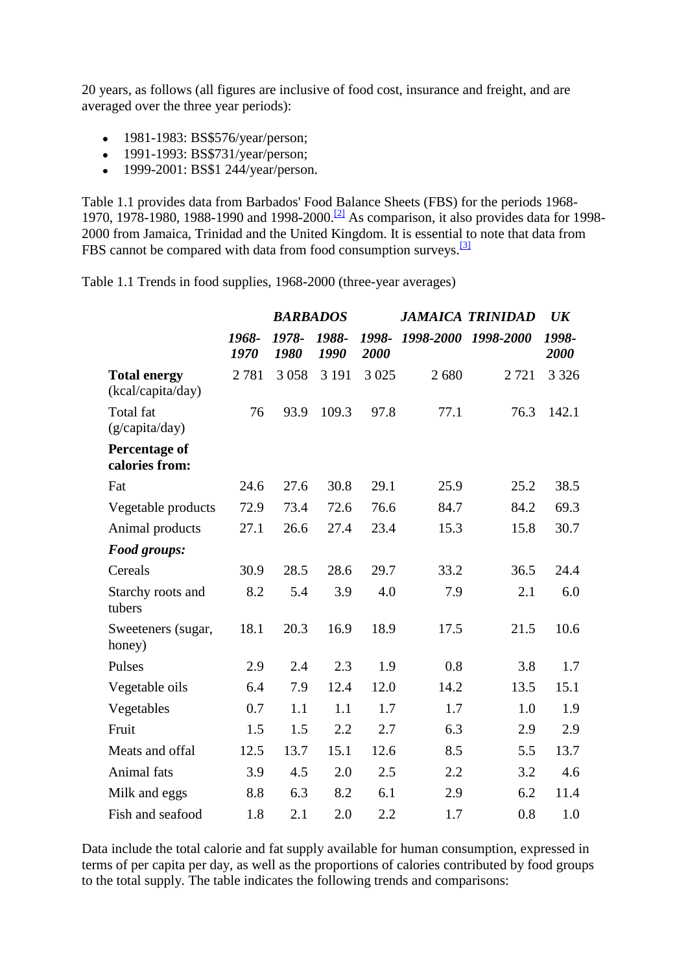20 years, as follows (all figures are inclusive of food cost, insurance and freight, and are averaged over the three year periods):

- 1981-1983: BS\$576/year/person;
- 1991-1993: BS\$731/year/person;
- 1999-2001: BS\$1 244/year/person.

Table 1.1 provides data from Barbados' Food Balance Sheets (FBS) for the periods 1968- 1970, 1978-1980, 1988-1990 and 1998-2000.[\[2\]](http://www.fao.org/docrep/008/y5883e/y5883e05.htm#fn2) As comparison, it also provides data for 1998- 2000 from Jamaica, Trinidad and the United Kingdom. It is essential to note that data from FBS cannot be compared with data from food consumption surveys.<sup>[\[3\]](http://www.fao.org/docrep/008/y5883e/y5883e05.htm#fn3)</sup>

Table 1.1 Trends in food supplies, 1968-2000 (three-year averages)

|                                          | <b>BARBADOS</b> |               |               |               |      | <b>JAMAICA TRINIDAD</b> | $U\mathbf{K}$ |
|------------------------------------------|-----------------|---------------|---------------|---------------|------|-------------------------|---------------|
|                                          | 1968-<br>1970   | 1978-<br>1980 | 1988-<br>1990 | 1998-<br>2000 |      | 1998-2000 1998-2000     | 1998-<br>2000 |
| <b>Total energy</b><br>(kcal/capita/day) | 2781            | 3 0 5 8       | 3 1 9 1       | 3 0 2 5       | 2680 | 2721                    | 3 3 2 6       |
| Total fat<br>$(g/c$ apita/day)           | 76              | 93.9          | 109.3         | 97.8          | 77.1 | 76.3                    | 142.1         |
| <b>Percentage of</b><br>calories from:   |                 |               |               |               |      |                         |               |
| Fat                                      | 24.6            | 27.6          | 30.8          | 29.1          | 25.9 | 25.2                    | 38.5          |
| Vegetable products                       | 72.9            | 73.4          | 72.6          | 76.6          | 84.7 | 84.2                    | 69.3          |
| Animal products                          | 27.1            | 26.6          | 27.4          | 23.4          | 15.3 | 15.8                    | 30.7          |
| Food groups:                             |                 |               |               |               |      |                         |               |
| Cereals                                  | 30.9            | 28.5          | 28.6          | 29.7          | 33.2 | 36.5                    | 24.4          |
| Starchy roots and<br>tubers              | 8.2             | 5.4           | 3.9           | 4.0           | 7.9  | 2.1                     | 6.0           |
| Sweeteners (sugar,<br>honey)             | 18.1            | 20.3          | 16.9          | 18.9          | 17.5 | 21.5                    | 10.6          |
| Pulses                                   | 2.9             | 2.4           | 2.3           | 1.9           | 0.8  | 3.8                     | 1.7           |
| Vegetable oils                           | 6.4             | 7.9           | 12.4          | 12.0          | 14.2 | 13.5                    | 15.1          |
| Vegetables                               | 0.7             | 1.1           | 1.1           | 1.7           | 1.7  | 1.0                     | 1.9           |
| Fruit                                    | 1.5             | 1.5           | 2.2           | 2.7           | 6.3  | 2.9                     | 2.9           |
| Meats and offal                          | 12.5            | 13.7          | 15.1          | 12.6          | 8.5  | 5.5                     | 13.7          |
| Animal fats                              | 3.9             | 4.5           | 2.0           | 2.5           | 2.2  | 3.2                     | 4.6           |
| Milk and eggs                            | 8.8             | 6.3           | 8.2           | 6.1           | 2.9  | 6.2                     | 11.4          |
| Fish and seafood                         | 1.8             | 2.1           | 2.0           | 2.2           | 1.7  | 0.8                     | 1.0           |

Data include the total calorie and fat supply available for human consumption, expressed in terms of per capita per day, as well as the proportions of calories contributed by food groups to the total supply. The table indicates the following trends and comparisons: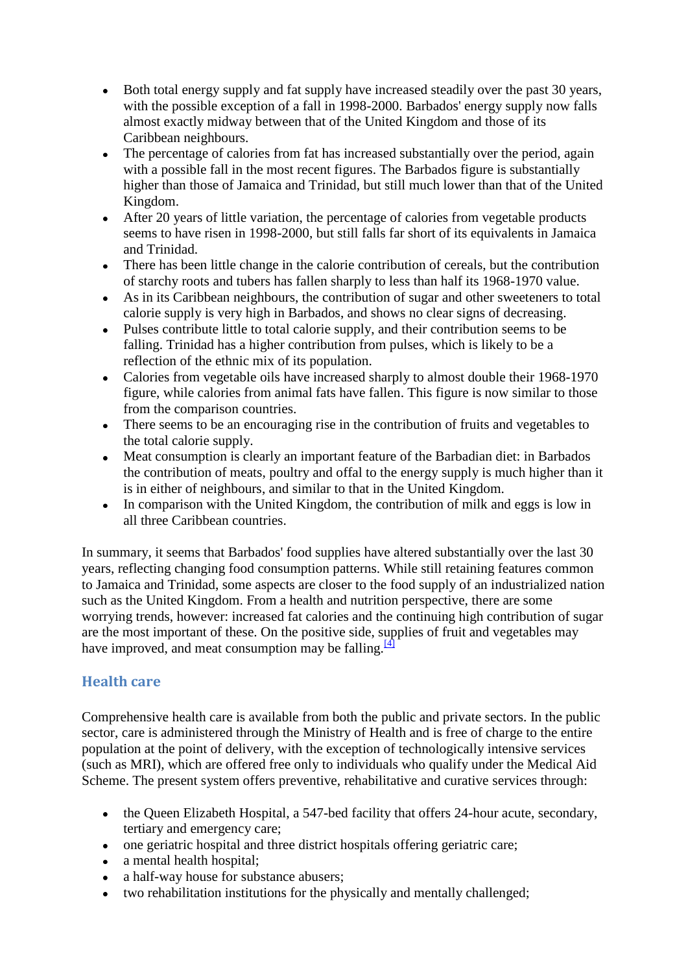- Both total energy supply and fat supply have increased steadily over the past 30 years, with the possible exception of a fall in 1998-2000. Barbados' energy supply now falls almost exactly midway between that of the United Kingdom and those of its Caribbean neighbours.
- The percentage of calories from fat has increased substantially over the period, again with a possible fall in the most recent figures. The Barbados figure is substantially higher than those of Jamaica and Trinidad, but still much lower than that of the United Kingdom.
- After 20 years of little variation, the percentage of calories from vegetable products seems to have risen in 1998-2000, but still falls far short of its equivalents in Jamaica and Trinidad.
- There has been little change in the calorie contribution of cereals, but the contribution of starchy roots and tubers has fallen sharply to less than half its 1968-1970 value.
- As in its Caribbean neighbours, the contribution of sugar and other sweeteners to total calorie supply is very high in Barbados, and shows no clear signs of decreasing.
- Pulses contribute little to total calorie supply, and their contribution seems to be falling. Trinidad has a higher contribution from pulses, which is likely to be a reflection of the ethnic mix of its population.
- Calories from vegetable oils have increased sharply to almost double their 1968-1970 figure, while calories from animal fats have fallen. This figure is now similar to those from the comparison countries.
- There seems to be an encouraging rise in the contribution of fruits and vegetables to the total calorie supply.
- Meat consumption is clearly an important feature of the Barbadian diet: in Barbados the contribution of meats, poultry and offal to the energy supply is much higher than it is in either of neighbours, and similar to that in the United Kingdom.
- In comparison with the United Kingdom, the contribution of milk and eggs is low in all three Caribbean countries.

In summary, it seems that Barbados' food supplies have altered substantially over the last 30 years, reflecting changing food consumption patterns. While still retaining features common to Jamaica and Trinidad, some aspects are closer to the food supply of an industrialized nation such as the United Kingdom. From a health and nutrition perspective, there are some worrying trends, however: increased fat calories and the continuing high contribution of sugar are the most important of these. On the positive side, supplies of fruit and vegetables may have improved, and meat consumption may be falling.  $[4]$ 

## **Health care**

Comprehensive health care is available from both the public and private sectors. In the public sector, care is administered through the Ministry of Health and is free of charge to the entire population at the point of delivery, with the exception of technologically intensive services (such as MRI), which are offered free only to individuals who qualify under the Medical Aid Scheme. The present system offers preventive, rehabilitative and curative services through:

- the Queen Elizabeth Hospital, a 547-bed facility that offers 24-hour acute, secondary, tertiary and emergency care;
- one geriatric hospital and three district hospitals offering geriatric care;
- a mental health hospital;
- a half-way house for substance abusers;
- two rehabilitation institutions for the physically and mentally challenged;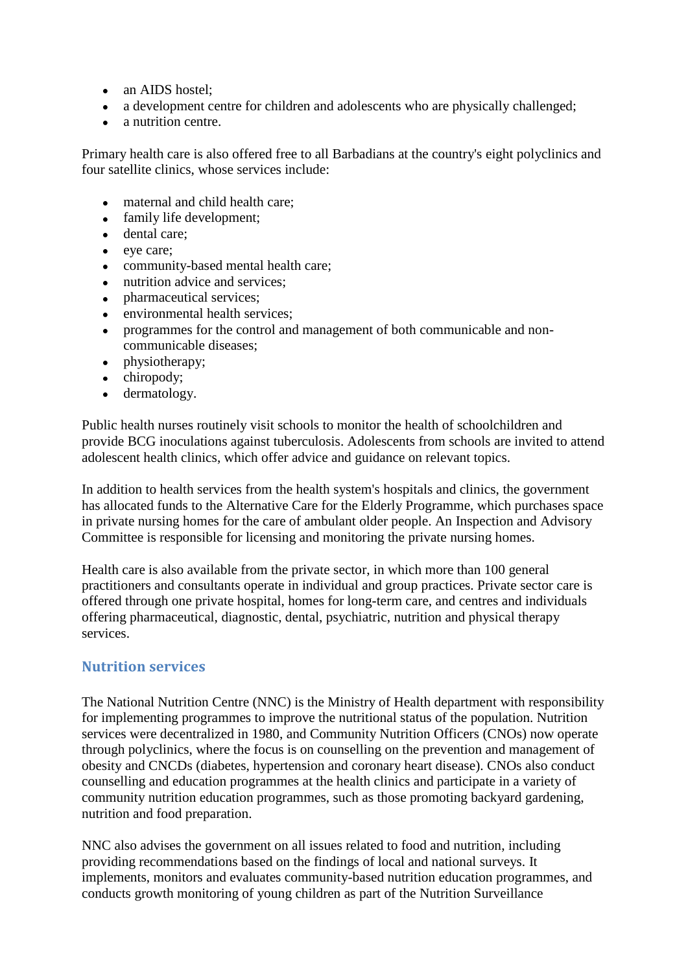- an AIDS hostel:
- a development centre for children and adolescents who are physically challenged;
- a nutrition centre.

Primary health care is also offered free to all Barbadians at the country's eight polyclinics and four satellite clinics, whose services include:

- maternal and child health care:
- family life development;
- dental care;
- eve care;
- community-based mental health care;
- nutrition advice and services:
- pharmaceutical services;
- environmental health services;
- programmes for the control and management of both communicable and noncommunicable diseases;
- physiotherapy:
- chiropody;
- dermatology.

Public health nurses routinely visit schools to monitor the health of schoolchildren and provide BCG inoculations against tuberculosis. Adolescents from schools are invited to attend adolescent health clinics, which offer advice and guidance on relevant topics.

In addition to health services from the health system's hospitals and clinics, the government has allocated funds to the Alternative Care for the Elderly Programme, which purchases space in private nursing homes for the care of ambulant older people. An Inspection and Advisory Committee is responsible for licensing and monitoring the private nursing homes.

Health care is also available from the private sector, in which more than 100 general practitioners and consultants operate in individual and group practices. Private sector care is offered through one private hospital, homes for long-term care, and centres and individuals offering pharmaceutical, diagnostic, dental, psychiatric, nutrition and physical therapy services.

### **Nutrition services**

The National Nutrition Centre (NNC) is the Ministry of Health department with responsibility for implementing programmes to improve the nutritional status of the population. Nutrition services were decentralized in 1980, and Community Nutrition Officers (CNOs) now operate through polyclinics, where the focus is on counselling on the prevention and management of obesity and CNCDs (diabetes, hypertension and coronary heart disease). CNOs also conduct counselling and education programmes at the health clinics and participate in a variety of community nutrition education programmes, such as those promoting backyard gardening, nutrition and food preparation.

NNC also advises the government on all issues related to food and nutrition, including providing recommendations based on the findings of local and national surveys. It implements, monitors and evaluates community-based nutrition education programmes, and conducts growth monitoring of young children as part of the Nutrition Surveillance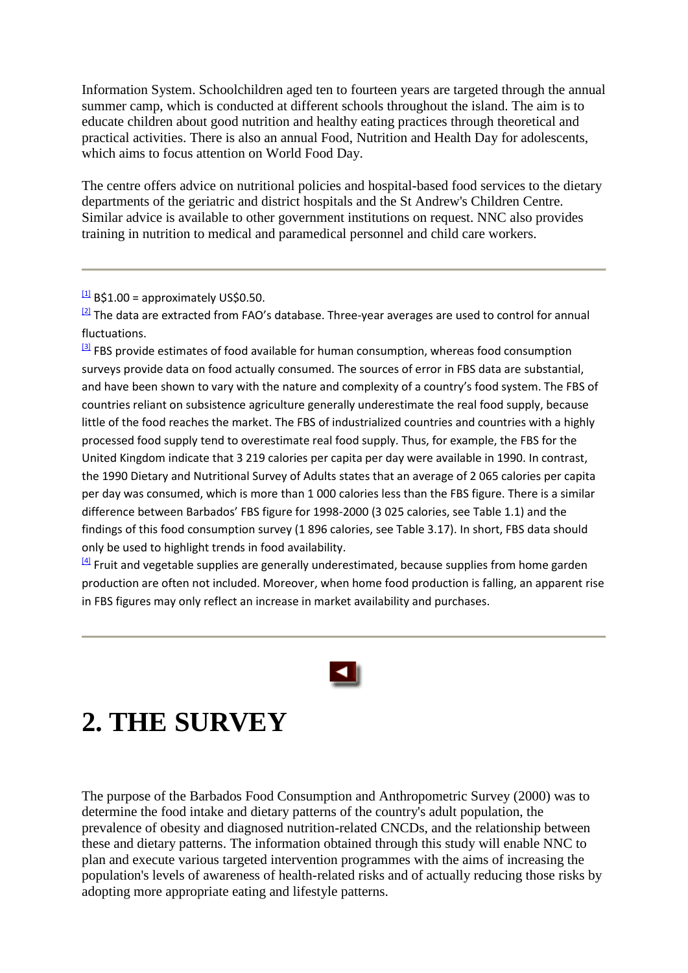Information System. Schoolchildren aged ten to fourteen years are targeted through the annual summer camp, which is conducted at different schools throughout the island. The aim is to educate children about good nutrition and healthy eating practices through theoretical and practical activities. There is also an annual Food, Nutrition and Health Day for adolescents, which aims to focus attention on World Food Day.

The centre offers advice on nutritional policies and hospital-based food services to the dietary departments of the geriatric and district hospitals and the St Andrew's Children Centre. Similar advice is available to other government institutions on request. NNC also provides training in nutrition to medical and paramedical personnel and child care workers.

 $11$  B\$1.00 = approximately US\$0.50.

 $\frac{[2]}{[2]}$  $\frac{[2]}{[2]}$  $\frac{[2]}{[2]}$  The data are extracted from FAO's database. Three-year averages are used to control for annual fluctuations.

[\[3\]](http://www.fao.org/docrep/008/y5883e/y5883e05.htm#fnB3) FBS provide estimates of food available for human consumption, whereas food consumption surveys provide data on food actually consumed. The sources of error in FBS data are substantial, and have been shown to vary with the nature and complexity of a country's food system. The FBS of countries reliant on subsistence agriculture generally underestimate the real food supply, because little of the food reaches the market. The FBS of industrialized countries and countries with a highly processed food supply tend to overestimate real food supply. Thus, for example, the FBS for the United Kingdom indicate that 3 219 calories per capita per day were available in 1990. In contrast, the 1990 Dietary and Nutritional Survey of Adults states that an average of 2 065 calories per capita per day was consumed, which is more than 1 000 calories less than the FBS figure. There is a similar difference between Barbados' FBS figure for 1998-2000 (3 025 calories, see Table 1.1) and the findings of this food consumption survey (1 896 calories, see Table 3.17). In short, FBS data should only be used to highlight trends in food availability.

 $\frac{[4]}{[4]}$  $\frac{[4]}{[4]}$  $\frac{[4]}{[4]}$  Fruit and vegetable supplies are generally underestimated, because supplies from home garden production are often not included. Moreover, when home food production is falling, an apparent rise in FBS figures may only reflect an increase in market availability and purchases.

## **2. THE SURVEY**

The purpose of the Barbados Food Consumption and Anthropometric Survey (2000) was to determine the food intake and dietary patterns of the country's adult population, the prevalence of obesity and diagnosed nutrition-related CNCDs, and the relationship between these and dietary patterns. The information obtained through this study will enable NNC to plan and execute various targeted intervention programmes with the aims of increasing the population's levels of awareness of health-related risks and of actually reducing those risks by adopting more appropriate eating and lifestyle patterns.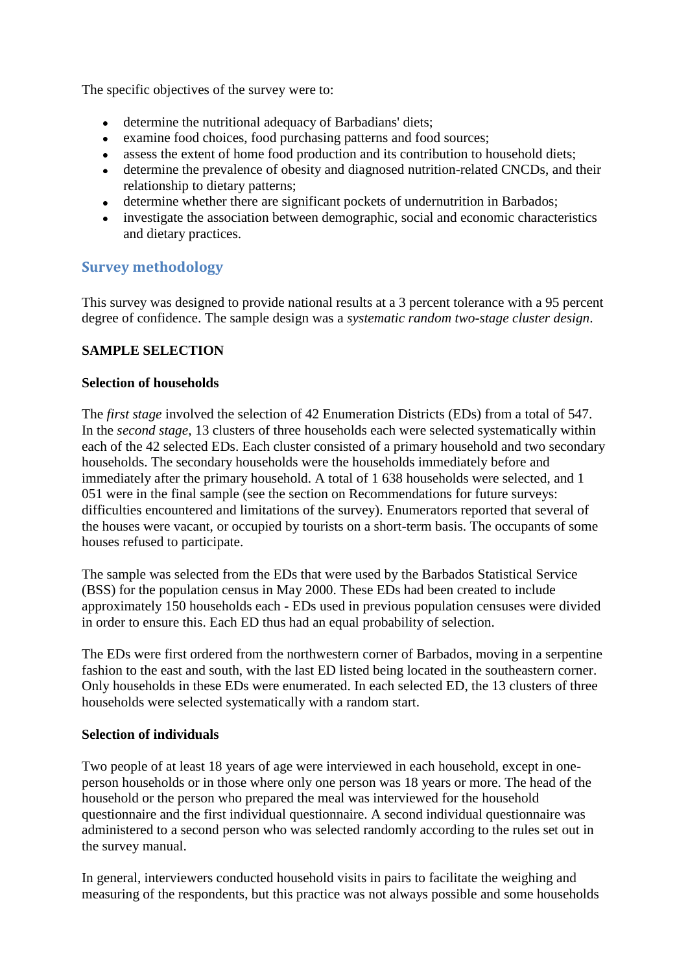The specific objectives of the survey were to:

- determine the nutritional adequacy of Barbadians' diets;
- examine food choices, food purchasing patterns and food sources;
- assess the extent of home food production and its contribution to household diets;
- determine the prevalence of obesity and diagnosed nutrition-related CNCDs, and their relationship to dietary patterns;
- determine whether there are significant pockets of undernutrition in Barbados;
- investigate the association between demographic, social and economic characteristics and dietary practices.

## **Survey methodology**

This survey was designed to provide national results at a 3 percent tolerance with a 95 percent degree of confidence. The sample design was a *systematic random two-stage cluster design*.

### **SAMPLE SELECTION**

### **Selection of households**

The *first stage* involved the selection of 42 Enumeration Districts (EDs) from a total of 547. In the *second stage*, 13 clusters of three households each were selected systematically within each of the 42 selected EDs. Each cluster consisted of a primary household and two secondary households. The secondary households were the households immediately before and immediately after the primary household. A total of 1 638 households were selected, and 1 051 were in the final sample (see the section on Recommendations for future surveys: difficulties encountered and limitations of the survey). Enumerators reported that several of the houses were vacant, or occupied by tourists on a short-term basis. The occupants of some houses refused to participate.

The sample was selected from the EDs that were used by the Barbados Statistical Service (BSS) for the population census in May 2000. These EDs had been created to include approximately 150 households each - EDs used in previous population censuses were divided in order to ensure this. Each ED thus had an equal probability of selection.

The EDs were first ordered from the northwestern corner of Barbados, moving in a serpentine fashion to the east and south, with the last ED listed being located in the southeastern corner. Only households in these EDs were enumerated. In each selected ED, the 13 clusters of three households were selected systematically with a random start.

### **Selection of individuals**

Two people of at least 18 years of age were interviewed in each household, except in oneperson households or in those where only one person was 18 years or more. The head of the household or the person who prepared the meal was interviewed for the household questionnaire and the first individual questionnaire. A second individual questionnaire was administered to a second person who was selected randomly according to the rules set out in the survey manual.

In general, interviewers conducted household visits in pairs to facilitate the weighing and measuring of the respondents, but this practice was not always possible and some households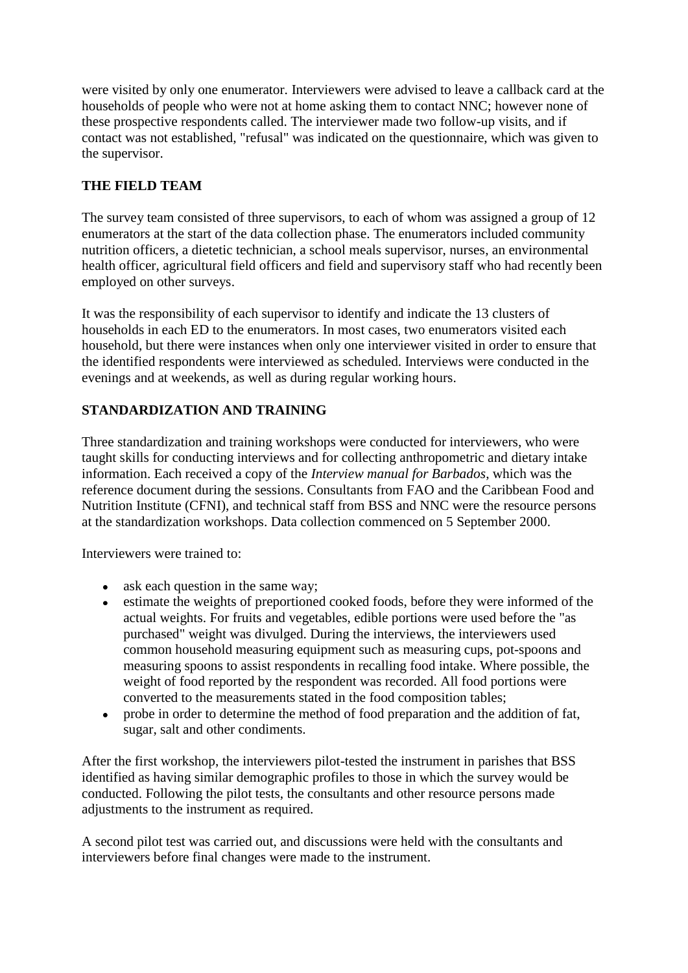were visited by only one enumerator. Interviewers were advised to leave a callback card at the households of people who were not at home asking them to contact NNC; however none of these prospective respondents called. The interviewer made two follow-up visits, and if contact was not established, "refusal" was indicated on the questionnaire, which was given to the supervisor.

## **THE FIELD TEAM**

The survey team consisted of three supervisors, to each of whom was assigned a group of 12 enumerators at the start of the data collection phase. The enumerators included community nutrition officers, a dietetic technician, a school meals supervisor, nurses, an environmental health officer, agricultural field officers and field and supervisory staff who had recently been employed on other surveys.

It was the responsibility of each supervisor to identify and indicate the 13 clusters of households in each ED to the enumerators. In most cases, two enumerators visited each household, but there were instances when only one interviewer visited in order to ensure that the identified respondents were interviewed as scheduled. Interviews were conducted in the evenings and at weekends, as well as during regular working hours.

## **STANDARDIZATION AND TRAINING**

Three standardization and training workshops were conducted for interviewers, who were taught skills for conducting interviews and for collecting anthropometric and dietary intake information. Each received a copy of the *Interview manual for Barbados*, which was the reference document during the sessions. Consultants from FAO and the Caribbean Food and Nutrition Institute (CFNI), and technical staff from BSS and NNC were the resource persons at the standardization workshops. Data collection commenced on 5 September 2000.

Interviewers were trained to:

- ask each question in the same way;
- estimate the weights of preportioned cooked foods, before they were informed of the actual weights. For fruits and vegetables, edible portions were used before the "as purchased" weight was divulged. During the interviews, the interviewers used common household measuring equipment such as measuring cups, pot-spoons and measuring spoons to assist respondents in recalling food intake. Where possible, the weight of food reported by the respondent was recorded. All food portions were converted to the measurements stated in the food composition tables;
- probe in order to determine the method of food preparation and the addition of fat,  $\bullet$ sugar, salt and other condiments.

After the first workshop, the interviewers pilot-tested the instrument in parishes that BSS identified as having similar demographic profiles to those in which the survey would be conducted. Following the pilot tests, the consultants and other resource persons made adjustments to the instrument as required.

A second pilot test was carried out, and discussions were held with the consultants and interviewers before final changes were made to the instrument.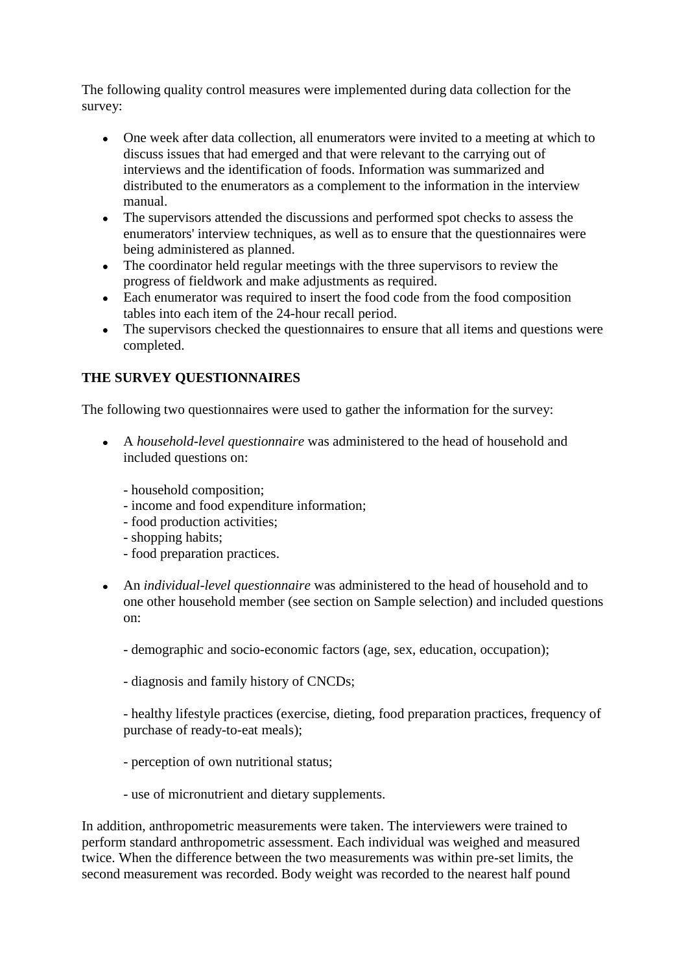The following quality control measures were implemented during data collection for the survey:

- One week after data collection, all enumerators were invited to a meeting at which to discuss issues that had emerged and that were relevant to the carrying out of interviews and the identification of foods. Information was summarized and distributed to the enumerators as a complement to the information in the interview manual.
- The supervisors attended the discussions and performed spot checks to assess the enumerators' interview techniques, as well as to ensure that the questionnaires were being administered as planned.
- The coordinator held regular meetings with the three supervisors to review the progress of fieldwork and make adjustments as required.
- Each enumerator was required to insert the food code from the food composition tables into each item of the 24-hour recall period.
- The supervisors checked the questionnaires to ensure that all items and questions were completed.

## **THE SURVEY QUESTIONNAIRES**

The following two questionnaires were used to gather the information for the survey:

- A *household-level questionnaire* was administered to the head of household and included questions on:
	- household composition;
	- income and food expenditure information;
	- food production activities;
	- shopping habits;
	- food preparation practices.
- An *individual-level questionnaire* was administered to the head of household and to one other household member (see section on Sample selection) and included questions on:
	- demographic and socio-economic factors (age, sex, education, occupation);
	- diagnosis and family history of CNCDs;

- healthy lifestyle practices (exercise, dieting, food preparation practices, frequency of purchase of ready-to-eat meals);

- perception of own nutritional status;
- use of micronutrient and dietary supplements.

In addition, anthropometric measurements were taken. The interviewers were trained to perform standard anthropometric assessment. Each individual was weighed and measured twice. When the difference between the two measurements was within pre-set limits, the second measurement was recorded. Body weight was recorded to the nearest half pound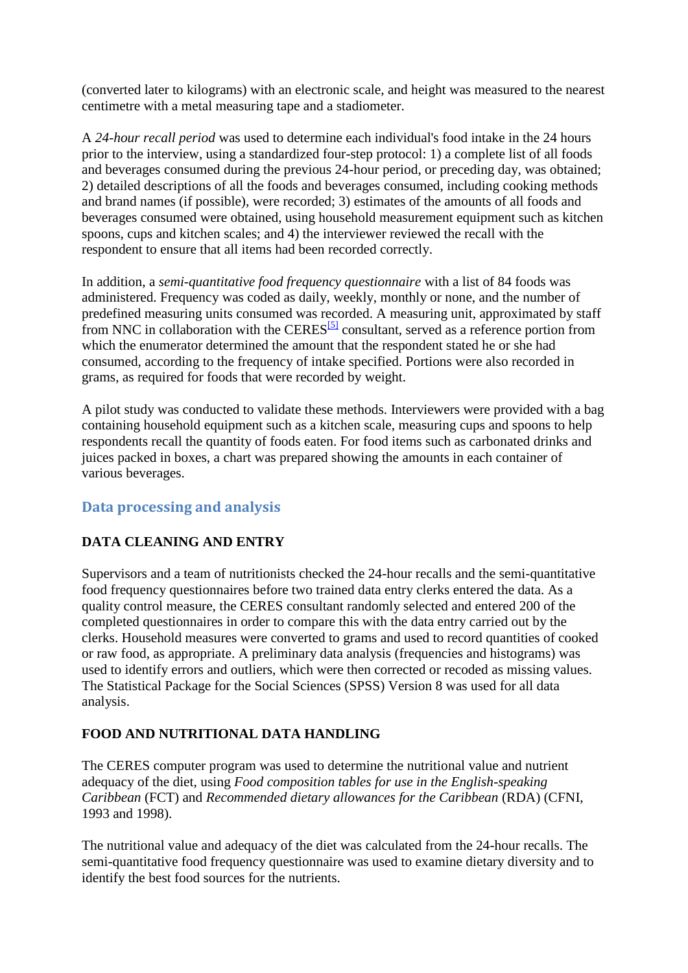(converted later to kilograms) with an electronic scale, and height was measured to the nearest centimetre with a metal measuring tape and a stadiometer.

A *24-hour recall period* was used to determine each individual's food intake in the 24 hours prior to the interview, using a standardized four-step protocol: 1) a complete list of all foods and beverages consumed during the previous 24-hour period, or preceding day, was obtained; 2) detailed descriptions of all the foods and beverages consumed, including cooking methods and brand names (if possible), were recorded; 3) estimates of the amounts of all foods and beverages consumed were obtained, using household measurement equipment such as kitchen spoons, cups and kitchen scales; and 4) the interviewer reviewed the recall with the respondent to ensure that all items had been recorded correctly.

In addition, a *semi-quantitative food frequency questionnaire* with a list of 84 foods was administered. Frequency was coded as daily, weekly, monthly or none, and the number of predefined measuring units consumed was recorded. A measuring unit, approximated by staff from NNC in collaboration with the CERES<sup>[\[5\]](http://www.fao.org/docrep/008/y5883e/y5883e06.htm#fn5)</sup> consultant, served as a reference portion from which the enumerator determined the amount that the respondent stated he or she had consumed, according to the frequency of intake specified. Portions were also recorded in grams, as required for foods that were recorded by weight.

A pilot study was conducted to validate these methods. Interviewers were provided with a bag containing household equipment such as a kitchen scale, measuring cups and spoons to help respondents recall the quantity of foods eaten. For food items such as carbonated drinks and juices packed in boxes, a chart was prepared showing the amounts in each container of various beverages.

## **Data processing and analysis**

## **DATA CLEANING AND ENTRY**

Supervisors and a team of nutritionists checked the 24-hour recalls and the semi-quantitative food frequency questionnaires before two trained data entry clerks entered the data. As a quality control measure, the CERES consultant randomly selected and entered 200 of the completed questionnaires in order to compare this with the data entry carried out by the clerks. Household measures were converted to grams and used to record quantities of cooked or raw food, as appropriate. A preliminary data analysis (frequencies and histograms) was used to identify errors and outliers, which were then corrected or recoded as missing values. The Statistical Package for the Social Sciences (SPSS) Version 8 was used for all data analysis.

## **FOOD AND NUTRITIONAL DATA HANDLING**

The CERES computer program was used to determine the nutritional value and nutrient adequacy of the diet, using *Food composition tables for use in the English-speaking Caribbean* (FCT) and *Recommended dietary allowances for the Caribbean* (RDA) (CFNI, 1993 and 1998).

The nutritional value and adequacy of the diet was calculated from the 24-hour recalls. The semi-quantitative food frequency questionnaire was used to examine dietary diversity and to identify the best food sources for the nutrients.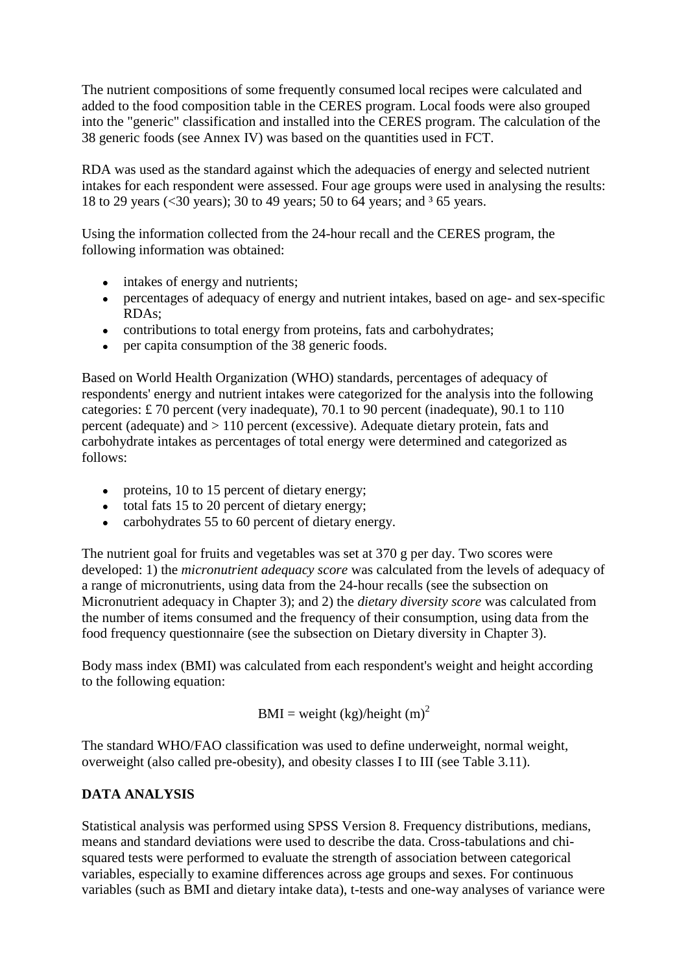The nutrient compositions of some frequently consumed local recipes were calculated and added to the food composition table in the CERES program. Local foods were also grouped into the "generic" classification and installed into the CERES program. The calculation of the 38 generic foods (see Annex IV) was based on the quantities used in FCT.

RDA was used as the standard against which the adequacies of energy and selected nutrient intakes for each respondent were assessed. Four age groups were used in analysing the results: 18 to 29 years (<30 years); 30 to 49 years; 50 to 64 years; and  $3\,65$  years.

Using the information collected from the 24-hour recall and the CERES program, the following information was obtained:

- intakes of energy and nutrients;
- percentages of adequacy of energy and nutrient intakes, based on age- and sex-specific RDAs;
- contributions to total energy from proteins, fats and carbohydrates;
- per capita consumption of the 38 generic foods.

Based on World Health Organization (WHO) standards, percentages of adequacy of respondents' energy and nutrient intakes were categorized for the analysis into the following categories: £ 70 percent (very inadequate), 70.1 to 90 percent (inadequate), 90.1 to 110 percent (adequate) and > 110 percent (excessive). Adequate dietary protein, fats and carbohydrate intakes as percentages of total energy were determined and categorized as follows:

- proteins, 10 to 15 percent of dietary energy;
- total fats 15 to 20 percent of dietary energy;
- carbohydrates 55 to 60 percent of dietary energy.

The nutrient goal for fruits and vegetables was set at 370 g per day. Two scores were developed: 1) the *micronutrient adequacy score* was calculated from the levels of adequacy of a range of micronutrients, using data from the 24-hour recalls (see the subsection on Micronutrient adequacy in Chapter 3); and 2) the *dietary diversity score* was calculated from the number of items consumed and the frequency of their consumption, using data from the food frequency questionnaire (see the subsection on Dietary diversity in Chapter 3).

Body mass index (BMI) was calculated from each respondent's weight and height according to the following equation:

$$
BMI = weight (kg)/height (m)2
$$

The standard WHO/FAO classification was used to define underweight, normal weight, overweight (also called pre-obesity), and obesity classes I to III (see Table 3.11).

## **DATA ANALYSIS**

Statistical analysis was performed using SPSS Version 8. Frequency distributions, medians, means and standard deviations were used to describe the data. Cross-tabulations and chisquared tests were performed to evaluate the strength of association between categorical variables, especially to examine differences across age groups and sexes. For continuous variables (such as BMI and dietary intake data), t-tests and one-way analyses of variance were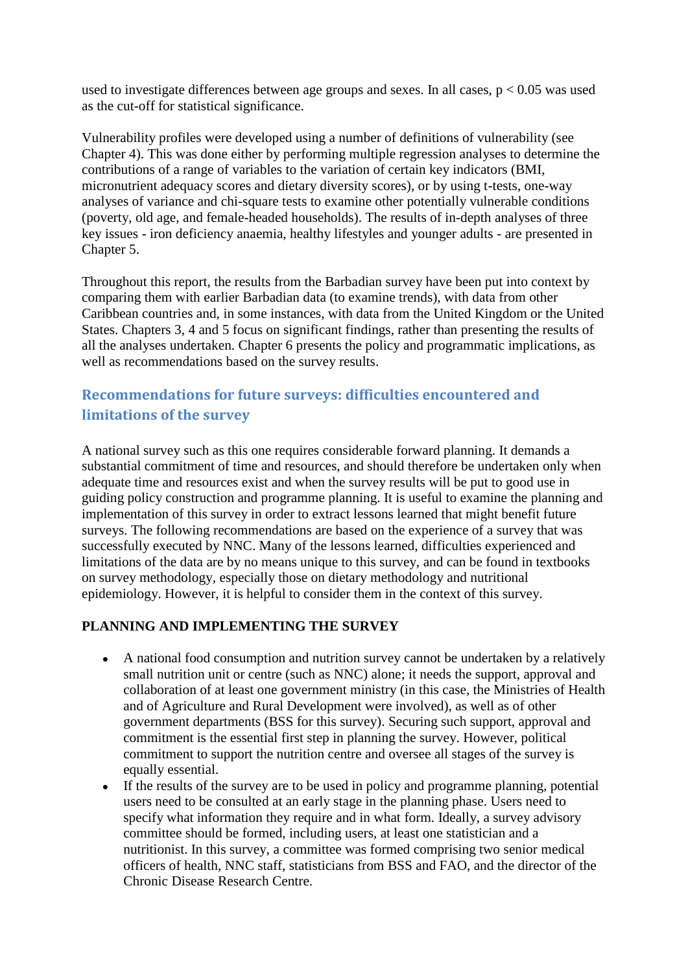used to investigate differences between age groups and sexes. In all cases,  $p < 0.05$  was used as the cut-off for statistical significance.

Vulnerability profiles were developed using a number of definitions of vulnerability (see Chapter 4). This was done either by performing multiple regression analyses to determine the contributions of a range of variables to the variation of certain key indicators (BMI, micronutrient adequacy scores and dietary diversity scores), or by using t-tests, one-way analyses of variance and chi-square tests to examine other potentially vulnerable conditions (poverty, old age, and female-headed households). The results of in-depth analyses of three key issues - iron deficiency anaemia, healthy lifestyles and younger adults - are presented in Chapter 5.

Throughout this report, the results from the Barbadian survey have been put into context by comparing them with earlier Barbadian data (to examine trends), with data from other Caribbean countries and, in some instances, with data from the United Kingdom or the United States. Chapters 3, 4 and 5 focus on significant findings, rather than presenting the results of all the analyses undertaken. Chapter 6 presents the policy and programmatic implications, as well as recommendations based on the survey results.

## **Recommendations for future surveys: difficulties encountered and limitations of the survey**

A national survey such as this one requires considerable forward planning. It demands a substantial commitment of time and resources, and should therefore be undertaken only when adequate time and resources exist and when the survey results will be put to good use in guiding policy construction and programme planning. It is useful to examine the planning and implementation of this survey in order to extract lessons learned that might benefit future surveys. The following recommendations are based on the experience of a survey that was successfully executed by NNC. Many of the lessons learned, difficulties experienced and limitations of the data are by no means unique to this survey, and can be found in textbooks on survey methodology, especially those on dietary methodology and nutritional epidemiology. However, it is helpful to consider them in the context of this survey.

### **PLANNING AND IMPLEMENTING THE SURVEY**

- A national food consumption and nutrition survey cannot be undertaken by a relatively small nutrition unit or centre (such as NNC) alone; it needs the support, approval and collaboration of at least one government ministry (in this case, the Ministries of Health and of Agriculture and Rural Development were involved), as well as of other government departments (BSS for this survey). Securing such support, approval and commitment is the essential first step in planning the survey. However, political commitment to support the nutrition centre and oversee all stages of the survey is equally essential.
- If the results of the survey are to be used in policy and programme planning, potential users need to be consulted at an early stage in the planning phase. Users need to specify what information they require and in what form. Ideally, a survey advisory committee should be formed, including users, at least one statistician and a nutritionist. In this survey, a committee was formed comprising two senior medical officers of health, NNC staff, statisticians from BSS and FAO, and the director of the Chronic Disease Research Centre.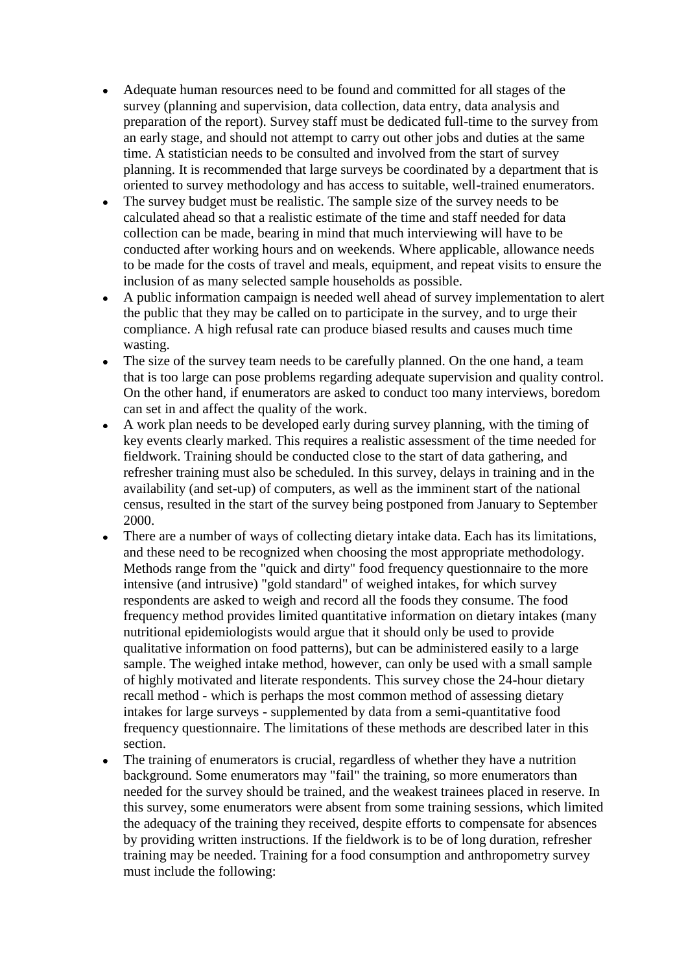- Adequate human resources need to be found and committed for all stages of the survey (planning and supervision, data collection, data entry, data analysis and preparation of the report). Survey staff must be dedicated full-time to the survey from an early stage, and should not attempt to carry out other jobs and duties at the same time. A statistician needs to be consulted and involved from the start of survey planning. It is recommended that large surveys be coordinated by a department that is oriented to survey methodology and has access to suitable, well-trained enumerators.
- The survey budget must be realistic. The sample size of the survey needs to be  $\bullet$ calculated ahead so that a realistic estimate of the time and staff needed for data collection can be made, bearing in mind that much interviewing will have to be conducted after working hours and on weekends. Where applicable, allowance needs to be made for the costs of travel and meals, equipment, and repeat visits to ensure the inclusion of as many selected sample households as possible.
- A public information campaign is needed well ahead of survey implementation to alert  $\bullet$ the public that they may be called on to participate in the survey, and to urge their compliance. A high refusal rate can produce biased results and causes much time wasting.
- The size of the survey team needs to be carefully planned. On the one hand, a team  $\bullet$ that is too large can pose problems regarding adequate supervision and quality control. On the other hand, if enumerators are asked to conduct too many interviews, boredom can set in and affect the quality of the work.
- A work plan needs to be developed early during survey planning, with the timing of key events clearly marked. This requires a realistic assessment of the time needed for fieldwork. Training should be conducted close to the start of data gathering, and refresher training must also be scheduled. In this survey, delays in training and in the availability (and set-up) of computers, as well as the imminent start of the national census, resulted in the start of the survey being postponed from January to September 2000.
- There are a number of ways of collecting dietary intake data. Each has its limitations,  $\bullet$ and these need to be recognized when choosing the most appropriate methodology. Methods range from the "quick and dirty" food frequency questionnaire to the more intensive (and intrusive) "gold standard" of weighed intakes, for which survey respondents are asked to weigh and record all the foods they consume. The food frequency method provides limited quantitative information on dietary intakes (many nutritional epidemiologists would argue that it should only be used to provide qualitative information on food patterns), but can be administered easily to a large sample. The weighed intake method, however, can only be used with a small sample of highly motivated and literate respondents. This survey chose the 24-hour dietary recall method - which is perhaps the most common method of assessing dietary intakes for large surveys - supplemented by data from a semi-quantitative food frequency questionnaire. The limitations of these methods are described later in this section.
- The training of enumerators is crucial, regardless of whether they have a nutrition  $\bullet$ background. Some enumerators may "fail" the training, so more enumerators than needed for the survey should be trained, and the weakest trainees placed in reserve. In this survey, some enumerators were absent from some training sessions, which limited the adequacy of the training they received, despite efforts to compensate for absences by providing written instructions. If the fieldwork is to be of long duration, refresher training may be needed. Training for a food consumption and anthropometry survey must include the following: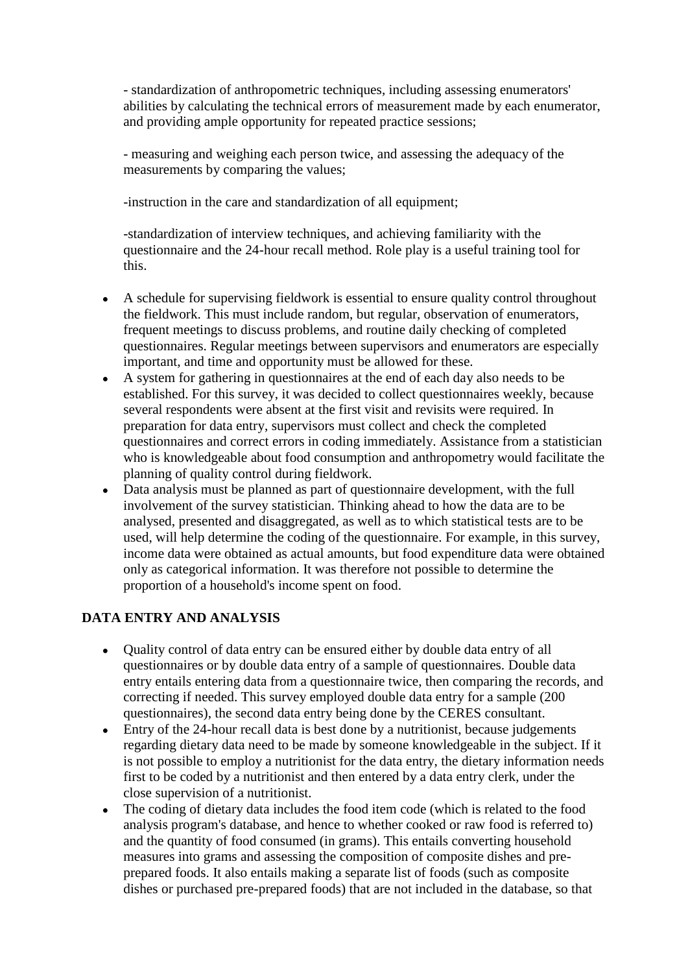- standardization of anthropometric techniques, including assessing enumerators' abilities by calculating the technical errors of measurement made by each enumerator, and providing ample opportunity for repeated practice sessions;

- measuring and weighing each person twice, and assessing the adequacy of the measurements by comparing the values;

-instruction in the care and standardization of all equipment;

-standardization of interview techniques, and achieving familiarity with the questionnaire and the 24-hour recall method. Role play is a useful training tool for this.

- A schedule for supervising fieldwork is essential to ensure quality control throughout the fieldwork. This must include random, but regular, observation of enumerators, frequent meetings to discuss problems, and routine daily checking of completed questionnaires. Regular meetings between supervisors and enumerators are especially important, and time and opportunity must be allowed for these.
- A system for gathering in questionnaires at the end of each day also needs to be established. For this survey, it was decided to collect questionnaires weekly, because several respondents were absent at the first visit and revisits were required. In preparation for data entry, supervisors must collect and check the completed questionnaires and correct errors in coding immediately. Assistance from a statistician who is knowledgeable about food consumption and anthropometry would facilitate the planning of quality control during fieldwork.
- Data analysis must be planned as part of questionnaire development, with the full involvement of the survey statistician. Thinking ahead to how the data are to be analysed, presented and disaggregated, as well as to which statistical tests are to be used, will help determine the coding of the questionnaire. For example, in this survey, income data were obtained as actual amounts, but food expenditure data were obtained only as categorical information. It was therefore not possible to determine the proportion of a household's income spent on food.

## **DATA ENTRY AND ANALYSIS**

- Quality control of data entry can be ensured either by double data entry of all questionnaires or by double data entry of a sample of questionnaires. Double data entry entails entering data from a questionnaire twice, then comparing the records, and correcting if needed. This survey employed double data entry for a sample (200 questionnaires), the second data entry being done by the CERES consultant.
- Entry of the 24-hour recall data is best done by a nutritionist, because judgements regarding dietary data need to be made by someone knowledgeable in the subject. If it is not possible to employ a nutritionist for the data entry, the dietary information needs first to be coded by a nutritionist and then entered by a data entry clerk, under the close supervision of a nutritionist.
- The coding of dietary data includes the food item code (which is related to the food  $\bullet$ analysis program's database, and hence to whether cooked or raw food is referred to) and the quantity of food consumed (in grams). This entails converting household measures into grams and assessing the composition of composite dishes and preprepared foods. It also entails making a separate list of foods (such as composite dishes or purchased pre-prepared foods) that are not included in the database, so that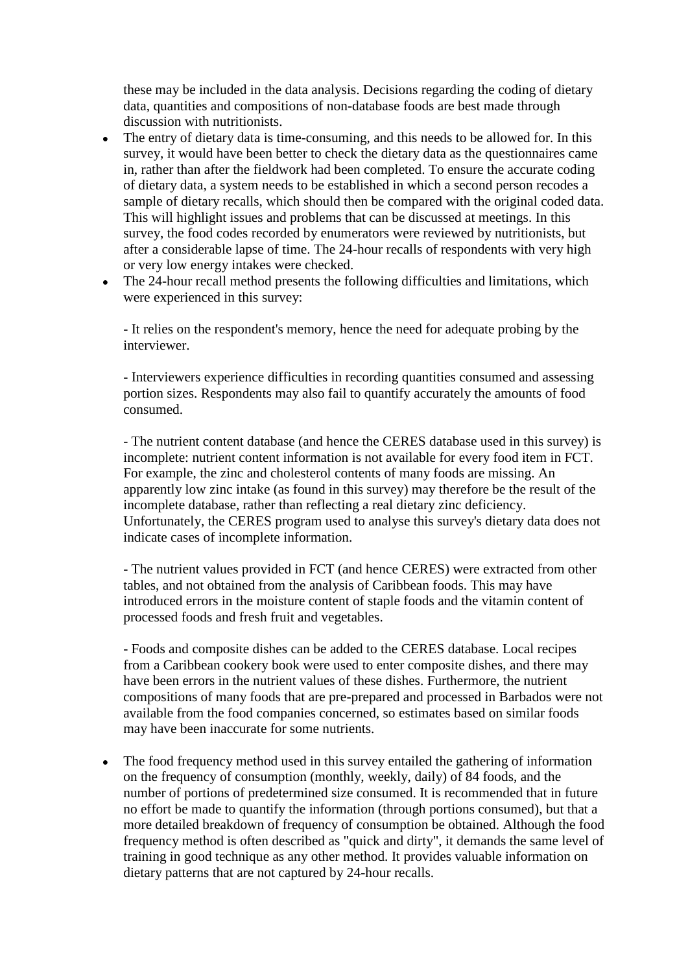these may be included in the data analysis. Decisions regarding the coding of dietary data, quantities and compositions of non-database foods are best made through discussion with nutritionists.

- The entry of dietary data is time-consuming, and this needs to be allowed for. In this survey, it would have been better to check the dietary data as the questionnaires came in, rather than after the fieldwork had been completed. To ensure the accurate coding of dietary data, a system needs to be established in which a second person recodes a sample of dietary recalls, which should then be compared with the original coded data. This will highlight issues and problems that can be discussed at meetings. In this survey, the food codes recorded by enumerators were reviewed by nutritionists, but after a considerable lapse of time. The 24-hour recalls of respondents with very high or very low energy intakes were checked.
- The 24-hour recall method presents the following difficulties and limitations, which were experienced in this survey:

- It relies on the respondent's memory, hence the need for adequate probing by the interviewer.

- Interviewers experience difficulties in recording quantities consumed and assessing portion sizes. Respondents may also fail to quantify accurately the amounts of food consumed.

- The nutrient content database (and hence the CERES database used in this survey) is incomplete: nutrient content information is not available for every food item in FCT. For example, the zinc and cholesterol contents of many foods are missing. An apparently low zinc intake (as found in this survey) may therefore be the result of the incomplete database, rather than reflecting a real dietary zinc deficiency. Unfortunately, the CERES program used to analyse this survey's dietary data does not indicate cases of incomplete information.

- The nutrient values provided in FCT (and hence CERES) were extracted from other tables, and not obtained from the analysis of Caribbean foods. This may have introduced errors in the moisture content of staple foods and the vitamin content of processed foods and fresh fruit and vegetables.

- Foods and composite dishes can be added to the CERES database. Local recipes from a Caribbean cookery book were used to enter composite dishes, and there may have been errors in the nutrient values of these dishes. Furthermore, the nutrient compositions of many foods that are pre-prepared and processed in Barbados were not available from the food companies concerned, so estimates based on similar foods may have been inaccurate for some nutrients.

The food frequency method used in this survey entailed the gathering of information on the frequency of consumption (monthly, weekly, daily) of 84 foods, and the number of portions of predetermined size consumed. It is recommended that in future no effort be made to quantify the information (through portions consumed), but that a more detailed breakdown of frequency of consumption be obtained. Although the food frequency method is often described as "quick and dirty", it demands the same level of training in good technique as any other method. It provides valuable information on dietary patterns that are not captured by 24-hour recalls.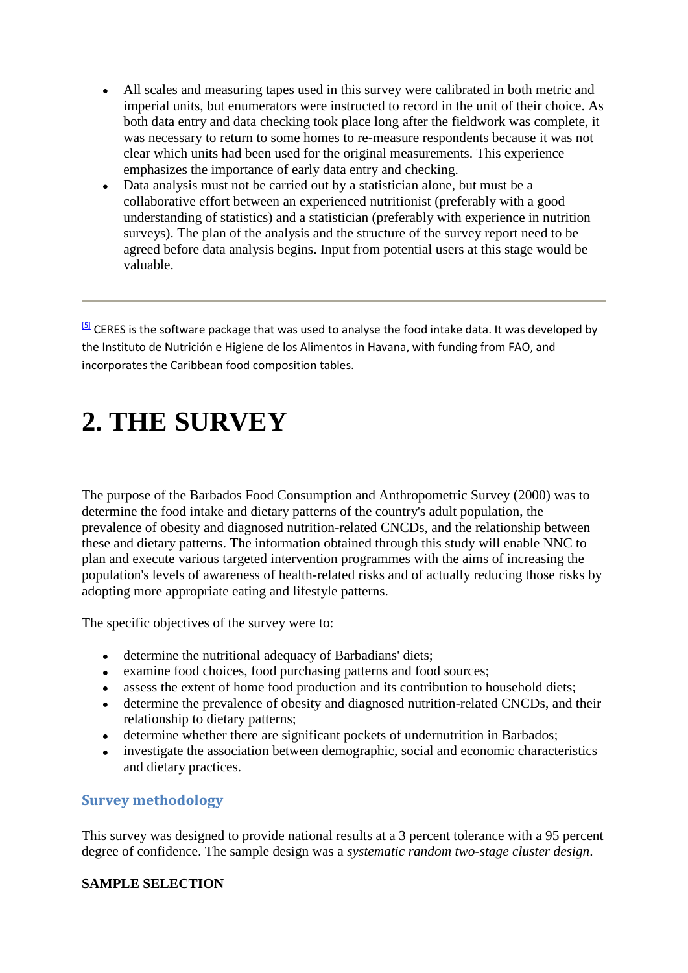- All scales and measuring tapes used in this survey were calibrated in both metric and imperial units, but enumerators were instructed to record in the unit of their choice. As both data entry and data checking took place long after the fieldwork was complete, it was necessary to return to some homes to re-measure respondents because it was not clear which units had been used for the original measurements. This experience emphasizes the importance of early data entry and checking.
- Data analysis must not be carried out by a statistician alone, but must be a  $\bullet$ collaborative effort between an experienced nutritionist (preferably with a good understanding of statistics) and a statistician (preferably with experience in nutrition surveys). The plan of the analysis and the structure of the survey report need to be agreed before data analysis begins. Input from potential users at this stage would be valuable.

<sup>[\[5\]](http://www.fao.org/docrep/008/y5883e/y5883e06.htm#fnB5)</sup> CERES is the software package that was used to analyse the food intake data. It was developed by the Instituto de Nutrición e Higiene de los Alimentos in Havana, with funding from FAO, and incorporates the Caribbean food composition tables.

# **2. THE SURVEY**

The purpose of the Barbados Food Consumption and Anthropometric Survey (2000) was to determine the food intake and dietary patterns of the country's adult population, the prevalence of obesity and diagnosed nutrition-related CNCDs, and the relationship between these and dietary patterns. The information obtained through this study will enable NNC to plan and execute various targeted intervention programmes with the aims of increasing the population's levels of awareness of health-related risks and of actually reducing those risks by adopting more appropriate eating and lifestyle patterns.

The specific objectives of the survey were to:

- determine the nutritional adequacy of Barbadians' diets;
- examine food choices, food purchasing patterns and food sources;
- assess the extent of home food production and its contribution to household diets;
- determine the prevalence of obesity and diagnosed nutrition-related CNCDs, and their relationship to dietary patterns;
- determine whether there are significant pockets of undernutrition in Barbados;
- investigate the association between demographic, social and economic characteristics and dietary practices.

## **Survey methodology**

This survey was designed to provide national results at a 3 percent tolerance with a 95 percent degree of confidence. The sample design was a *systematic random two-stage cluster design*.

## **SAMPLE SELECTION**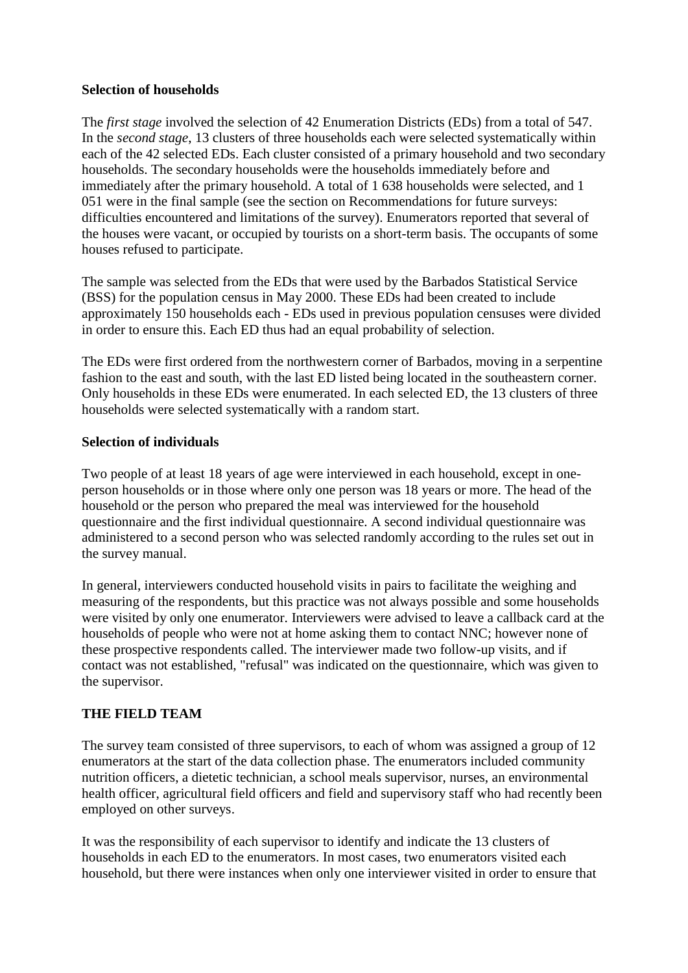### **Selection of households**

The *first stage* involved the selection of 42 Enumeration Districts (EDs) from a total of 547. In the *second stage*, 13 clusters of three households each were selected systematically within each of the 42 selected EDs. Each cluster consisted of a primary household and two secondary households. The secondary households were the households immediately before and immediately after the primary household. A total of 1 638 households were selected, and 1 051 were in the final sample (see the section on Recommendations for future surveys: difficulties encountered and limitations of the survey). Enumerators reported that several of the houses were vacant, or occupied by tourists on a short-term basis. The occupants of some houses refused to participate.

The sample was selected from the EDs that were used by the Barbados Statistical Service (BSS) for the population census in May 2000. These EDs had been created to include approximately 150 households each - EDs used in previous population censuses were divided in order to ensure this. Each ED thus had an equal probability of selection.

The EDs were first ordered from the northwestern corner of Barbados, moving in a serpentine fashion to the east and south, with the last ED listed being located in the southeastern corner. Only households in these EDs were enumerated. In each selected ED, the 13 clusters of three households were selected systematically with a random start.

### **Selection of individuals**

Two people of at least 18 years of age were interviewed in each household, except in oneperson households or in those where only one person was 18 years or more. The head of the household or the person who prepared the meal was interviewed for the household questionnaire and the first individual questionnaire. A second individual questionnaire was administered to a second person who was selected randomly according to the rules set out in the survey manual.

In general, interviewers conducted household visits in pairs to facilitate the weighing and measuring of the respondents, but this practice was not always possible and some households were visited by only one enumerator. Interviewers were advised to leave a callback card at the households of people who were not at home asking them to contact NNC; however none of these prospective respondents called. The interviewer made two follow-up visits, and if contact was not established, "refusal" was indicated on the questionnaire, which was given to the supervisor.

### **THE FIELD TEAM**

The survey team consisted of three supervisors, to each of whom was assigned a group of 12 enumerators at the start of the data collection phase. The enumerators included community nutrition officers, a dietetic technician, a school meals supervisor, nurses, an environmental health officer, agricultural field officers and field and supervisory staff who had recently been employed on other surveys.

It was the responsibility of each supervisor to identify and indicate the 13 clusters of households in each ED to the enumerators. In most cases, two enumerators visited each household, but there were instances when only one interviewer visited in order to ensure that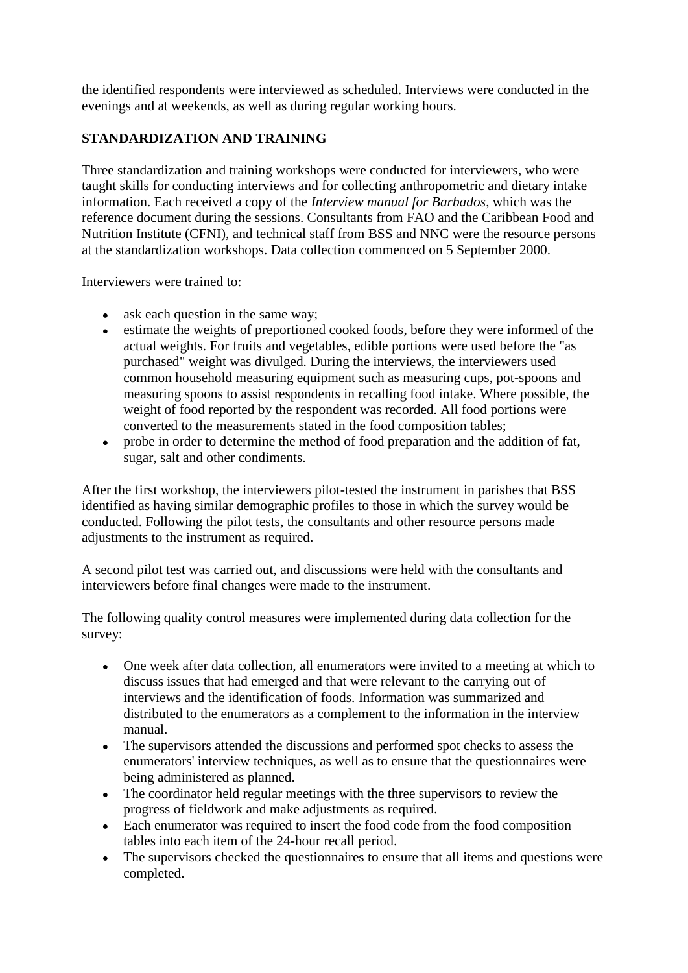the identified respondents were interviewed as scheduled. Interviews were conducted in the evenings and at weekends, as well as during regular working hours.

## **STANDARDIZATION AND TRAINING**

Three standardization and training workshops were conducted for interviewers, who were taught skills for conducting interviews and for collecting anthropometric and dietary intake information. Each received a copy of the *Interview manual for Barbados*, which was the reference document during the sessions. Consultants from FAO and the Caribbean Food and Nutrition Institute (CFNI), and technical staff from BSS and NNC were the resource persons at the standardization workshops. Data collection commenced on 5 September 2000.

Interviewers were trained to:

- ask each question in the same way;
- estimate the weights of preportioned cooked foods, before they were informed of the actual weights. For fruits and vegetables, edible portions were used before the "as purchased" weight was divulged. During the interviews, the interviewers used common household measuring equipment such as measuring cups, pot-spoons and measuring spoons to assist respondents in recalling food intake. Where possible, the weight of food reported by the respondent was recorded. All food portions were converted to the measurements stated in the food composition tables;
- $\bullet$ probe in order to determine the method of food preparation and the addition of fat, sugar, salt and other condiments.

After the first workshop, the interviewers pilot-tested the instrument in parishes that BSS identified as having similar demographic profiles to those in which the survey would be conducted. Following the pilot tests, the consultants and other resource persons made adjustments to the instrument as required.

A second pilot test was carried out, and discussions were held with the consultants and interviewers before final changes were made to the instrument.

The following quality control measures were implemented during data collection for the survey:

- One week after data collection, all enumerators were invited to a meeting at which to discuss issues that had emerged and that were relevant to the carrying out of interviews and the identification of foods. Information was summarized and distributed to the enumerators as a complement to the information in the interview manual.
- The supervisors attended the discussions and performed spot checks to assess the enumerators' interview techniques, as well as to ensure that the questionnaires were being administered as planned.
- The coordinator held regular meetings with the three supervisors to review the progress of fieldwork and make adjustments as required.
- Each enumerator was required to insert the food code from the food composition tables into each item of the 24-hour recall period.
- The supervisors checked the questionnaires to ensure that all items and questions were completed.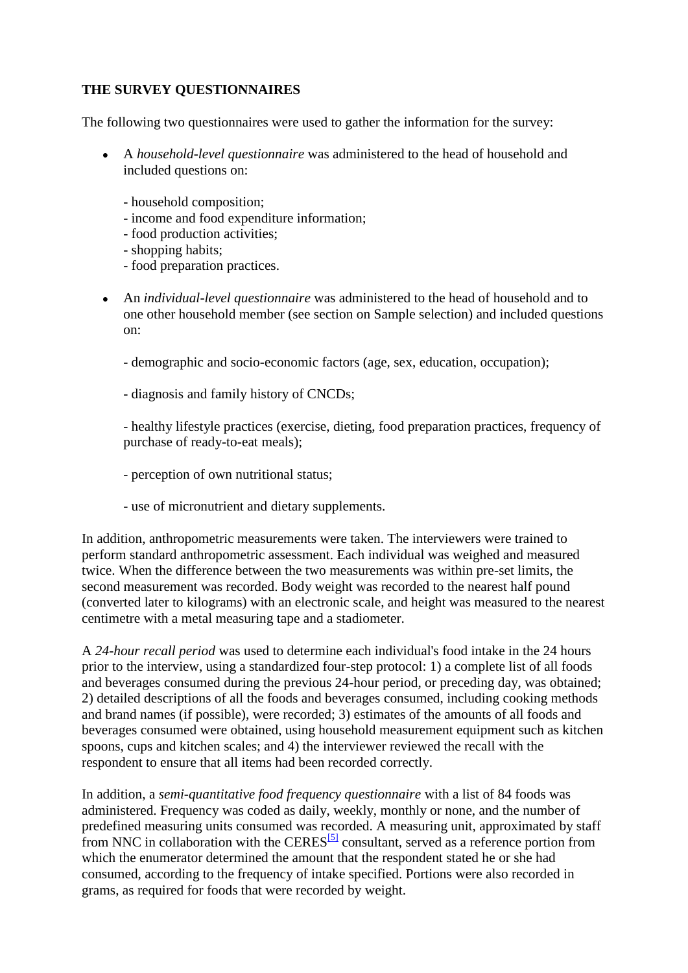### **THE SURVEY QUESTIONNAIRES**

The following two questionnaires were used to gather the information for the survey:

- A *household-level questionnaire* was administered to the head of household and included questions on:
	- household composition;
	- income and food expenditure information;
	- food production activities;
	- shopping habits;
	- food preparation practices.
- An *individual-level questionnaire* was administered to the head of household and to one other household member (see section on Sample selection) and included questions on:
	- demographic and socio-economic factors (age, sex, education, occupation);
	- diagnosis and family history of CNCDs;

- healthy lifestyle practices (exercise, dieting, food preparation practices, frequency of purchase of ready-to-eat meals);

- perception of own nutritional status;
- use of micronutrient and dietary supplements.

In addition, anthropometric measurements were taken. The interviewers were trained to perform standard anthropometric assessment. Each individual was weighed and measured twice. When the difference between the two measurements was within pre-set limits, the second measurement was recorded. Body weight was recorded to the nearest half pound (converted later to kilograms) with an electronic scale, and height was measured to the nearest centimetre with a metal measuring tape and a stadiometer.

A *24-hour recall period* was used to determine each individual's food intake in the 24 hours prior to the interview, using a standardized four-step protocol: 1) a complete list of all foods and beverages consumed during the previous 24-hour period, or preceding day, was obtained; 2) detailed descriptions of all the foods and beverages consumed, including cooking methods and brand names (if possible), were recorded; 3) estimates of the amounts of all foods and beverages consumed were obtained, using household measurement equipment such as kitchen spoons, cups and kitchen scales; and 4) the interviewer reviewed the recall with the respondent to ensure that all items had been recorded correctly.

In addition, a *semi-quantitative food frequency questionnaire* with a list of 84 foods was administered. Frequency was coded as daily, weekly, monthly or none, and the number of predefined measuring units consumed was recorded. A measuring unit, approximated by staff from NNC in collaboration with the CERES<sup>[\[5\]](http://www.fao.org/docrep/008/y5883e/y5883e06.htm#fn5)</sup> consultant, served as a reference portion from which the enumerator determined the amount that the respondent stated he or she had consumed, according to the frequency of intake specified. Portions were also recorded in grams, as required for foods that were recorded by weight.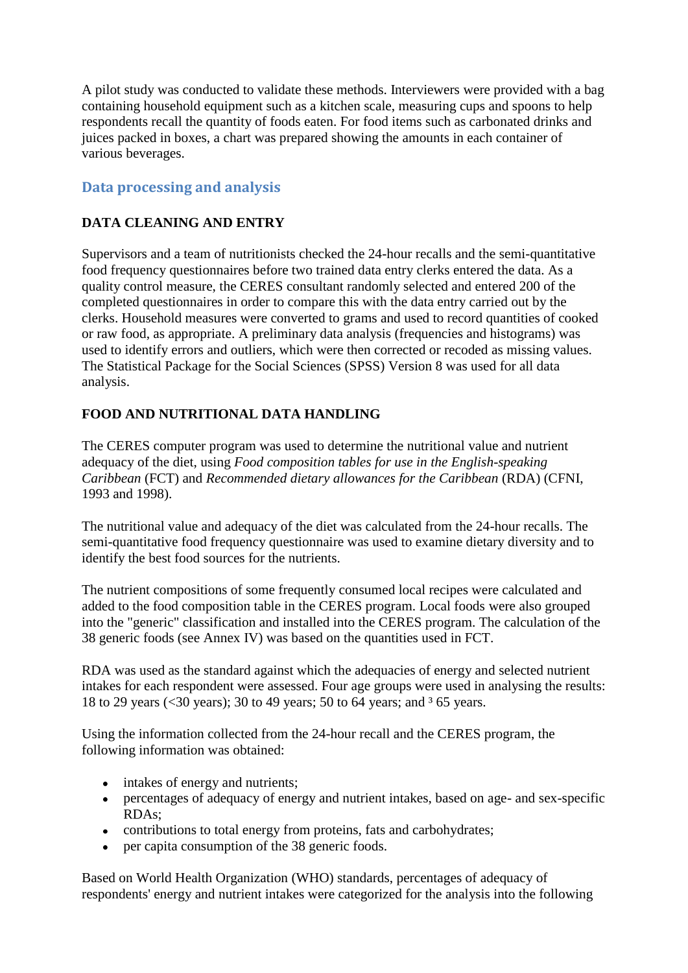A pilot study was conducted to validate these methods. Interviewers were provided with a bag containing household equipment such as a kitchen scale, measuring cups and spoons to help respondents recall the quantity of foods eaten. For food items such as carbonated drinks and juices packed in boxes, a chart was prepared showing the amounts in each container of various beverages.

## **Data processing and analysis**

### **DATA CLEANING AND ENTRY**

Supervisors and a team of nutritionists checked the 24-hour recalls and the semi-quantitative food frequency questionnaires before two trained data entry clerks entered the data. As a quality control measure, the CERES consultant randomly selected and entered 200 of the completed questionnaires in order to compare this with the data entry carried out by the clerks. Household measures were converted to grams and used to record quantities of cooked or raw food, as appropriate. A preliminary data analysis (frequencies and histograms) was used to identify errors and outliers, which were then corrected or recoded as missing values. The Statistical Package for the Social Sciences (SPSS) Version 8 was used for all data analysis.

### **FOOD AND NUTRITIONAL DATA HANDLING**

The CERES computer program was used to determine the nutritional value and nutrient adequacy of the diet, using *Food composition tables for use in the English-speaking Caribbean* (FCT) and *Recommended dietary allowances for the Caribbean* (RDA) (CFNI, 1993 and 1998).

The nutritional value and adequacy of the diet was calculated from the 24-hour recalls. The semi-quantitative food frequency questionnaire was used to examine dietary diversity and to identify the best food sources for the nutrients.

The nutrient compositions of some frequently consumed local recipes were calculated and added to the food composition table in the CERES program. Local foods were also grouped into the "generic" classification and installed into the CERES program. The calculation of the 38 generic foods (see Annex IV) was based on the quantities used in FCT.

RDA was used as the standard against which the adequacies of energy and selected nutrient intakes for each respondent were assessed. Four age groups were used in analysing the results: 18 to 29 years (<30 years); 30 to 49 years; 50 to 64 years; and  $3\overline{65}$  years.

Using the information collected from the 24-hour recall and the CERES program, the following information was obtained:

- intakes of energy and nutrients;
- percentages of adequacy of energy and nutrient intakes, based on age- and sex-specific RDAs;
- contributions to total energy from proteins, fats and carbohydrates;
- per capita consumption of the 38 generic foods.

Based on World Health Organization (WHO) standards, percentages of adequacy of respondents' energy and nutrient intakes were categorized for the analysis into the following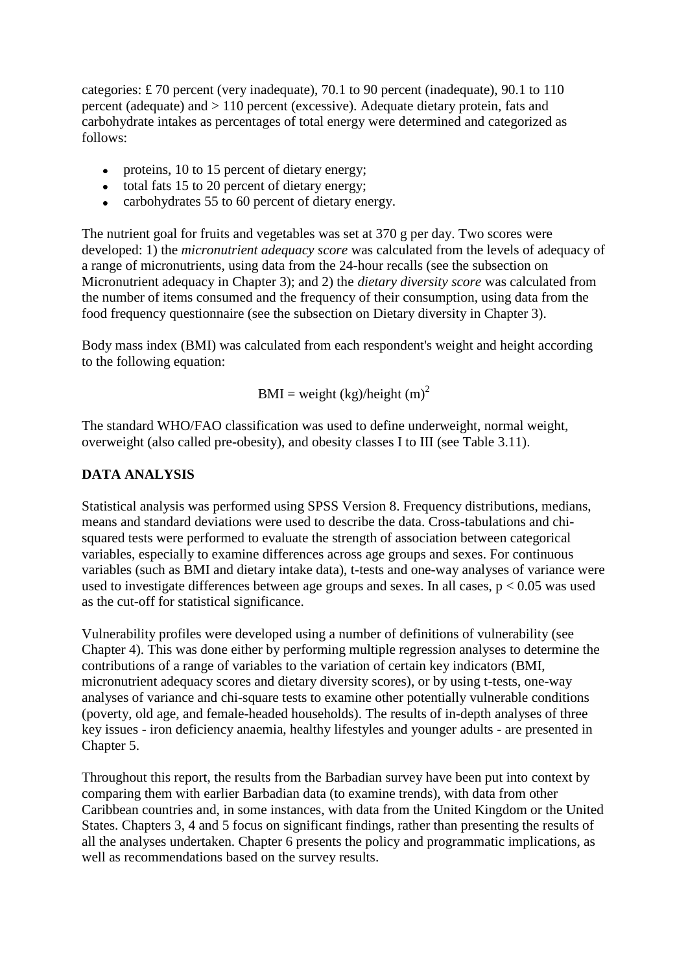categories: £ 70 percent (very inadequate), 70.1 to 90 percent (inadequate), 90.1 to 110 percent (adequate) and > 110 percent (excessive). Adequate dietary protein, fats and carbohydrate intakes as percentages of total energy were determined and categorized as follows:

- proteins, 10 to 15 percent of dietary energy;
- total fats 15 to 20 percent of dietary energy;
- carbohydrates 55 to 60 percent of dietary energy.

The nutrient goal for fruits and vegetables was set at 370 g per day. Two scores were developed: 1) the *micronutrient adequacy score* was calculated from the levels of adequacy of a range of micronutrients, using data from the 24-hour recalls (see the subsection on Micronutrient adequacy in Chapter 3); and 2) the *dietary diversity score* was calculated from the number of items consumed and the frequency of their consumption, using data from the food frequency questionnaire (see the subsection on Dietary diversity in Chapter 3).

Body mass index (BMI) was calculated from each respondent's weight and height according to the following equation:

$$
BMI = weight (kg)/height (m)2
$$

The standard WHO/FAO classification was used to define underweight, normal weight, overweight (also called pre-obesity), and obesity classes I to III (see Table 3.11).

### **DATA ANALYSIS**

Statistical analysis was performed using SPSS Version 8. Frequency distributions, medians, means and standard deviations were used to describe the data. Cross-tabulations and chisquared tests were performed to evaluate the strength of association between categorical variables, especially to examine differences across age groups and sexes. For continuous variables (such as BMI and dietary intake data), t-tests and one-way analyses of variance were used to investigate differences between age groups and sexes. In all cases,  $p < 0.05$  was used as the cut-off for statistical significance.

Vulnerability profiles were developed using a number of definitions of vulnerability (see Chapter 4). This was done either by performing multiple regression analyses to determine the contributions of a range of variables to the variation of certain key indicators (BMI, micronutrient adequacy scores and dietary diversity scores), or by using t-tests, one-way analyses of variance and chi-square tests to examine other potentially vulnerable conditions (poverty, old age, and female-headed households). The results of in-depth analyses of three key issues - iron deficiency anaemia, healthy lifestyles and younger adults - are presented in Chapter 5.

Throughout this report, the results from the Barbadian survey have been put into context by comparing them with earlier Barbadian data (to examine trends), with data from other Caribbean countries and, in some instances, with data from the United Kingdom or the United States. Chapters 3, 4 and 5 focus on significant findings, rather than presenting the results of all the analyses undertaken. Chapter 6 presents the policy and programmatic implications, as well as recommendations based on the survey results.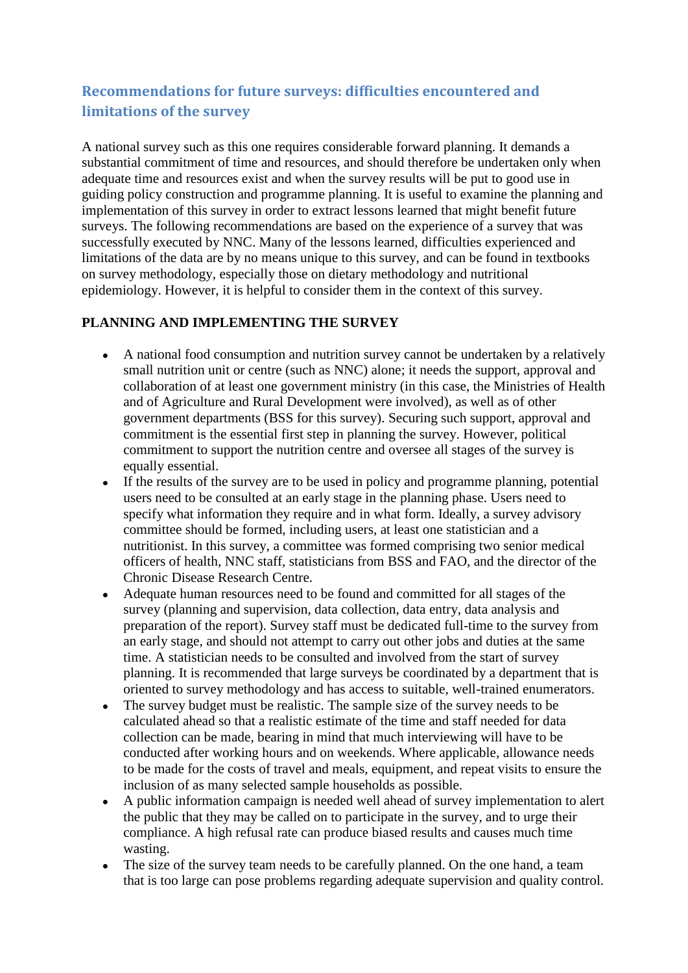## **Recommendations for future surveys: difficulties encountered and limitations of the survey**

A national survey such as this one requires considerable forward planning. It demands a substantial commitment of time and resources, and should therefore be undertaken only when adequate time and resources exist and when the survey results will be put to good use in guiding policy construction and programme planning. It is useful to examine the planning and implementation of this survey in order to extract lessons learned that might benefit future surveys. The following recommendations are based on the experience of a survey that was successfully executed by NNC. Many of the lessons learned, difficulties experienced and limitations of the data are by no means unique to this survey, and can be found in textbooks on survey methodology, especially those on dietary methodology and nutritional epidemiology. However, it is helpful to consider them in the context of this survey.

## **PLANNING AND IMPLEMENTING THE SURVEY**

- A national food consumption and nutrition survey cannot be undertaken by a relatively small nutrition unit or centre (such as NNC) alone; it needs the support, approval and collaboration of at least one government ministry (in this case, the Ministries of Health and of Agriculture and Rural Development were involved), as well as of other government departments (BSS for this survey). Securing such support, approval and commitment is the essential first step in planning the survey. However, political commitment to support the nutrition centre and oversee all stages of the survey is equally essential.
- If the results of the survey are to be used in policy and programme planning, potential  $\bullet$ users need to be consulted at an early stage in the planning phase. Users need to specify what information they require and in what form. Ideally, a survey advisory committee should be formed, including users, at least one statistician and a nutritionist. In this survey, a committee was formed comprising two senior medical officers of health, NNC staff, statisticians from BSS and FAO, and the director of the Chronic Disease Research Centre.
- Adequate human resources need to be found and committed for all stages of the survey (planning and supervision, data collection, data entry, data analysis and preparation of the report). Survey staff must be dedicated full-time to the survey from an early stage, and should not attempt to carry out other jobs and duties at the same time. A statistician needs to be consulted and involved from the start of survey planning. It is recommended that large surveys be coordinated by a department that is oriented to survey methodology and has access to suitable, well-trained enumerators.
- The survey budget must be realistic. The sample size of the survey needs to be  $\bullet$ calculated ahead so that a realistic estimate of the time and staff needed for data collection can be made, bearing in mind that much interviewing will have to be conducted after working hours and on weekends. Where applicable, allowance needs to be made for the costs of travel and meals, equipment, and repeat visits to ensure the inclusion of as many selected sample households as possible.
- A public information campaign is needed well ahead of survey implementation to alert  $\bullet$ the public that they may be called on to participate in the survey, and to urge their compliance. A high refusal rate can produce biased results and causes much time wasting.
- The size of the survey team needs to be carefully planned. On the one hand, a team that is too large can pose problems regarding adequate supervision and quality control.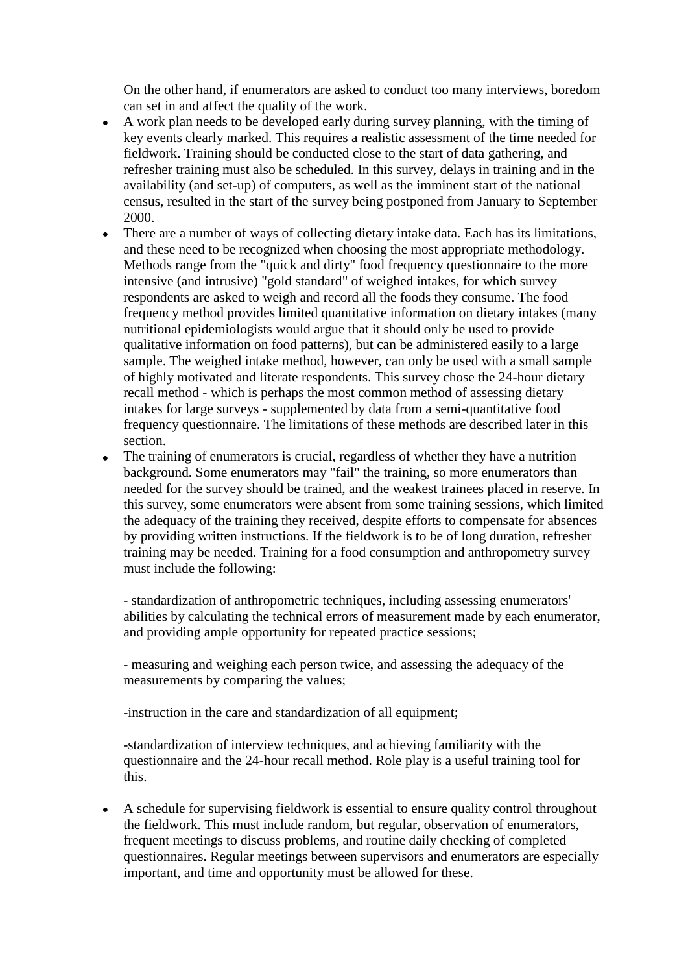On the other hand, if enumerators are asked to conduct too many interviews, boredom can set in and affect the quality of the work.

- A work plan needs to be developed early during survey planning, with the timing of key events clearly marked. This requires a realistic assessment of the time needed for fieldwork. Training should be conducted close to the start of data gathering, and refresher training must also be scheduled. In this survey, delays in training and in the availability (and set-up) of computers, as well as the imminent start of the national census, resulted in the start of the survey being postponed from January to September 2000.
- There are a number of ways of collecting dietary intake data. Each has its limitations,  $\bullet$ and these need to be recognized when choosing the most appropriate methodology. Methods range from the "quick and dirty" food frequency questionnaire to the more intensive (and intrusive) "gold standard" of weighed intakes, for which survey respondents are asked to weigh and record all the foods they consume. The food frequency method provides limited quantitative information on dietary intakes (many nutritional epidemiologists would argue that it should only be used to provide qualitative information on food patterns), but can be administered easily to a large sample. The weighed intake method, however, can only be used with a small sample of highly motivated and literate respondents. This survey chose the 24-hour dietary recall method - which is perhaps the most common method of assessing dietary intakes for large surveys - supplemented by data from a semi-quantitative food frequency questionnaire. The limitations of these methods are described later in this section.
- The training of enumerators is crucial, regardless of whether they have a nutrition background. Some enumerators may "fail" the training, so more enumerators than needed for the survey should be trained, and the weakest trainees placed in reserve. In this survey, some enumerators were absent from some training sessions, which limited the adequacy of the training they received, despite efforts to compensate for absences by providing written instructions. If the fieldwork is to be of long duration, refresher training may be needed. Training for a food consumption and anthropometry survey must include the following:

- standardization of anthropometric techniques, including assessing enumerators' abilities by calculating the technical errors of measurement made by each enumerator, and providing ample opportunity for repeated practice sessions;

- measuring and weighing each person twice, and assessing the adequacy of the measurements by comparing the values;

-instruction in the care and standardization of all equipment;

-standardization of interview techniques, and achieving familiarity with the questionnaire and the 24-hour recall method. Role play is a useful training tool for this.

A schedule for supervising fieldwork is essential to ensure quality control throughout  $\bullet$ the fieldwork. This must include random, but regular, observation of enumerators, frequent meetings to discuss problems, and routine daily checking of completed questionnaires. Regular meetings between supervisors and enumerators are especially important, and time and opportunity must be allowed for these.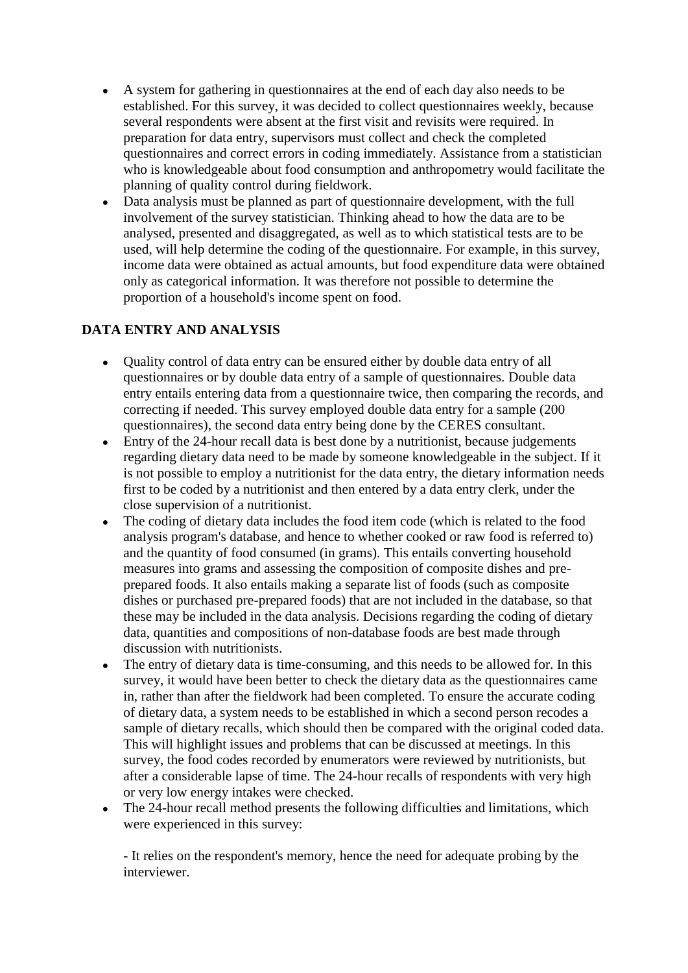- A system for gathering in questionnaires at the end of each day also needs to be established. For this survey, it was decided to collect questionnaires weekly, because several respondents were absent at the first visit and revisits were required. In preparation for data entry, supervisors must collect and check the completed questionnaires and correct errors in coding immediately. Assistance from a statistician who is knowledgeable about food consumption and anthropometry would facilitate the planning of quality control during fieldwork.
- Data analysis must be planned as part of questionnaire development, with the full  $\bullet$ involvement of the survey statistician. Thinking ahead to how the data are to be analysed, presented and disaggregated, as well as to which statistical tests are to be used, will help determine the coding of the questionnaire. For example, in this survey, income data were obtained as actual amounts, but food expenditure data were obtained only as categorical information. It was therefore not possible to determine the proportion of a household's income spent on food.

## **DATA ENTRY AND ANALYSIS**

- Quality control of data entry can be ensured either by double data entry of all questionnaires or by double data entry of a sample of questionnaires. Double data entry entails entering data from a questionnaire twice, then comparing the records, and correcting if needed. This survey employed double data entry for a sample (200 questionnaires), the second data entry being done by the CERES consultant.
- Entry of the 24-hour recall data is best done by a nutritionist, because judgements regarding dietary data need to be made by someone knowledgeable in the subject. If it is not possible to employ a nutritionist for the data entry, the dietary information needs first to be coded by a nutritionist and then entered by a data entry clerk, under the close supervision of a nutritionist.
- The coding of dietary data includes the food item code (which is related to the food analysis program's database, and hence to whether cooked or raw food is referred to) and the quantity of food consumed (in grams). This entails converting household measures into grams and assessing the composition of composite dishes and preprepared foods. It also entails making a separate list of foods (such as composite dishes or purchased pre-prepared foods) that are not included in the database, so that these may be included in the data analysis. Decisions regarding the coding of dietary data, quantities and compositions of non-database foods are best made through discussion with nutritionists.
- The entry of dietary data is time-consuming, and this needs to be allowed for. In this  $\bullet$ survey, it would have been better to check the dietary data as the questionnaires came in, rather than after the fieldwork had been completed. To ensure the accurate coding of dietary data, a system needs to be established in which a second person recodes a sample of dietary recalls, which should then be compared with the original coded data. This will highlight issues and problems that can be discussed at meetings. In this survey, the food codes recorded by enumerators were reviewed by nutritionists, but after a considerable lapse of time. The 24-hour recalls of respondents with very high or very low energy intakes were checked.
- The 24-hour recall method presents the following difficulties and limitations, which  $\bullet$ were experienced in this survey:

- It relies on the respondent's memory, hence the need for adequate probing by the interviewer.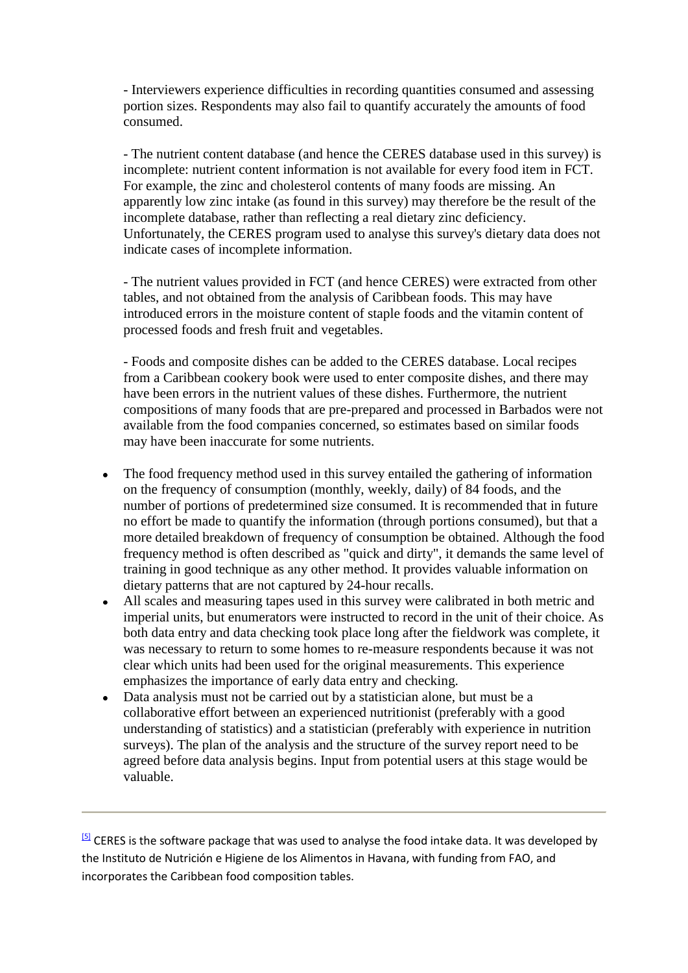- Interviewers experience difficulties in recording quantities consumed and assessing portion sizes. Respondents may also fail to quantify accurately the amounts of food consumed.

- The nutrient content database (and hence the CERES database used in this survey) is incomplete: nutrient content information is not available for every food item in FCT. For example, the zinc and cholesterol contents of many foods are missing. An apparently low zinc intake (as found in this survey) may therefore be the result of the incomplete database, rather than reflecting a real dietary zinc deficiency. Unfortunately, the CERES program used to analyse this survey's dietary data does not indicate cases of incomplete information.

- The nutrient values provided in FCT (and hence CERES) were extracted from other tables, and not obtained from the analysis of Caribbean foods. This may have introduced errors in the moisture content of staple foods and the vitamin content of processed foods and fresh fruit and vegetables.

- Foods and composite dishes can be added to the CERES database. Local recipes from a Caribbean cookery book were used to enter composite dishes, and there may have been errors in the nutrient values of these dishes. Furthermore, the nutrient compositions of many foods that are pre-prepared and processed in Barbados were not available from the food companies concerned, so estimates based on similar foods may have been inaccurate for some nutrients.

- The food frequency method used in this survey entailed the gathering of information  $\bullet$ on the frequency of consumption (monthly, weekly, daily) of 84 foods, and the number of portions of predetermined size consumed. It is recommended that in future no effort be made to quantify the information (through portions consumed), but that a more detailed breakdown of frequency of consumption be obtained. Although the food frequency method is often described as "quick and dirty", it demands the same level of training in good technique as any other method. It provides valuable information on dietary patterns that are not captured by 24-hour recalls.
- All scales and measuring tapes used in this survey were calibrated in both metric and imperial units, but enumerators were instructed to record in the unit of their choice. As both data entry and data checking took place long after the fieldwork was complete, it was necessary to return to some homes to re-measure respondents because it was not clear which units had been used for the original measurements. This experience emphasizes the importance of early data entry and checking.
- Data analysis must not be carried out by a statistician alone, but must be a  $\bullet$ collaborative effort between an experienced nutritionist (preferably with a good understanding of statistics) and a statistician (preferably with experience in nutrition surveys). The plan of the analysis and the structure of the survey report need to be agreed before data analysis begins. Input from potential users at this stage would be valuable.

 $5$  CERES is the software package that was used to analyse the food intake data. It was developed by the Instituto de Nutrición e Higiene de los Alimentos in Havana, with funding from FAO, and incorporates the Caribbean food composition tables.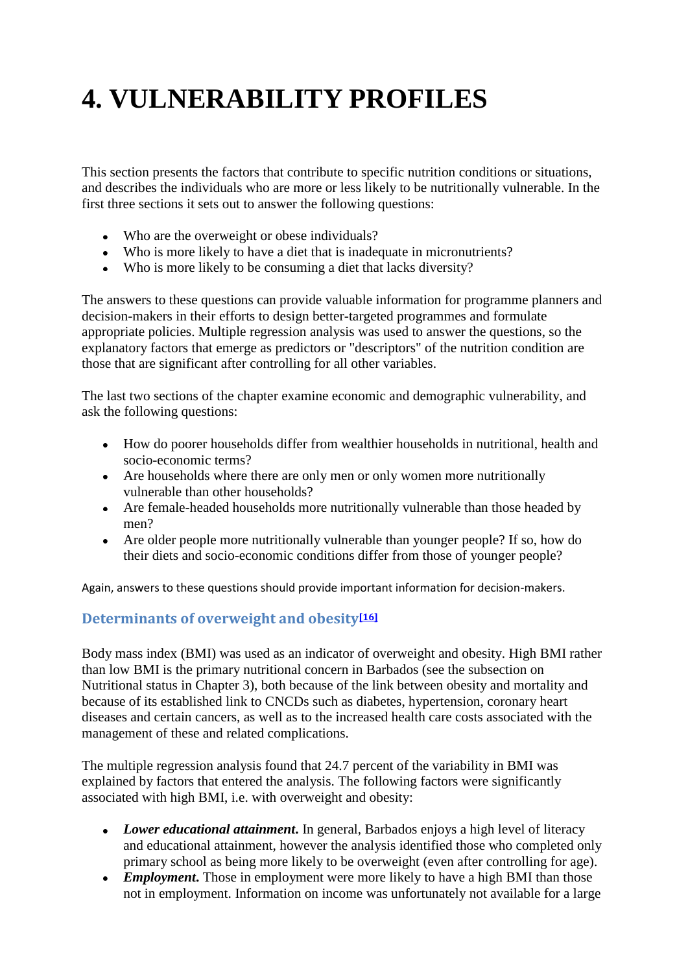# **4. VULNERABILITY PROFILES**

This section presents the factors that contribute to specific nutrition conditions or situations, and describes the individuals who are more or less likely to be nutritionally vulnerable. In the first three sections it sets out to answer the following questions:

- Who are the overweight or obese individuals?
- Who is more likely to have a diet that is inadequate in micronutrients?
- Who is more likely to be consuming a diet that lacks diversity?

The answers to these questions can provide valuable information for programme planners and decision-makers in their efforts to design better-targeted programmes and formulate appropriate policies. Multiple regression analysis was used to answer the questions, so the explanatory factors that emerge as predictors or "descriptors" of the nutrition condition are those that are significant after controlling for all other variables.

The last two sections of the chapter examine economic and demographic vulnerability, and ask the following questions:

- How do poorer households differ from wealthier households in nutritional, health and socio-economic terms?
- Are households where there are only men or only women more nutritionally vulnerable than other households?
- Are female-headed households more nutritionally vulnerable than those headed by men?
- Are older people more nutritionally vulnerable than younger people? If so, how do their diets and socio-economic conditions differ from those of younger people?

Again, answers to these questions should provide important information for decision-makers.

## **Determinants of overweight and obesity[\[16\]](http://www.fao.org/docrep/008/y5883e/y5883e08.htm#fn16)**

Body mass index (BMI) was used as an indicator of overweight and obesity. High BMI rather than low BMI is the primary nutritional concern in Barbados (see the subsection on Nutritional status in Chapter 3), both because of the link between obesity and mortality and because of its established link to CNCDs such as diabetes, hypertension, coronary heart diseases and certain cancers, as well as to the increased health care costs associated with the management of these and related complications.

The multiple regression analysis found that 24.7 percent of the variability in BMI was explained by factors that entered the analysis. The following factors were significantly associated with high BMI, i.e. with overweight and obesity:

- *Lower educational attainment*. In general, Barbados enjoys a high level of literacy and educational attainment, however the analysis identified those who completed only primary school as being more likely to be overweight (even after controlling for age).
- *Employment***.** Those in employment were more likely to have a high BMI than those not in employment. Information on income was unfortunately not available for a large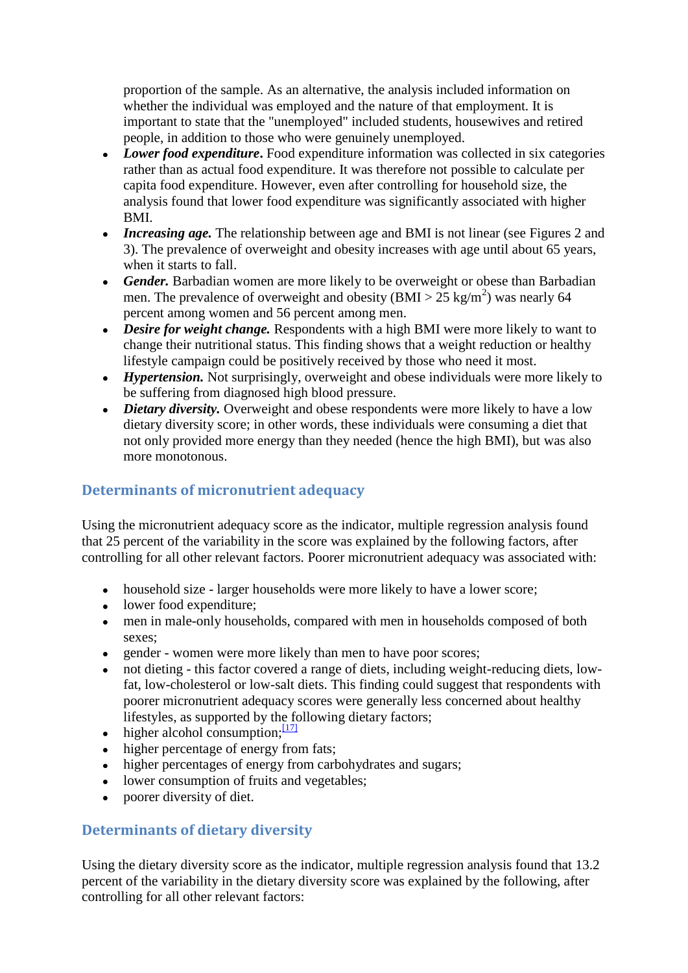proportion of the sample. As an alternative, the analysis included information on whether the individual was employed and the nature of that employment. It is important to state that the "unemployed" included students, housewives and retired people, in addition to those who were genuinely unemployed.

- Lower food expenditure. Food expenditure information was collected in six categories rather than as actual food expenditure. It was therefore not possible to calculate per capita food expenditure. However, even after controlling for household size, the analysis found that lower food expenditure was significantly associated with higher BMI.
- *Increasing age*. The relationship between age and BMI is not linear (see Figures 2 and 3). The prevalence of overweight and obesity increases with age until about 65 years, when it starts to fall.
- *Gender.* Barbadian women are more likely to be overweight or obese than Barbadian men. The prevalence of overweight and obesity (BMI >  $25 \text{ kg/m}^2$ ) was nearly 64 percent among women and 56 percent among men.
- *Desire for weight change.* Respondents with a high BMI were more likely to want to change their nutritional status. This finding shows that a weight reduction or healthy lifestyle campaign could be positively received by those who need it most.
- *Hypertension.* Not surprisingly, overweight and obese individuals were more likely to be suffering from diagnosed high blood pressure.
- *Dietary diversity*. Overweight and obese respondents were more likely to have a low dietary diversity score; in other words, these individuals were consuming a diet that not only provided more energy than they needed (hence the high BMI), but was also more monotonous.

## **Determinants of micronutrient adequacy**

Using the micronutrient adequacy score as the indicator, multiple regression analysis found that 25 percent of the variability in the score was explained by the following factors, after controlling for all other relevant factors. Poorer micronutrient adequacy was associated with:

- household size larger households were more likely to have a lower score;
- lower food expenditure;
- men in male-only households, compared with men in households composed of both sexes;
- gender women were more likely than men to have poor scores;
- not dieting this factor covered a range of diets, including weight-reducing diets, lowfat, low-cholesterol or low-salt diets. This finding could suggest that respondents with poorer micronutrient adequacy scores were generally less concerned about healthy lifestyles, as supported by the following dietary factors;
- $\bullet$  higher alcohol consumption;  $\frac{17}{7}$
- higher percentage of energy from fats;
- higher percentages of energy from carbohydrates and sugars;
- lower consumption of fruits and vegetables;
- poorer diversity of diet.

## **Determinants of dietary diversity**

Using the dietary diversity score as the indicator, multiple regression analysis found that 13.2 percent of the variability in the dietary diversity score was explained by the following, after controlling for all other relevant factors: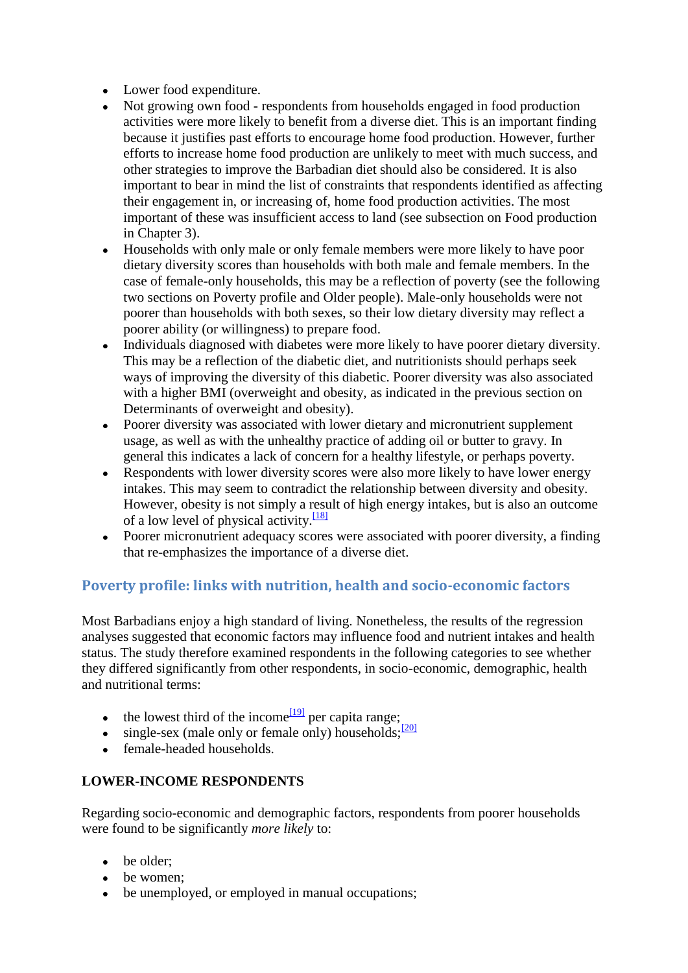- Lower food expenditure.
- Not growing own food respondents from households engaged in food production activities were more likely to benefit from a diverse diet. This is an important finding because it justifies past efforts to encourage home food production. However, further efforts to increase home food production are unlikely to meet with much success, and other strategies to improve the Barbadian diet should also be considered. It is also important to bear in mind the list of constraints that respondents identified as affecting their engagement in, or increasing of, home food production activities. The most important of these was insufficient access to land (see subsection on Food production in Chapter 3).
- Households with only male or only female members were more likely to have poor dietary diversity scores than households with both male and female members. In the case of female-only households, this may be a reflection of poverty (see the following two sections on Poverty profile and Older people). Male-only households were not poorer than households with both sexes, so their low dietary diversity may reflect a poorer ability (or willingness) to prepare food.
- Individuals diagnosed with diabetes were more likely to have poorer dietary diversity. This may be a reflection of the diabetic diet, and nutritionists should perhaps seek ways of improving the diversity of this diabetic. Poorer diversity was also associated with a higher BMI (overweight and obesity, as indicated in the previous section on Determinants of overweight and obesity).
- Poorer diversity was associated with lower dietary and micronutrient supplement usage, as well as with the unhealthy practice of adding oil or butter to gravy. In general this indicates a lack of concern for a healthy lifestyle, or perhaps poverty.
- Respondents with lower diversity scores were also more likely to have lower energy intakes. This may seem to contradict the relationship between diversity and obesity. However, obesity is not simply a result of high energy intakes, but is also an outcome of a low level of physical activity. $\frac{18}{8}$
- Poorer micronutrient adequacy scores were associated with poorer diversity, a finding that re-emphasizes the importance of a diverse diet.

## **Poverty profile: links with nutrition, health and socio-economic factors**

Most Barbadians enjoy a high standard of living. Nonetheless, the results of the regression analyses suggested that economic factors may influence food and nutrient intakes and health status. The study therefore examined respondents in the following categories to see whether they differed significantly from other respondents, in socio-economic, demographic, health and nutritional terms:

- $\bullet$  the lowest third of the income  $\frac{1191}{2}$  per capita range;
- $\cdot$  single-sex (male only or female only) households; $\frac{[20]}{[20]}$  $\frac{[20]}{[20]}$  $\frac{[20]}{[20]}$
- female-headed households.

#### **LOWER-INCOME RESPONDENTS**

Regarding socio-economic and demographic factors, respondents from poorer households were found to be significantly *more likely* to:

- be older:
- be women:
- be unemployed, or employed in manual occupations;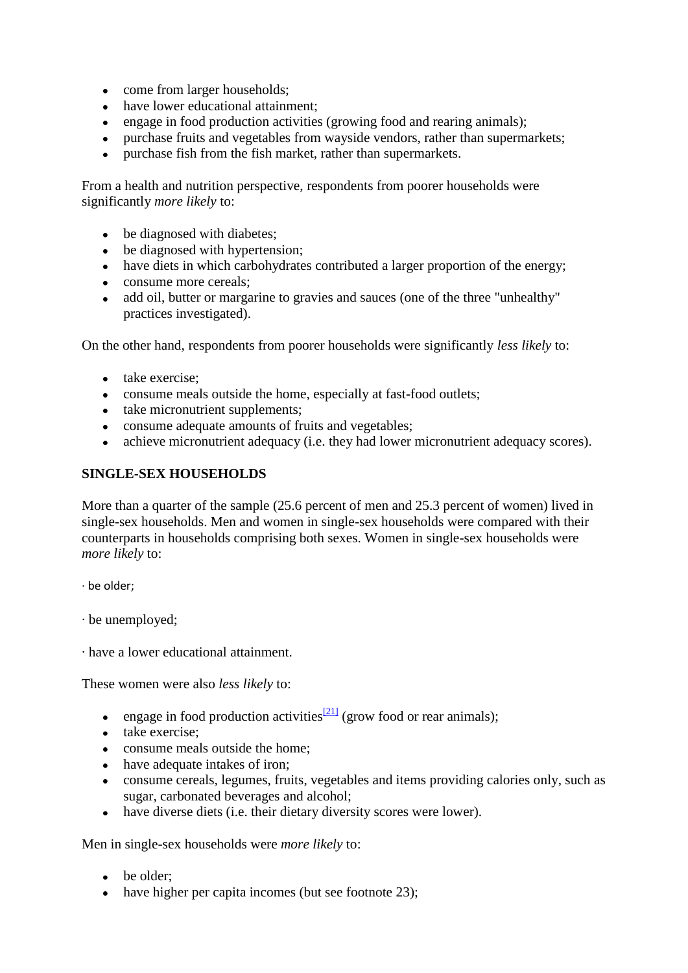- come from larger households;
- have lower educational attainment:
- engage in food production activities (growing food and rearing animals);
- purchase fruits and vegetables from wayside vendors, rather than supermarkets;
- purchase fish from the fish market, rather than supermarkets.

From a health and nutrition perspective, respondents from poorer households were significantly *more likely* to:

- be diagnosed with diabetes;
- be diagnosed with hypertension;
- have diets in which carbohydrates contributed a larger proportion of the energy;
- consume more cereals:
- add oil, butter or margarine to gravies and sauces (one of the three "unhealthy" practices investigated).

On the other hand, respondents from poorer households were significantly *less likely* to:

- take exercise:
- consume meals outside the home, especially at fast-food outlets;
- take micronutrient supplements;
- consume adequate amounts of fruits and vegetables;
- achieve micronutrient adequacy (i.e. they had lower micronutrient adequacy scores).

#### **SINGLE-SEX HOUSEHOLDS**

More than a quarter of the sample (25.6 percent of men and 25.3 percent of women) lived in single-sex households. Men and women in single-sex households were compared with their counterparts in households comprising both sexes. Women in single-sex households were *more likely* to:

· be older;

- · be unemployed;
- · have a lower educational attainment.

These women were also *less likely* to:

- engage in food production activities  $\frac{[21]}{]}$  $\frac{[21]}{]}$  $\frac{[21]}{]}$  (grow food or rear animals);
- take exercise:
- consume meals outside the home;
- have adequate intakes of iron;
- consume cereals, legumes, fruits, vegetables and items providing calories only, such as sugar, carbonated beverages and alcohol;
- have diverse diets (i.e. their dietary diversity scores were lower).

Men in single-sex households were *more likely* to:

- be older:
- have higher per capita incomes (but see footnote 23);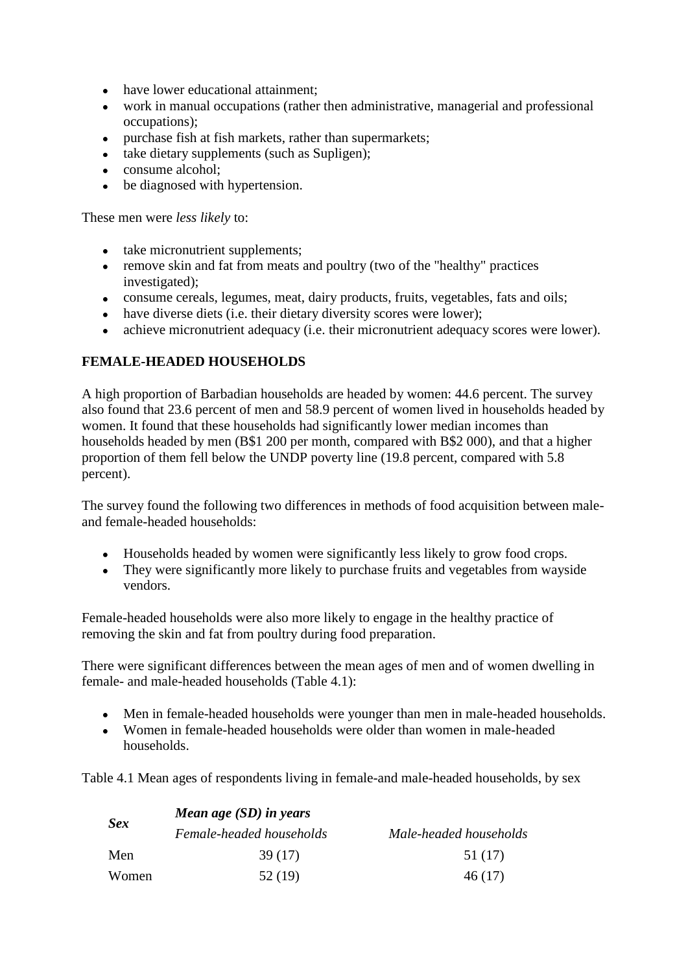- have lower educational attainment:
- work in manual occupations (rather then administrative, managerial and professional occupations);
- purchase fish at fish markets, rather than supermarkets;
- take dietary supplements (such as Supligen);
- consume alcohol:
- be diagnosed with hypertension.

These men were *less likely* to:

- take micronutrient supplements;
- remove skin and fat from meats and poultry (two of the "healthy" practices investigated);
- consume cereals, legumes, meat, dairy products, fruits, vegetables, fats and oils;
- have diverse diets (i.e. their dietary diversity scores were lower);
- achieve micronutrient adequacy (i.e. their micronutrient adequacy scores were lower).

#### **FEMALE-HEADED HOUSEHOLDS**

A high proportion of Barbadian households are headed by women: 44.6 percent. The survey also found that 23.6 percent of men and 58.9 percent of women lived in households headed by women. It found that these households had significantly lower median incomes than households headed by men (B\$1 200 per month, compared with B\$2 000), and that a higher proportion of them fell below the UNDP poverty line (19.8 percent, compared with 5.8 percent).

The survey found the following two differences in methods of food acquisition between maleand female-headed households:

- Households headed by women were significantly less likely to grow food crops.
- They were significantly more likely to purchase fruits and vegetables from wayside vendors.

Female-headed households were also more likely to engage in the healthy practice of removing the skin and fat from poultry during food preparation.

There were significant differences between the mean ages of men and of women dwelling in female- and male-headed households (Table 4.1):

- Men in female-headed households were younger than men in male-headed households.
- Women in female-headed households were older than women in male-headed households.

Table 4.1 Mean ages of respondents living in female-and male-headed households, by sex

|            | Mean age (SD) in years   |                        |  |  |  |  |
|------------|--------------------------|------------------------|--|--|--|--|
| <b>Sex</b> | Female-headed households | Male-headed households |  |  |  |  |
| Men        | 39(17)                   | 51 (17)                |  |  |  |  |
| Women      | 52 (19)                  | 46(17)                 |  |  |  |  |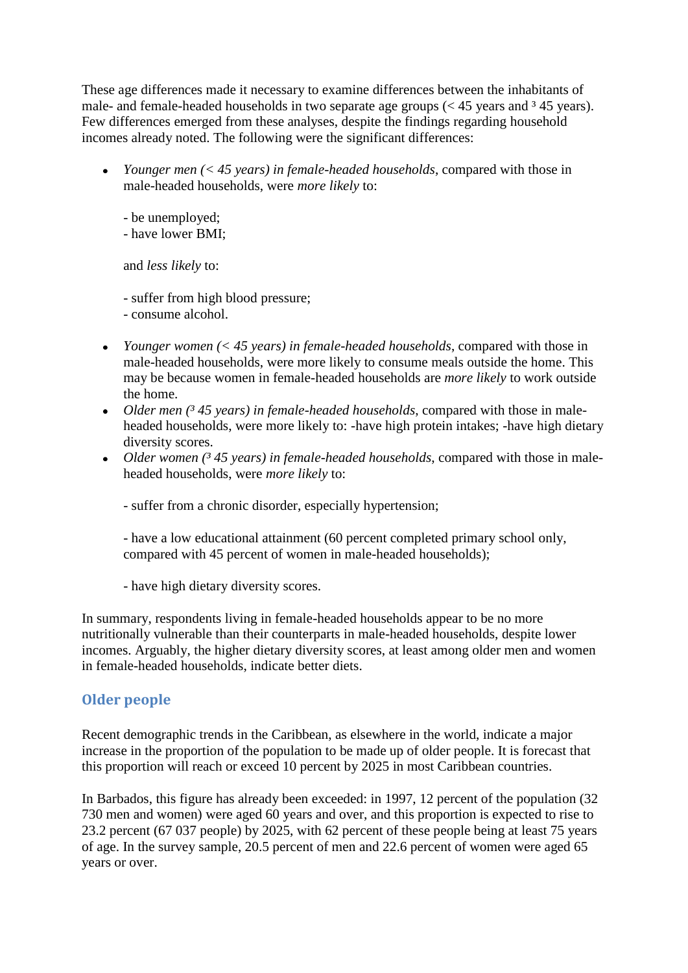These age differences made it necessary to examine differences between the inhabitants of male- and female-headed households in two separate age groups  $(< 45$  years and  $<sup>3</sup> 45$  years).</sup> Few differences emerged from these analyses, despite the findings regarding household incomes already noted. The following were the significant differences:

- *Younger men (< 45 years) in female-headed households*, compared with those in male-headed households, were *more likely* to:
	- be unemployed;
	- have lower BMI;

and *less likely* to:

- suffer from high blood pressure;

- consume alcohol.
- *Younger women (< 45 years) in female-headed households*, compared with those in male-headed households, were more likely to consume meals outside the home. This may be because women in female-headed households are *more likely* to work outside the home.
- *Older men (345 years) in female-headed households*, compared with those in maleheaded households, were more likely to: -have high protein intakes; -have high dietary diversity scores.
- *Older women* (345 years) in female-headed households, compared with those in maleheaded households, were *more likely* to:
	- suffer from a chronic disorder, especially hypertension;
	- have a low educational attainment (60 percent completed primary school only, compared with 45 percent of women in male-headed households);
	- have high dietary diversity scores.

In summary, respondents living in female-headed households appear to be no more nutritionally vulnerable than their counterparts in male-headed households, despite lower incomes. Arguably, the higher dietary diversity scores, at least among older men and women in female-headed households, indicate better diets.

## **Older people**

Recent demographic trends in the Caribbean, as elsewhere in the world, indicate a major increase in the proportion of the population to be made up of older people. It is forecast that this proportion will reach or exceed 10 percent by 2025 in most Caribbean countries.

In Barbados, this figure has already been exceeded: in 1997, 12 percent of the population (32 730 men and women) were aged 60 years and over, and this proportion is expected to rise to 23.2 percent (67 037 people) by 2025, with 62 percent of these people being at least 75 years of age. In the survey sample, 20.5 percent of men and 22.6 percent of women were aged 65 years or over.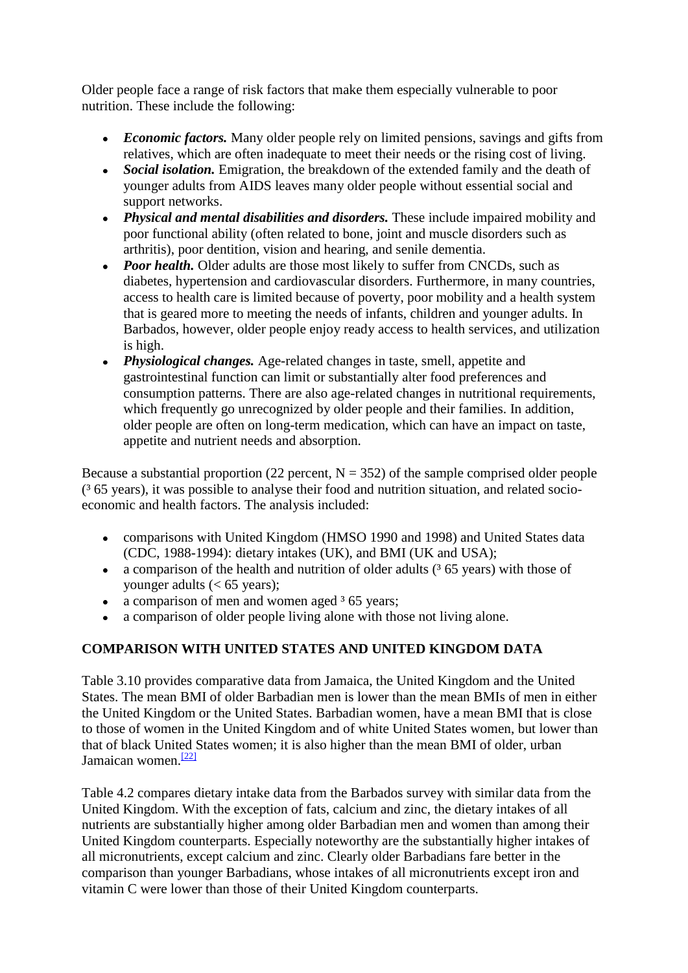Older people face a range of risk factors that make them especially vulnerable to poor nutrition. These include the following:

- *Economic factors.* Many older people rely on limited pensions, savings and gifts from relatives, which are often inadequate to meet their needs or the rising cost of living.
- *Social isolation.* Emigration, the breakdown of the extended family and the death of younger adults from AIDS leaves many older people without essential social and support networks.
- *Physical and mental disabilities and disorders.* These include impaired mobility and poor functional ability (often related to bone, joint and muscle disorders such as arthritis), poor dentition, vision and hearing, and senile dementia.
- *Poor health.* Older adults are those most likely to suffer from CNCDs, such as diabetes, hypertension and cardiovascular disorders. Furthermore, in many countries, access to health care is limited because of poverty, poor mobility and a health system that is geared more to meeting the needs of infants, children and younger adults. In Barbados, however, older people enjoy ready access to health services, and utilization is high.
- *Physiological changes.* Age-related changes in taste, smell, appetite and gastrointestinal function can limit or substantially alter food preferences and consumption patterns. There are also age-related changes in nutritional requirements, which frequently go unrecognized by older people and their families. In addition, older people are often on long-term medication, which can have an impact on taste, appetite and nutrient needs and absorption.

Because a substantial proportion (22 percent,  $N = 352$ ) of the sample comprised older people  $(365 \text{ years})$ , it was possible to analyse their food and nutrition situation, and related socioeconomic and health factors. The analysis included:

- comparisons with United Kingdom (HMSO 1990 and 1998) and United States data (CDC, 1988-1994): dietary intakes (UK), and BMI (UK and USA);
- a comparison of the health and nutrition of older adults  $(365 \text{ years})$  with those of younger adults  $(< 65$  years);
- a comparison of men and women aged  $365$  years;
- a comparison of older people living alone with those not living alone.

## **COMPARISON WITH UNITED STATES AND UNITED KINGDOM DATA**

Table 3.10 provides comparative data from Jamaica, the United Kingdom and the United States. The mean BMI of older Barbadian men is lower than the mean BMIs of men in either the United Kingdom or the United States. Barbadian women, have a mean BMI that is close to those of women in the United Kingdom and of white United States women, but lower than that of black United States women; it is also higher than the mean BMI of older, urban Jamaican women.<sup>[\[22\]](http://www.fao.org/docrep/008/y5883e/y5883e08.htm#fn22)</sup>

Table 4.2 compares dietary intake data from the Barbados survey with similar data from the United Kingdom. With the exception of fats, calcium and zinc, the dietary intakes of all nutrients are substantially higher among older Barbadian men and women than among their United Kingdom counterparts. Especially noteworthy are the substantially higher intakes of all micronutrients, except calcium and zinc. Clearly older Barbadians fare better in the comparison than younger Barbadians, whose intakes of all micronutrients except iron and vitamin C were lower than those of their United Kingdom counterparts.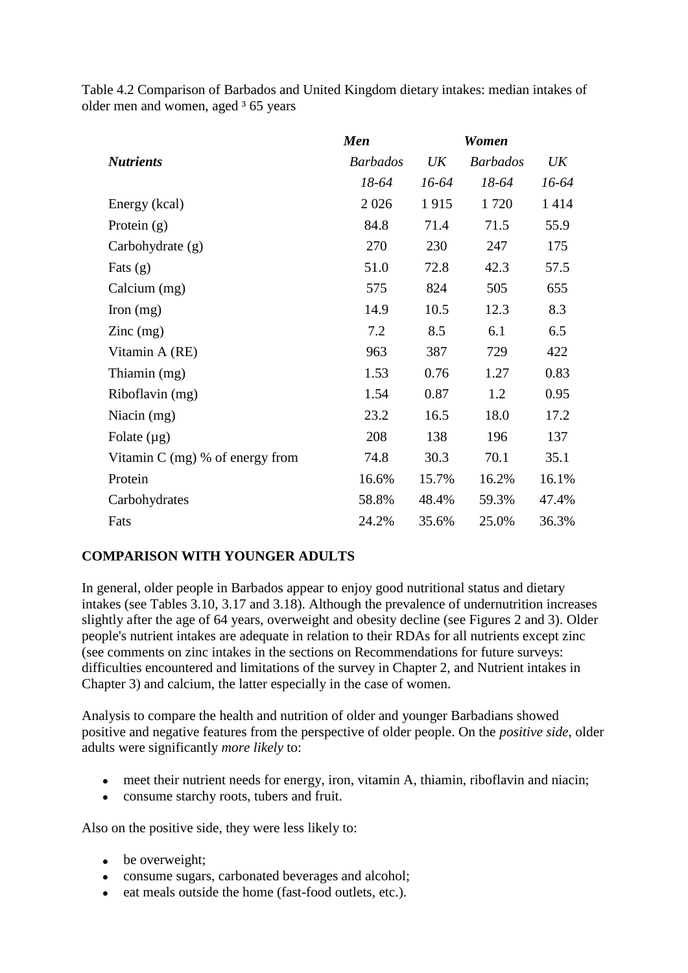Table 4.2 Comparison of Barbados and United Kingdom dietary intakes: median intakes of older men and women, aged <sup>3</sup> 65 years

|                                        | <b>Men</b>      |       | Women           |         |
|----------------------------------------|-----------------|-------|-----------------|---------|
| <b>Nutrients</b>                       | <b>Barbados</b> | UK    | <b>Barbados</b> | UK      |
|                                        | 18-64           | 16-64 | 18-64           | $16-64$ |
| Energy (kcal)                          | 2026            | 1915  | 1720            | 1414    |
| Protein $(g)$                          | 84.8            | 71.4  | 71.5            | 55.9    |
| Carbohydrate (g)                       | 270             | 230   | 247             | 175     |
| Fats $(g)$                             | 51.0            | 72.8  | 42.3            | 57.5    |
| Calcium (mg)                           | 575             | 824   | 505             | 655     |
| Iron $(mg)$                            | 14.9            | 10.5  | 12.3            | 8.3     |
| $\text{Zinc} \left( \text{mg} \right)$ | 7.2             | 8.5   | 6.1             | 6.5     |
| Vitamin A (RE)                         | 963             | 387   | 729             | 422     |
| Thiamin (mg)                           | 1.53            | 0.76  | 1.27            | 0.83    |
| Riboflavin (mg)                        | 1.54            | 0.87  | 1.2             | 0.95    |
| Niacin $(mg)$                          | 23.2            | 16.5  | 18.0            | 17.2    |
| Folate $(\mu g)$                       | 208             | 138   | 196             | 137     |
| Vitamin $C$ (mg) % of energy from      | 74.8            | 30.3  | 70.1            | 35.1    |
| Protein                                | 16.6%           | 15.7% | 16.2%           | 16.1%   |
| Carbohydrates                          | 58.8%           | 48.4% | 59.3%           | 47.4%   |
| Fats                                   | 24.2%           | 35.6% | 25.0%           | 36.3%   |

#### **COMPARISON WITH YOUNGER ADULTS**

In general, older people in Barbados appear to enjoy good nutritional status and dietary intakes (see Tables 3.10, 3.17 and 3.18). Although the prevalence of undernutrition increases slightly after the age of 64 years, overweight and obesity decline (see Figures 2 and 3). Older people's nutrient intakes are adequate in relation to their RDAs for all nutrients except zinc (see comments on zinc intakes in the sections on Recommendations for future surveys: difficulties encountered and limitations of the survey in Chapter 2, and Nutrient intakes in Chapter 3) and calcium, the latter especially in the case of women.

Analysis to compare the health and nutrition of older and younger Barbadians showed positive and negative features from the perspective of older people. On the *positive side*, older adults were significantly *more likely* to:

- meet their nutrient needs for energy, iron, vitamin A, thiamin, riboflavin and niacin;
- consume starchy roots, tubers and fruit.

Also on the positive side, they were less likely to:

- be overweight;
- consume sugars, carbonated beverages and alcohol;
- $e$  eat meals outside the home (fast-food outlets, etc.).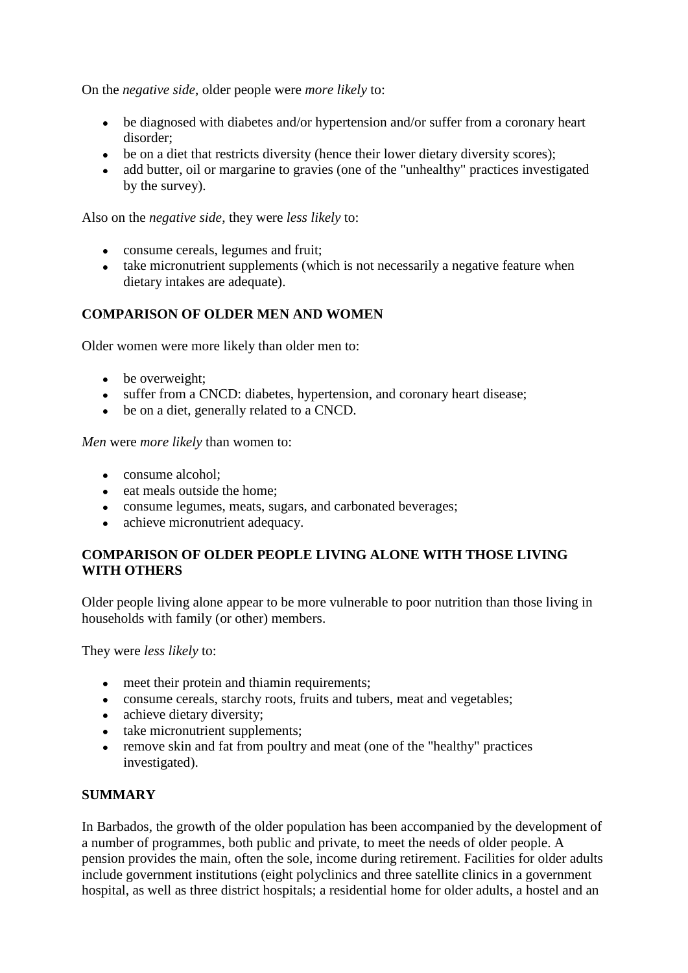On the *negative side*, older people were *more likely* to:

- be diagnosed with diabetes and/or hypertension and/or suffer from a coronary heart disorder;
- be on a diet that restricts diversity (hence their lower dietary diversity scores);
- add butter, oil or margarine to gravies (one of the "unhealthy" practices investigated by the survey).

Also on the *negative side*, they were *less likely* to:

- consume cereals, legumes and fruit;
- take micronutrient supplements (which is not necessarily a negative feature when dietary intakes are adequate).

## **COMPARISON OF OLDER MEN AND WOMEN**

Older women were more likely than older men to:

- be overweight;
- suffer from a CNCD: diabetes, hypertension, and coronary heart disease;
- be on a diet, generally related to a CNCD.

*Men* were *more likely* than women to:

- consume alcohol:
- eat meals outside the home:
- consume legumes, meats, sugars, and carbonated beverages;
- achieve micronutrient adequacy.

### **COMPARISON OF OLDER PEOPLE LIVING ALONE WITH THOSE LIVING WITH OTHERS**

Older people living alone appear to be more vulnerable to poor nutrition than those living in households with family (or other) members.

They were *less likely* to:

- meet their protein and thiamin requirements;
- consume cereals, starchy roots, fruits and tubers, meat and vegetables;
- achieve dietary diversity;
- take micronutrient supplements;
- remove skin and fat from poultry and meat (one of the "healthy" practices investigated).

#### **SUMMARY**

In Barbados, the growth of the older population has been accompanied by the development of a number of programmes, both public and private, to meet the needs of older people. A pension provides the main, often the sole, income during retirement. Facilities for older adults include government institutions (eight polyclinics and three satellite clinics in a government hospital, as well as three district hospitals; a residential home for older adults, a hostel and an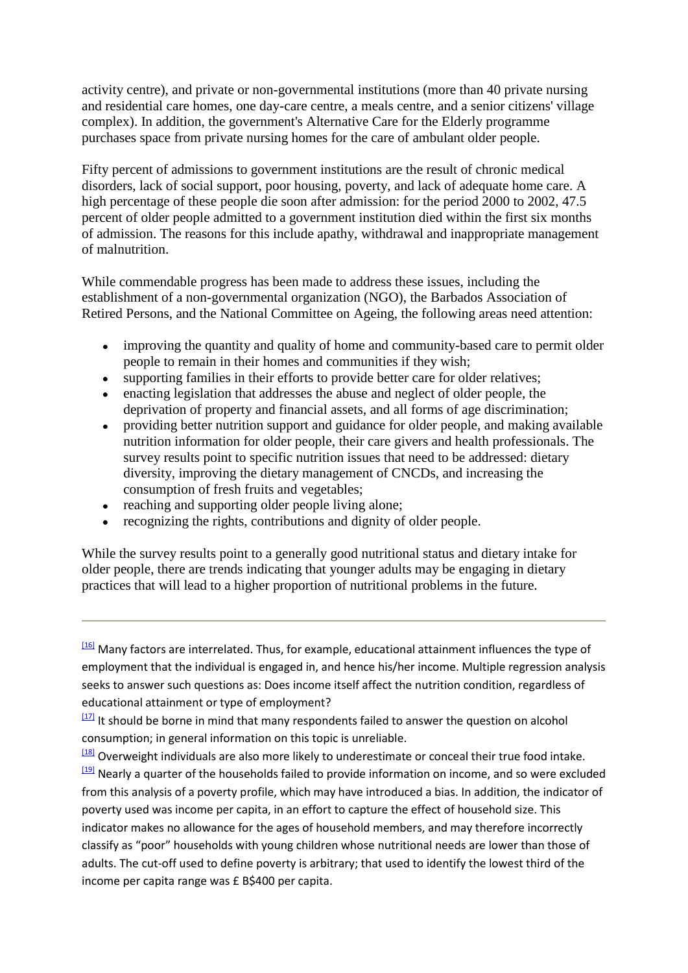activity centre), and private or non-governmental institutions (more than 40 private nursing and residential care homes, one day-care centre, a meals centre, and a senior citizens' village complex). In addition, the government's Alternative Care for the Elderly programme purchases space from private nursing homes for the care of ambulant older people.

Fifty percent of admissions to government institutions are the result of chronic medical disorders, lack of social support, poor housing, poverty, and lack of adequate home care. A high percentage of these people die soon after admission: for the period 2000 to 2002, 47.5 percent of older people admitted to a government institution died within the first six months of admission. The reasons for this include apathy, withdrawal and inappropriate management of malnutrition.

While commendable progress has been made to address these issues, including the establishment of a non-governmental organization (NGO), the Barbados Association of Retired Persons, and the National Committee on Ageing, the following areas need attention:

- $\bullet$ improving the quantity and quality of home and community-based care to permit older people to remain in their homes and communities if they wish;
- supporting families in their efforts to provide better care for older relatives;
- enacting legislation that addresses the abuse and neglect of older people, the deprivation of property and financial assets, and all forms of age discrimination;
- providing better nutrition support and guidance for older people, and making available nutrition information for older people, their care givers and health professionals. The survey results point to specific nutrition issues that need to be addressed: dietary diversity, improving the dietary management of CNCDs, and increasing the consumption of fresh fruits and vegetables;
- reaching and supporting older people living alone;
- recognizing the rights, contributions and dignity of older people.

While the survey results point to a generally good nutritional status and dietary intake for older people, there are trends indicating that younger adults may be engaging in dietary practices that will lead to a higher proportion of nutritional problems in the future.

[\[16\]](http://www.fao.org/docrep/008/y5883e/y5883e08.htm#fnB16) Many factors are interrelated. Thus, for example, educational attainment influences the type of employment that the individual is engaged in, and hence his/her income. Multiple regression analysis seeks to answer such questions as: Does income itself affect the nutrition condition, regardless of educational attainment or type of employment?

 $\frac{117}{2}$  It should be borne in mind that many respondents failed to answer the question on alcohol consumption; in general information on this topic is unreliable.

[\[18\]](http://www.fao.org/docrep/008/y5883e/y5883e08.htm#fnB18) Overweight individuals are also more likely to underestimate or conceal their true food intake. [\[19\]](http://www.fao.org/docrep/008/y5883e/y5883e08.htm#fnB19) Nearly a quarter of the households failed to provide information on income, and so were excluded from this analysis of a poverty profile, which may have introduced a bias. In addition, the indicator of poverty used was income per capita, in an effort to capture the effect of household size. This indicator makes no allowance for the ages of household members, and may therefore incorrectly classify as "poor" households with young children whose nutritional needs are lower than those of adults. The cut-off used to define poverty is arbitrary; that used to identify the lowest third of the income per capita range was £ B\$400 per capita.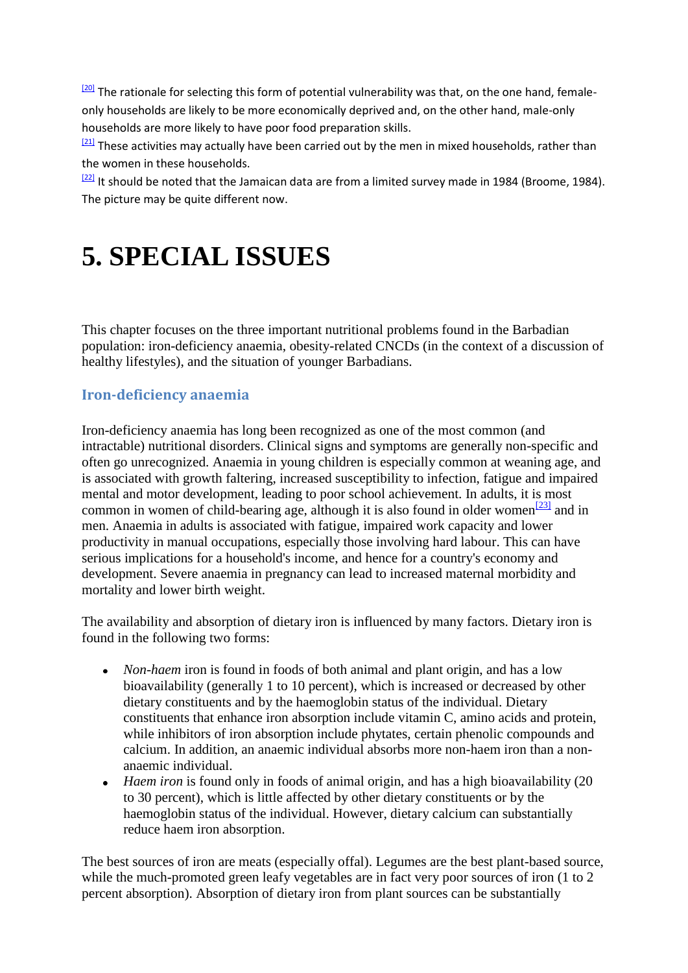$\frac{[20]}{[20]}$  $\frac{[20]}{[20]}$  $\frac{[20]}{[20]}$  The rationale for selecting this form of potential vulnerability was that, on the one hand, femaleonly households are likely to be more economically deprived and, on the other hand, male-only households are more likely to have poor food preparation skills.

 $\frac{[21]}{[21]}$  $\frac{[21]}{[21]}$  $\frac{[21]}{[21]}$  These activities may actually have been carried out by the men in mixed households, rather than the women in these households.

 $\frac{[22]}{21}$  $\frac{[22]}{21}$  $\frac{[22]}{21}$  It should be noted that the Jamaican data are from a limited survey made in 1984 (Broome, 1984). The picture may be quite different now.

# **5. SPECIAL ISSUES**

This chapter focuses on the three important nutritional problems found in the Barbadian population: iron-deficiency anaemia, obesity-related CNCDs (in the context of a discussion of healthy lifestyles), and the situation of younger Barbadians.

## **Iron-deficiency anaemia**

Iron-deficiency anaemia has long been recognized as one of the most common (and intractable) nutritional disorders. Clinical signs and symptoms are generally non-specific and often go unrecognized. Anaemia in young children is especially common at weaning age, and is associated with growth faltering, increased susceptibility to infection, fatigue and impaired mental and motor development, leading to poor school achievement. In adults, it is most common in women of child-bearing age, although it is also found in older women<sup>[\[23\]](http://www.fao.org/docrep/008/y5883e/y5883e09.htm#fn23)</sup> and in men. Anaemia in adults is associated with fatigue, impaired work capacity and lower productivity in manual occupations, especially those involving hard labour. This can have serious implications for a household's income, and hence for a country's economy and development. Severe anaemia in pregnancy can lead to increased maternal morbidity and mortality and lower birth weight.

The availability and absorption of dietary iron is influenced by many factors. Dietary iron is found in the following two forms:

- *Non-haem* iron is found in foods of both animal and plant origin, and has a low bioavailability (generally 1 to 10 percent), which is increased or decreased by other dietary constituents and by the haemoglobin status of the individual. Dietary constituents that enhance iron absorption include vitamin C, amino acids and protein, while inhibitors of iron absorption include phytates, certain phenolic compounds and calcium. In addition, an anaemic individual absorbs more non-haem iron than a nonanaemic individual.
- *Haem iron* is found only in foods of animal origin, and has a high bioavailability (20) to 30 percent), which is little affected by other dietary constituents or by the haemoglobin status of the individual. However, dietary calcium can substantially reduce haem iron absorption.

The best sources of iron are meats (especially offal). Legumes are the best plant-based source, while the much-promoted green leafy vegetables are in fact very poor sources of iron (1 to 2) percent absorption). Absorption of dietary iron from plant sources can be substantially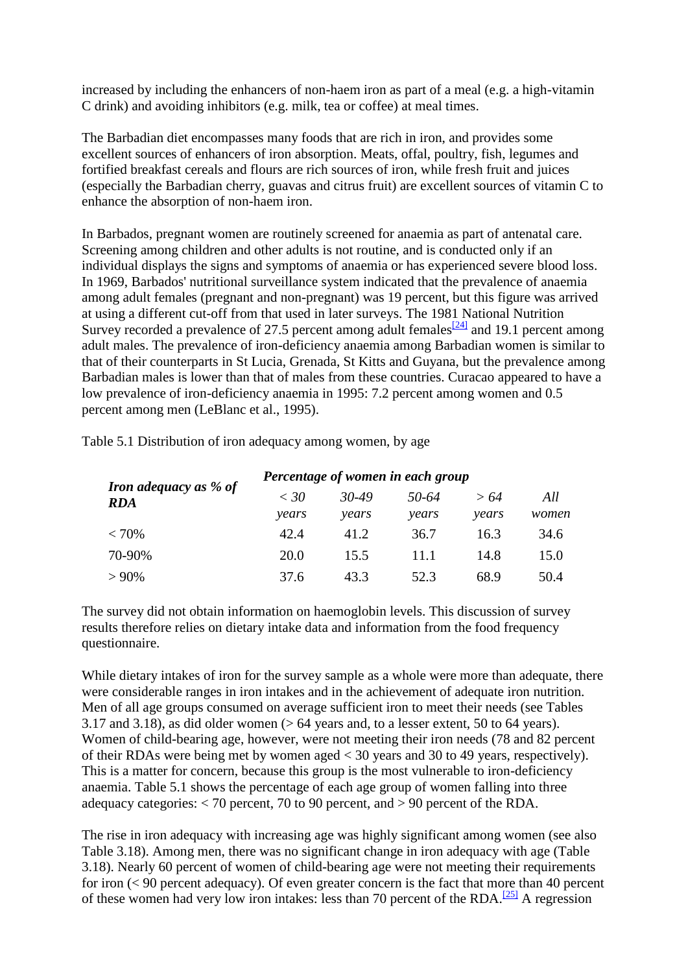increased by including the enhancers of non-haem iron as part of a meal (e.g. a high-vitamin C drink) and avoiding inhibitors (e.g. milk, tea or coffee) at meal times.

The Barbadian diet encompasses many foods that are rich in iron, and provides some excellent sources of enhancers of iron absorption. Meats, offal, poultry, fish, legumes and fortified breakfast cereals and flours are rich sources of iron, while fresh fruit and juices (especially the Barbadian cherry, guavas and citrus fruit) are excellent sources of vitamin C to enhance the absorption of non-haem iron.

In Barbados, pregnant women are routinely screened for anaemia as part of antenatal care. Screening among children and other adults is not routine, and is conducted only if an individual displays the signs and symptoms of anaemia or has experienced severe blood loss. In 1969, Barbados' nutritional surveillance system indicated that the prevalence of anaemia among adult females (pregnant and non-pregnant) was 19 percent, but this figure was arrived at using a different cut-off from that used in later surveys. The 1981 National Nutrition Survey recorded a prevalence of 27.5 percent among adult females<sup>[\[24\]](http://www.fao.org/docrep/008/y5883e/y5883e09.htm#fn24)</sup> and 19.1 percent among adult males. The prevalence of iron-deficiency anaemia among Barbadian women is similar to that of their counterparts in St Lucia, Grenada, St Kitts and Guyana, but the prevalence among Barbadian males is lower than that of males from these countries. Curacao appeared to have a low prevalence of iron-deficiency anaemia in 1995: 7.2 percent among women and 0.5 percent among men (LeBlanc et al., 1995).

|                                            | Percentage of women in each group |       |       |       |       |  |  |  |
|--------------------------------------------|-----------------------------------|-------|-------|-------|-------|--|--|--|
| <b>Iron adequacy as % of</b><br><b>RDA</b> | $\langle 30$                      | 30-49 | 50-64 | > 64  | All   |  |  |  |
|                                            | years                             | years | years | years | women |  |  |  |
| < 70%                                      | 42.4                              | 41.2  | 36.7  | 16.3  | 34.6  |  |  |  |
| 70-90%                                     | 20.0                              | 15.5  | 11.1  | 14.8  | 15.0  |  |  |  |
| $> 90\%$                                   | 37.6                              | 43.3  | 52.3  | 68.9  | 50.4  |  |  |  |

Table 5.1 Distribution of iron adequacy among women, by age

The survey did not obtain information on haemoglobin levels. This discussion of survey results therefore relies on dietary intake data and information from the food frequency questionnaire.

While dietary intakes of iron for the survey sample as a whole were more than adequate, there were considerable ranges in iron intakes and in the achievement of adequate iron nutrition. Men of all age groups consumed on average sufficient iron to meet their needs (see Tables 3.17 and 3.18), as did older women  $($  > 64 years and, to a lesser extent, 50 to 64 years). Women of child-bearing age, however, were not meeting their iron needs (78 and 82 percent of their RDAs were being met by women aged < 30 years and 30 to 49 years, respectively). This is a matter for concern, because this group is the most vulnerable to iron-deficiency anaemia. Table 5.1 shows the percentage of each age group of women falling into three adequacy categories:  $<$  70 percent, 70 to 90 percent, and  $>$  90 percent of the RDA.

The rise in iron adequacy with increasing age was highly significant among women (see also Table 3.18). Among men, there was no significant change in iron adequacy with age (Table 3.18). Nearly 60 percent of women of child-bearing age were not meeting their requirements for iron (< 90 percent adequacy). Of even greater concern is the fact that more than 40 percent of these women had very low iron intakes: less than 70 percent of the RDA.<sup>[\[25\]](http://www.fao.org/docrep/008/y5883e/y5883e09.htm#fn25)</sup> A regression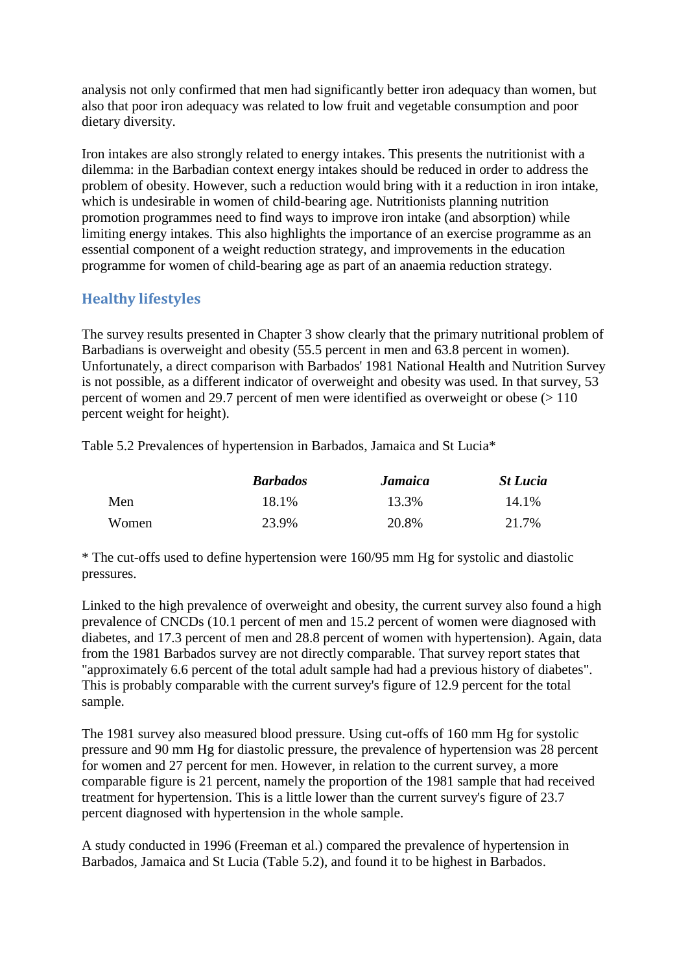analysis not only confirmed that men had significantly better iron adequacy than women, but also that poor iron adequacy was related to low fruit and vegetable consumption and poor dietary diversity.

Iron intakes are also strongly related to energy intakes. This presents the nutritionist with a dilemma: in the Barbadian context energy intakes should be reduced in order to address the problem of obesity. However, such a reduction would bring with it a reduction in iron intake, which is undesirable in women of child-bearing age. Nutritionists planning nutrition promotion programmes need to find ways to improve iron intake (and absorption) while limiting energy intakes. This also highlights the importance of an exercise programme as an essential component of a weight reduction strategy, and improvements in the education programme for women of child-bearing age as part of an anaemia reduction strategy.

## **Healthy lifestyles**

The survey results presented in Chapter 3 show clearly that the primary nutritional problem of Barbadians is overweight and obesity (55.5 percent in men and 63.8 percent in women). Unfortunately, a direct comparison with Barbados' 1981 National Health and Nutrition Survey is not possible, as a different indicator of overweight and obesity was used. In that survey, 53 percent of women and 29.7 percent of men were identified as overweight or obese  $(>110$ percent weight for height).

Table 5.2 Prevalences of hypertension in Barbados, Jamaica and St Lucia\*

|       | <b>Barbados</b> | <b>Jamaica</b> | <b>St Lucia</b> |
|-------|-----------------|----------------|-----------------|
| Men   | 18.1%           | 13.3%          | 14.1%           |
| Women | 23.9%           | 20.8%          | 21.7%           |

\* The cut-offs used to define hypertension were 160/95 mm Hg for systolic and diastolic pressures.

Linked to the high prevalence of overweight and obesity, the current survey also found a high prevalence of CNCDs (10.1 percent of men and 15.2 percent of women were diagnosed with diabetes, and 17.3 percent of men and 28.8 percent of women with hypertension). Again, data from the 1981 Barbados survey are not directly comparable. That survey report states that "approximately 6.6 percent of the total adult sample had had a previous history of diabetes". This is probably comparable with the current survey's figure of 12.9 percent for the total sample.

The 1981 survey also measured blood pressure. Using cut-offs of 160 mm Hg for systolic pressure and 90 mm Hg for diastolic pressure, the prevalence of hypertension was 28 percent for women and 27 percent for men. However, in relation to the current survey, a more comparable figure is 21 percent, namely the proportion of the 1981 sample that had received treatment for hypertension. This is a little lower than the current survey's figure of 23.7 percent diagnosed with hypertension in the whole sample.

A study conducted in 1996 (Freeman et al.) compared the prevalence of hypertension in Barbados, Jamaica and St Lucia (Table 5.2), and found it to be highest in Barbados.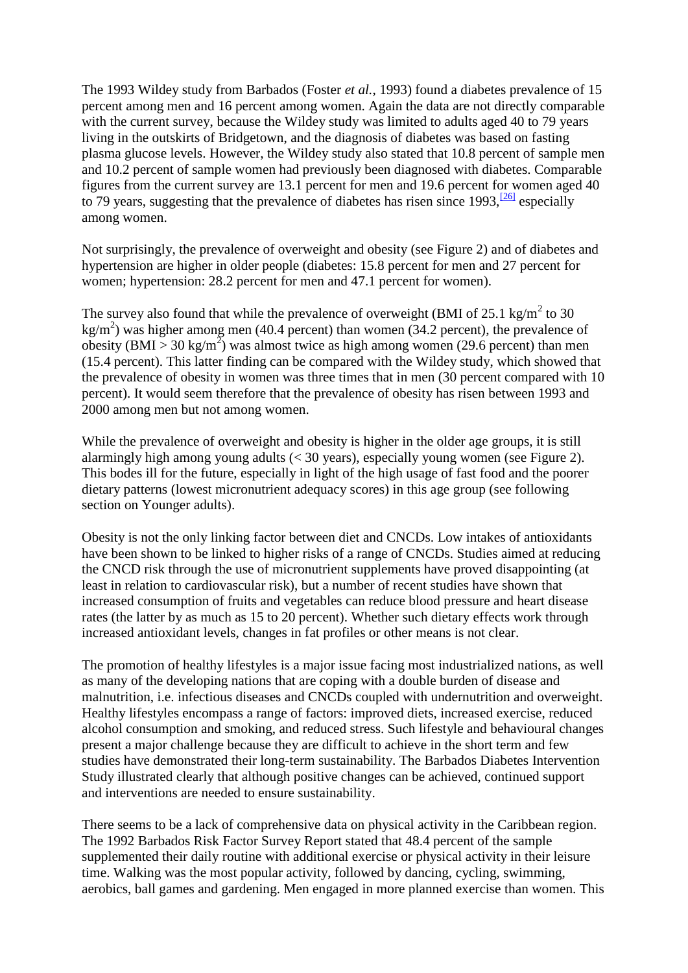The 1993 Wildey study from Barbados (Foster *et al.*, 1993) found a diabetes prevalence of 15 percent among men and 16 percent among women. Again the data are not directly comparable with the current survey, because the Wildey study was limited to adults aged 40 to 79 years living in the outskirts of Bridgetown, and the diagnosis of diabetes was based on fasting plasma glucose levels. However, the Wildey study also stated that 10.8 percent of sample men and 10.2 percent of sample women had previously been diagnosed with diabetes. Comparable figures from the current survey are 13.1 percent for men and 19.6 percent for women aged 40 to 79 years, suggesting that the prevalence of diabetes has risen since  $1993$ ,  $\frac{26}{126}$  especially among women.

Not surprisingly, the prevalence of overweight and obesity (see Figure 2) and of diabetes and hypertension are higher in older people (diabetes: 15.8 percent for men and 27 percent for women; hypertension: 28.2 percent for men and 47.1 percent for women).

The survey also found that while the prevalence of overweight (BMI of 25.1 kg/m<sup>2</sup> to 30 kg/m<sup>2</sup>) was higher among men (40.4 percent) than women (34.2 percent), the prevalence of obesity (BMI > 30 kg/m<sup>2</sup>) was almost twice as high among women (29.6 percent) than men (15.4 percent). This latter finding can be compared with the Wildey study, which showed that the prevalence of obesity in women was three times that in men (30 percent compared with 10 percent). It would seem therefore that the prevalence of obesity has risen between 1993 and 2000 among men but not among women.

While the prevalence of overweight and obesity is higher in the older age groups, it is still alarmingly high among young adults (< 30 years), especially young women (see Figure 2). This bodes ill for the future, especially in light of the high usage of fast food and the poorer dietary patterns (lowest micronutrient adequacy scores) in this age group (see following section on Younger adults).

Obesity is not the only linking factor between diet and CNCDs. Low intakes of antioxidants have been shown to be linked to higher risks of a range of CNCDs. Studies aimed at reducing the CNCD risk through the use of micronutrient supplements have proved disappointing (at least in relation to cardiovascular risk), but a number of recent studies have shown that increased consumption of fruits and vegetables can reduce blood pressure and heart disease rates (the latter by as much as 15 to 20 percent). Whether such dietary effects work through increased antioxidant levels, changes in fat profiles or other means is not clear.

The promotion of healthy lifestyles is a major issue facing most industrialized nations, as well as many of the developing nations that are coping with a double burden of disease and malnutrition, i.e. infectious diseases and CNCDs coupled with undernutrition and overweight. Healthy lifestyles encompass a range of factors: improved diets, increased exercise, reduced alcohol consumption and smoking, and reduced stress. Such lifestyle and behavioural changes present a major challenge because they are difficult to achieve in the short term and few studies have demonstrated their long-term sustainability. The Barbados Diabetes Intervention Study illustrated clearly that although positive changes can be achieved, continued support and interventions are needed to ensure sustainability.

There seems to be a lack of comprehensive data on physical activity in the Caribbean region. The 1992 Barbados Risk Factor Survey Report stated that 48.4 percent of the sample supplemented their daily routine with additional exercise or physical activity in their leisure time. Walking was the most popular activity, followed by dancing, cycling, swimming, aerobics, ball games and gardening. Men engaged in more planned exercise than women. This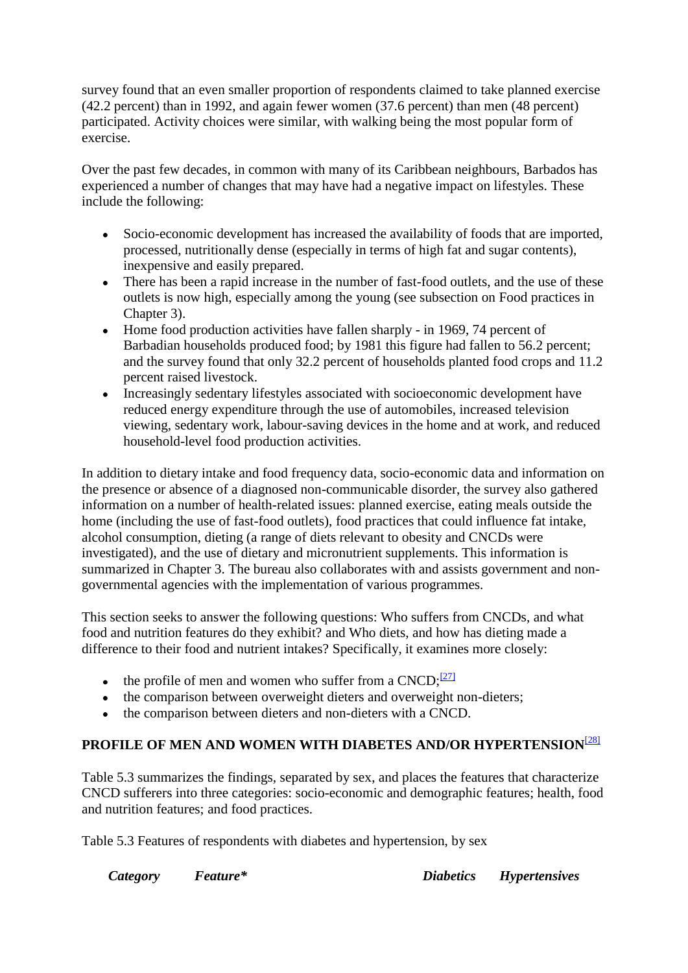survey found that an even smaller proportion of respondents claimed to take planned exercise (42.2 percent) than in 1992, and again fewer women (37.6 percent) than men (48 percent) participated. Activity choices were similar, with walking being the most popular form of exercise.

Over the past few decades, in common with many of its Caribbean neighbours, Barbados has experienced a number of changes that may have had a negative impact on lifestyles. These include the following:

- Socio-economic development has increased the availability of foods that are imported, processed, nutritionally dense (especially in terms of high fat and sugar contents), inexpensive and easily prepared.
- There has been a rapid increase in the number of fast-food outlets, and the use of these outlets is now high, especially among the young (see subsection on Food practices in Chapter 3).
- Home food production activities have fallen sharply in 1969, 74 percent of Barbadian households produced food; by 1981 this figure had fallen to 56.2 percent; and the survey found that only 32.2 percent of households planted food crops and 11.2 percent raised livestock.
- Increasingly sedentary lifestyles associated with socioeconomic development have reduced energy expenditure through the use of automobiles, increased television viewing, sedentary work, labour-saving devices in the home and at work, and reduced household-level food production activities.

In addition to dietary intake and food frequency data, socio-economic data and information on the presence or absence of a diagnosed non-communicable disorder, the survey also gathered information on a number of health-related issues: planned exercise, eating meals outside the home (including the use of fast-food outlets), food practices that could influence fat intake, alcohol consumption, dieting (a range of diets relevant to obesity and CNCDs were investigated), and the use of dietary and micronutrient supplements. This information is summarized in Chapter 3. The bureau also collaborates with and assists government and nongovernmental agencies with the implementation of various programmes.

This section seeks to answer the following questions: Who suffers from CNCDs, and what food and nutrition features do they exhibit? and Who diets, and how has dieting made a difference to their food and nutrient intakes? Specifically, it examines more closely:

- the profile of men and women who suffer from a  $CNCD$ ;  $\frac{[27]}{[27]}$  $\frac{[27]}{[27]}$  $\frac{[27]}{[27]}$
- the comparison between overweight dieters and overweight non-dieters;
- the comparison between dieters and non-dieters with a CNCD.

## **PROFILE OF MEN AND WOMEN WITH DIABETES AND/OR HYPERTENSION<sup>[\[28\]](http://www.fao.org/docrep/008/y5883e/y5883e09.htm#fn28)</sup>**

Table 5.3 summarizes the findings, separated by sex, and places the features that characterize CNCD sufferers into three categories: socio-economic and demographic features; health, food and nutrition features; and food practices.

Table 5.3 Features of respondents with diabetes and hypertension, by sex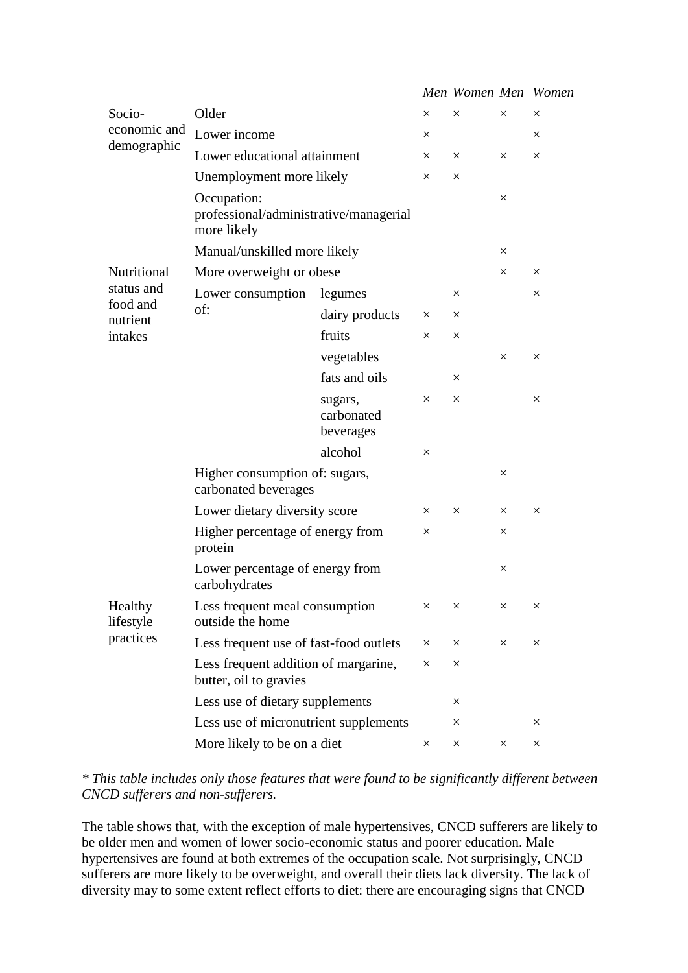|                             |                                                                      |                                    |          |          |          | Men Women Men Women |
|-----------------------------|----------------------------------------------------------------------|------------------------------------|----------|----------|----------|---------------------|
| Socio-                      | Older                                                                |                                    | $\times$ | X        | X        | ×                   |
| economic and<br>demographic | Lower income                                                         |                                    | X        |          |          | X                   |
|                             | Lower educational attainment                                         |                                    | $\times$ | X        | $\times$ | $\times$            |
|                             | Unemployment more likely                                             |                                    | $\times$ | X        |          |                     |
|                             | Occupation:<br>professional/administrative/managerial<br>more likely |                                    |          |          | X        |                     |
|                             | Manual/unskilled more likely                                         |                                    |          |          | $\times$ |                     |
| Nutritional                 | More overweight or obese                                             |                                    |          |          | X        | X                   |
| status and                  | Lower consumption<br>of:                                             | legumes                            |          | X        |          | X                   |
| food and<br>nutrient        |                                                                      | dairy products                     | $\times$ | X        |          |                     |
| intakes                     |                                                                      | fruits                             | $\times$ | $\times$ |          |                     |
|                             |                                                                      | vegetables                         |          |          | ×        | X                   |
|                             |                                                                      | fats and oils                      |          | ×        |          |                     |
|                             |                                                                      | sugars,<br>carbonated<br>beverages | X        | X        |          | X                   |
|                             |                                                                      | alcohol                            | X        |          |          |                     |
|                             | Higher consumption of: sugars,<br>carbonated beverages               |                                    |          |          | $\times$ |                     |
|                             | Lower dietary diversity score                                        | $\times$                           | $\times$ | X        | X        |                     |
|                             | Higher percentage of energy from<br>protein                          |                                    | X        |          | ×        |                     |
|                             | Lower percentage of energy from<br>carbohydrates                     |                                    |          |          | $\times$ |                     |
| Healthy<br>lifestyle        | Less frequent meal consumption<br>outside the home                   |                                    |          | $\times$ | $\times$ | X                   |
| practices                   | Less frequent use of fast-food outlets                               |                                    | X        | X        | X        | X                   |
|                             | Less frequent addition of margarine,<br>butter, oil to gravies       |                                    |          | X        |          |                     |
|                             | Less use of dietary supplements                                      |                                    |          | X        |          |                     |
|                             | Less use of micronutrient supplements                                |                                    |          | X        |          | ×                   |
|                             | More likely to be on a diet                                          |                                    | $\times$ | X        | X        | X                   |

#### *\* This table includes only those features that were found to be significantly different between CNCD sufferers and non-sufferers.*

The table shows that, with the exception of male hypertensives, CNCD sufferers are likely to be older men and women of lower socio-economic status and poorer education. Male hypertensives are found at both extremes of the occupation scale. Not surprisingly, CNCD sufferers are more likely to be overweight, and overall their diets lack diversity. The lack of diversity may to some extent reflect efforts to diet: there are encouraging signs that CNCD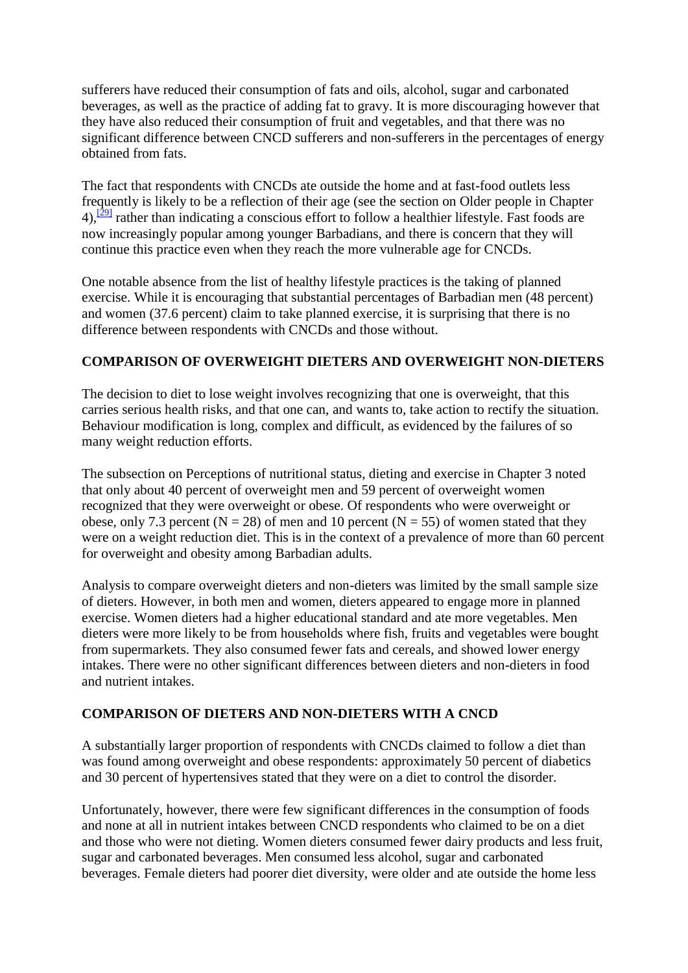sufferers have reduced their consumption of fats and oils, alcohol, sugar and carbonated beverages, as well as the practice of adding fat to gravy. It is more discouraging however that they have also reduced their consumption of fruit and vegetables, and that there was no significant difference between CNCD sufferers and non-sufferers in the percentages of energy obtained from fats.

The fact that respondents with CNCDs ate outside the home and at fast-food outlets less frequently is likely to be a reflection of their age (see the section on Older people in Chapter  $(4)$ ,  $\frac{[29]}{[29]}$  $\frac{[29]}{[29]}$  $\frac{[29]}{[29]}$  rather than indicating a conscious effort to follow a healthier lifestyle. Fast foods are now increasingly popular among younger Barbadians, and there is concern that they will continue this practice even when they reach the more vulnerable age for CNCDs.

One notable absence from the list of healthy lifestyle practices is the taking of planned exercise. While it is encouraging that substantial percentages of Barbadian men (48 percent) and women (37.6 percent) claim to take planned exercise, it is surprising that there is no difference between respondents with CNCDs and those without.

## **COMPARISON OF OVERWEIGHT DIETERS AND OVERWEIGHT NON-DIETERS**

The decision to diet to lose weight involves recognizing that one is overweight, that this carries serious health risks, and that one can, and wants to, take action to rectify the situation. Behaviour modification is long, complex and difficult, as evidenced by the failures of so many weight reduction efforts.

The subsection on Perceptions of nutritional status, dieting and exercise in Chapter 3 noted that only about 40 percent of overweight men and 59 percent of overweight women recognized that they were overweight or obese. Of respondents who were overweight or obese, only 7.3 percent ( $N = 28$ ) of men and 10 percent ( $N = 55$ ) of women stated that they were on a weight reduction diet. This is in the context of a prevalence of more than 60 percent for overweight and obesity among Barbadian adults.

Analysis to compare overweight dieters and non-dieters was limited by the small sample size of dieters. However, in both men and women, dieters appeared to engage more in planned exercise. Women dieters had a higher educational standard and ate more vegetables. Men dieters were more likely to be from households where fish, fruits and vegetables were bought from supermarkets. They also consumed fewer fats and cereals, and showed lower energy intakes. There were no other significant differences between dieters and non-dieters in food and nutrient intakes.

## **COMPARISON OF DIETERS AND NON-DIETERS WITH A CNCD**

A substantially larger proportion of respondents with CNCDs claimed to follow a diet than was found among overweight and obese respondents: approximately 50 percent of diabetics and 30 percent of hypertensives stated that they were on a diet to control the disorder.

Unfortunately, however, there were few significant differences in the consumption of foods and none at all in nutrient intakes between CNCD respondents who claimed to be on a diet and those who were not dieting. Women dieters consumed fewer dairy products and less fruit, sugar and carbonated beverages. Men consumed less alcohol, sugar and carbonated beverages. Female dieters had poorer diet diversity, were older and ate outside the home less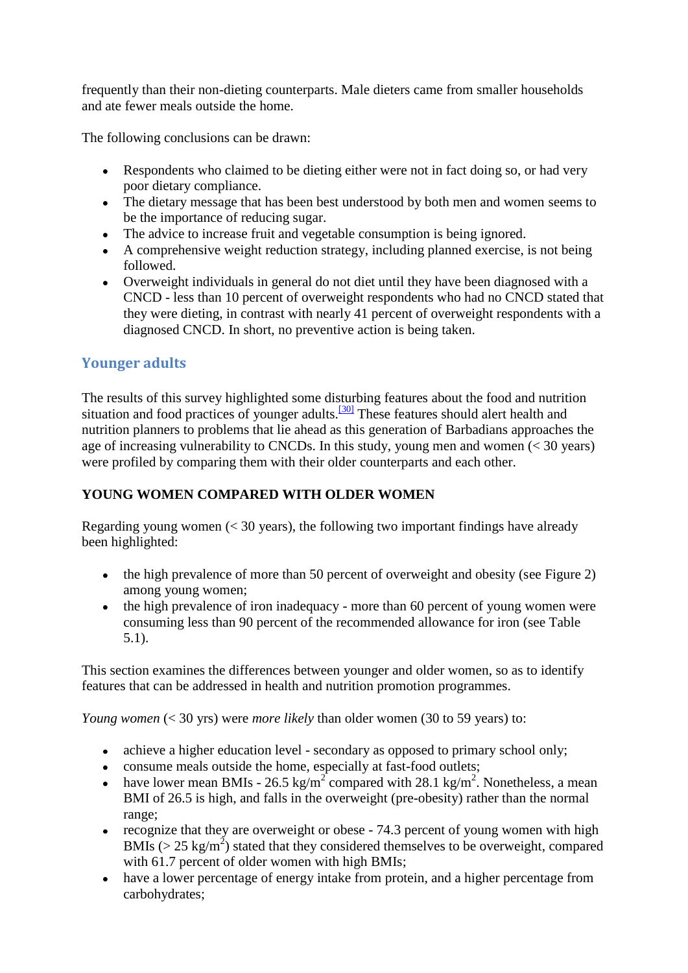frequently than their non-dieting counterparts. Male dieters came from smaller households and ate fewer meals outside the home.

The following conclusions can be drawn:

- Respondents who claimed to be dieting either were not in fact doing so, or had very poor dietary compliance.
- The dietary message that has been best understood by both men and women seems to be the importance of reducing sugar.
- The advice to increase fruit and vegetable consumption is being ignored.
- A comprehensive weight reduction strategy, including planned exercise, is not being followed.
- Overweight individuals in general do not diet until they have been diagnosed with a CNCD - less than 10 percent of overweight respondents who had no CNCD stated that they were dieting, in contrast with nearly 41 percent of overweight respondents with a diagnosed CNCD. In short, no preventive action is being taken.

## **Younger adults**

The results of this survey highlighted some disturbing features about the food and nutrition situation and food practices of younger adults.<sup>[\[30\]](http://www.fao.org/docrep/008/y5883e/y5883e09.htm#fn30)</sup> These features should alert health and nutrition planners to problems that lie ahead as this generation of Barbadians approaches the age of increasing vulnerability to CNCDs. In this study, young men and women (< 30 years) were profiled by comparing them with their older counterparts and each other.

## **YOUNG WOMEN COMPARED WITH OLDER WOMEN**

Regarding young women  $\ll$  30 years), the following two important findings have already been highlighted:

- the high prevalence of more than 50 percent of overweight and obesity (see Figure 2) among young women;
- the high prevalence of iron inadequacy more than 60 percent of young women were consuming less than 90 percent of the recommended allowance for iron (see Table 5.1).

This section examines the differences between younger and older women, so as to identify features that can be addressed in health and nutrition promotion programmes.

*Young women* (< 30 yrs) were *more likely* than older women (30 to 59 years) to:

- achieve a higher education level secondary as opposed to primary school only;
- consume meals outside the home, especially at fast-food outlets;
- have lower mean BMIs 26.5 kg/m<sup>2</sup> compared with 28.1 kg/m<sup>2</sup>. Nonetheless, a mean BMI of 26.5 is high, and falls in the overweight (pre-obesity) rather than the normal range;
- recognize that they are overweight or obese 74.3 percent of young women with high BMIs ( $> 25 \text{ kg/m}^2$ ) stated that they considered themselves to be overweight, compared with 61.7 percent of older women with high BMIs;
- have a lower percentage of energy intake from protein, and a higher percentage from carbohydrates;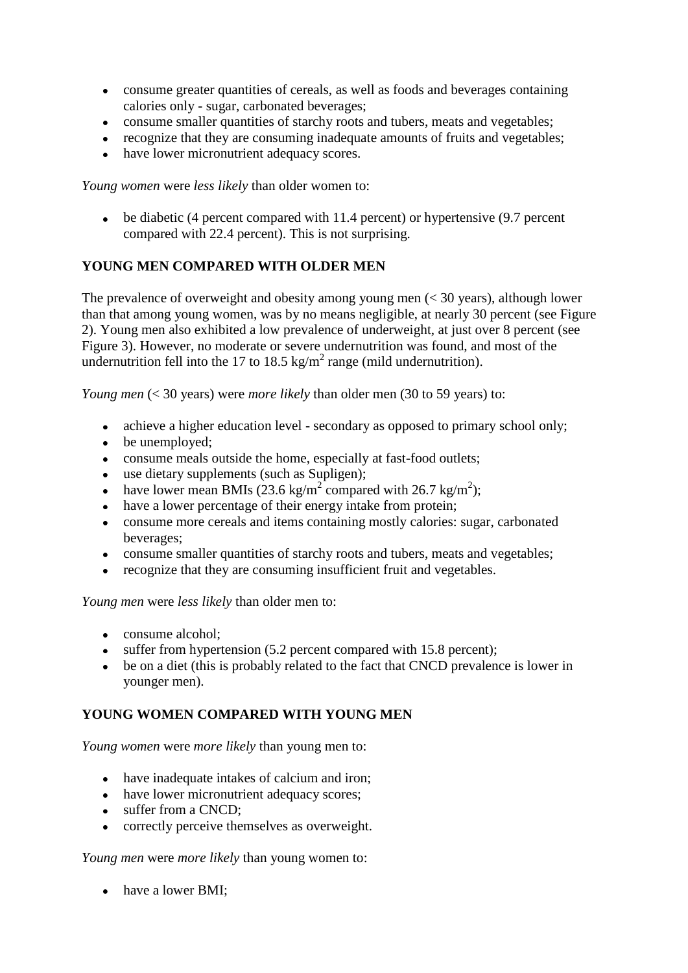- consume greater quantities of cereals, as well as foods and beverages containing calories only - sugar, carbonated beverages;
- consume smaller quantities of starchy roots and tubers, meats and vegetables;
- recognize that they are consuming inadequate amounts of fruits and vegetables;
- have lower micronutrient adequacy scores.

*Young women* were *less likely* than older women to:

be diabetic (4 percent compared with 11.4 percent) or hypertensive (9.7 percent  $\bullet$ compared with 22.4 percent). This is not surprising.

### **YOUNG MEN COMPARED WITH OLDER MEN**

The prevalence of overweight and obesity among young men (< 30 years), although lower than that among young women, was by no means negligible, at nearly 30 percent (see Figure 2). Young men also exhibited a low prevalence of underweight, at just over 8 percent (see Figure 3). However, no moderate or severe undernutrition was found, and most of the undernutrition fell into the 17 to 18.5 kg/m<sup>2</sup> range (mild undernutrition).

*Young men* (< 30 years) were *more likely* than older men (30 to 59 years) to:

- achieve a higher education level secondary as opposed to primary school only;
- be unemployed:
- consume meals outside the home, especially at fast-food outlets;
- use dietary supplements (such as Supligen);
- have lower mean BMIs (23.6 kg/m<sup>2</sup> compared with 26.7 kg/m<sup>2</sup>);
- have a lower percentage of their energy intake from protein;
- consume more cereals and items containing mostly calories: sugar, carbonated beverages;
- consume smaller quantities of starchy roots and tubers, meats and vegetables;
- recognize that they are consuming insufficient fruit and vegetables.

*Young men* were *less likely* than older men to:

- consume alcohol;
- suffer from hypertension (5.2 percent compared with 15.8 percent);
- be on a diet (this is probably related to the fact that CNCD prevalence is lower in younger men).

#### **YOUNG WOMEN COMPARED WITH YOUNG MEN**

*Young women* were *more likely* than young men to:

- have inadequate intakes of calcium and iron;
- have lower micronutrient adequacy scores;
- suffer from a CNCD;
- correctly perceive themselves as overweight.

*Young men* were *more likely* than young women to:

• have a lower BMI;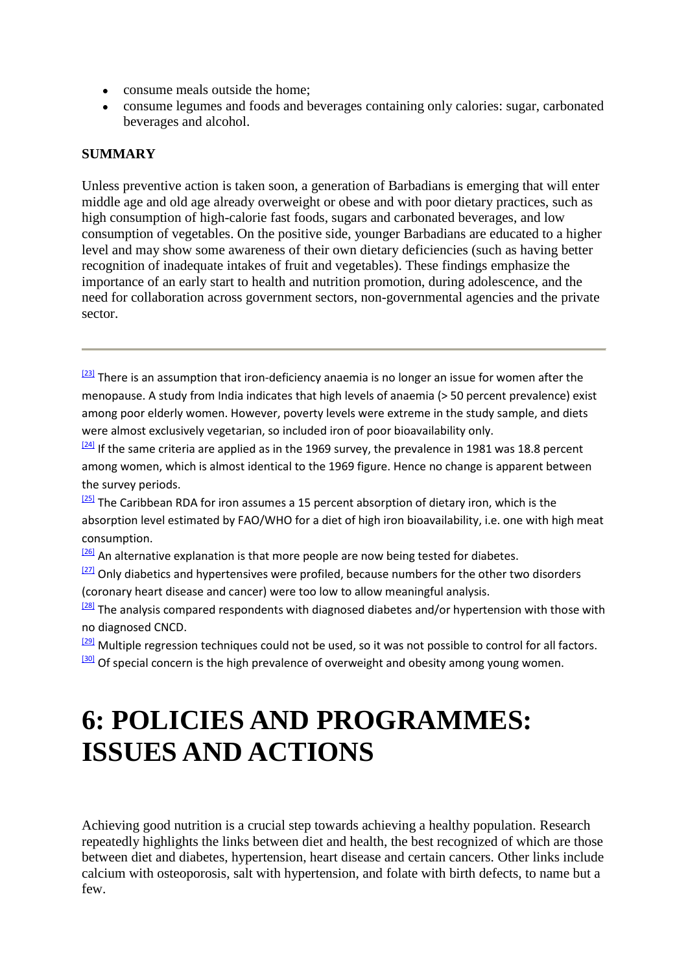- consume meals outside the home:
- consume legumes and foods and beverages containing only calories: sugar, carbonated beverages and alcohol.

#### **SUMMARY**

Unless preventive action is taken soon, a generation of Barbadians is emerging that will enter middle age and old age already overweight or obese and with poor dietary practices, such as high consumption of high-calorie fast foods, sugars and carbonated beverages, and low consumption of vegetables. On the positive side, younger Barbadians are educated to a higher level and may show some awareness of their own dietary deficiencies (such as having better recognition of inadequate intakes of fruit and vegetables). These findings emphasize the importance of an early start to health and nutrition promotion, during adolescence, and the need for collaboration across government sectors, non-governmental agencies and the private sector.

 $\frac{[23]}{[23]}$  $\frac{[23]}{[23]}$  $\frac{[23]}{[23]}$  There is an assumption that iron-deficiency anaemia is no longer an issue for women after the menopause. A study from India indicates that high levels of anaemia (> 50 percent prevalence) exist among poor elderly women. However, poverty levels were extreme in the study sample, and diets were almost exclusively vegetarian, so included iron of poor bioavailability only.

<sup>[\[24\]](http://www.fao.org/docrep/008/y5883e/y5883e09.htm#fnB24)</sup> If the same criteria are applied as in the 1969 survey, the prevalence in 1981 was 18.8 percent among women, which is almost identical to the 1969 figure. Hence no change is apparent between the survey periods.

 $\frac{[25]}{[25]}$  $\frac{[25]}{[25]}$  $\frac{[25]}{[25]}$  The Caribbean RDA for iron assumes a 15 percent absorption of dietary iron, which is the absorption level estimated by FAO/WHO for a diet of high iron bioavailability, i.e. one with high meat consumption.

 $\frac{[26]}{[26]}$  $\frac{[26]}{[26]}$  $\frac{[26]}{[26]}$  An alternative explanation is that more people are now being tested for diabetes.

 $\frac{[27]}{[27]}$  $\frac{[27]}{[27]}$  $\frac{[27]}{[27]}$  Only diabetics and hypertensives were profiled, because numbers for the other two disorders (coronary heart disease and cancer) were too low to allow meaningful analysis.

 $\frac{[28]}{[28]}$  $\frac{[28]}{[28]}$  $\frac{[28]}{[28]}$  The analysis compared respondents with diagnosed diabetes and/or hypertension with those with no diagnosed CNCD.

<sup>[\[29\]](http://www.fao.org/docrep/008/y5883e/y5883e09.htm#fnB29)</sup> Multiple regression techniques could not be used, so it was not possible to control for all factors.  $\frac{30}{30}$  Of special concern is the high prevalence of overweight and obesity among young women.

## **6: POLICIES AND PROGRAMMES: ISSUES AND ACTIONS**

Achieving good nutrition is a crucial step towards achieving a healthy population. Research repeatedly highlights the links between diet and health, the best recognized of which are those between diet and diabetes, hypertension, heart disease and certain cancers. Other links include calcium with osteoporosis, salt with hypertension, and folate with birth defects, to name but a few.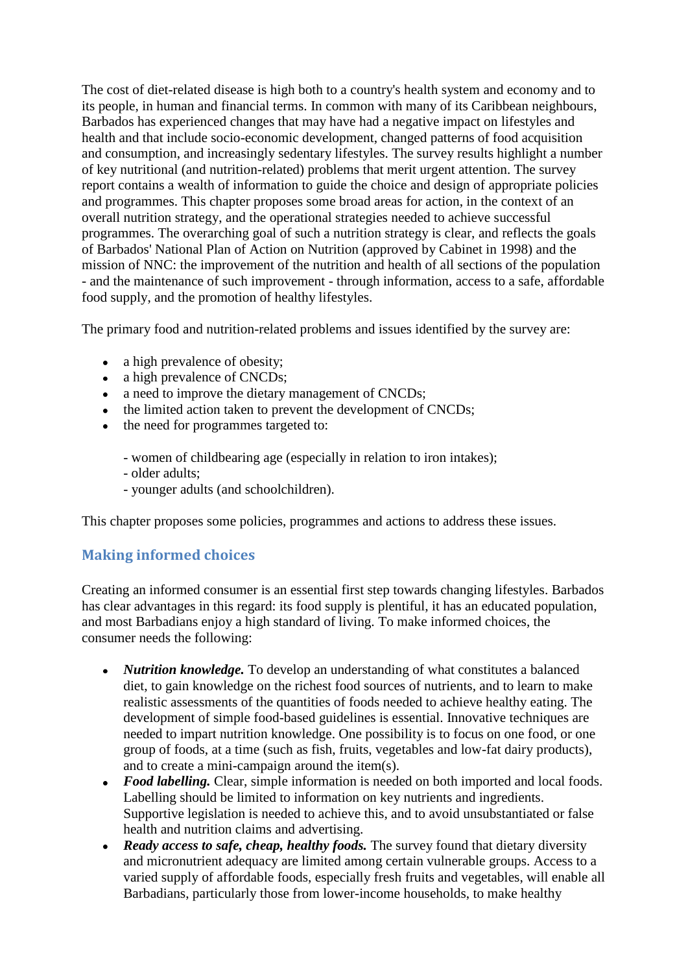The cost of diet-related disease is high both to a country's health system and economy and to its people, in human and financial terms. In common with many of its Caribbean neighbours, Barbados has experienced changes that may have had a negative impact on lifestyles and health and that include socio-economic development, changed patterns of food acquisition and consumption, and increasingly sedentary lifestyles. The survey results highlight a number of key nutritional (and nutrition-related) problems that merit urgent attention. The survey report contains a wealth of information to guide the choice and design of appropriate policies and programmes. This chapter proposes some broad areas for action, in the context of an overall nutrition strategy, and the operational strategies needed to achieve successful programmes. The overarching goal of such a nutrition strategy is clear, and reflects the goals of Barbados' National Plan of Action on Nutrition (approved by Cabinet in 1998) and the mission of NNC: the improvement of the nutrition and health of all sections of the population - and the maintenance of such improvement - through information, access to a safe, affordable food supply, and the promotion of healthy lifestyles.

The primary food and nutrition-related problems and issues identified by the survey are:

- a high prevalence of obesity:
- a high prevalence of CNCDs;
- a need to improve the dietary management of CNCDs;
- the limited action taken to prevent the development of CNCDs;
- the need for programmes targeted to:

- women of childbearing age (especially in relation to iron intakes);

- older adults;
- younger adults (and schoolchildren).

This chapter proposes some policies, programmes and actions to address these issues.

## **Making informed choices**

Creating an informed consumer is an essential first step towards changing lifestyles. Barbados has clear advantages in this regard: its food supply is plentiful, it has an educated population, and most Barbadians enjoy a high standard of living. To make informed choices, the consumer needs the following:

- *Nutrition knowledge.* To develop an understanding of what constitutes a balanced diet, to gain knowledge on the richest food sources of nutrients, and to learn to make realistic assessments of the quantities of foods needed to achieve healthy eating. The development of simple food-based guidelines is essential. Innovative techniques are needed to impart nutrition knowledge. One possibility is to focus on one food, or one group of foods, at a time (such as fish, fruits, vegetables and low-fat dairy products), and to create a mini-campaign around the item(s).
- **Food labelling.** Clear, simple information is needed on both imported and local foods. Labelling should be limited to information on key nutrients and ingredients. Supportive legislation is needed to achieve this, and to avoid unsubstantiated or false health and nutrition claims and advertising.
- *Ready access to safe, cheap, healthy foods.* The survey found that dietary diversity and micronutrient adequacy are limited among certain vulnerable groups. Access to a varied supply of affordable foods, especially fresh fruits and vegetables, will enable all Barbadians, particularly those from lower-income households, to make healthy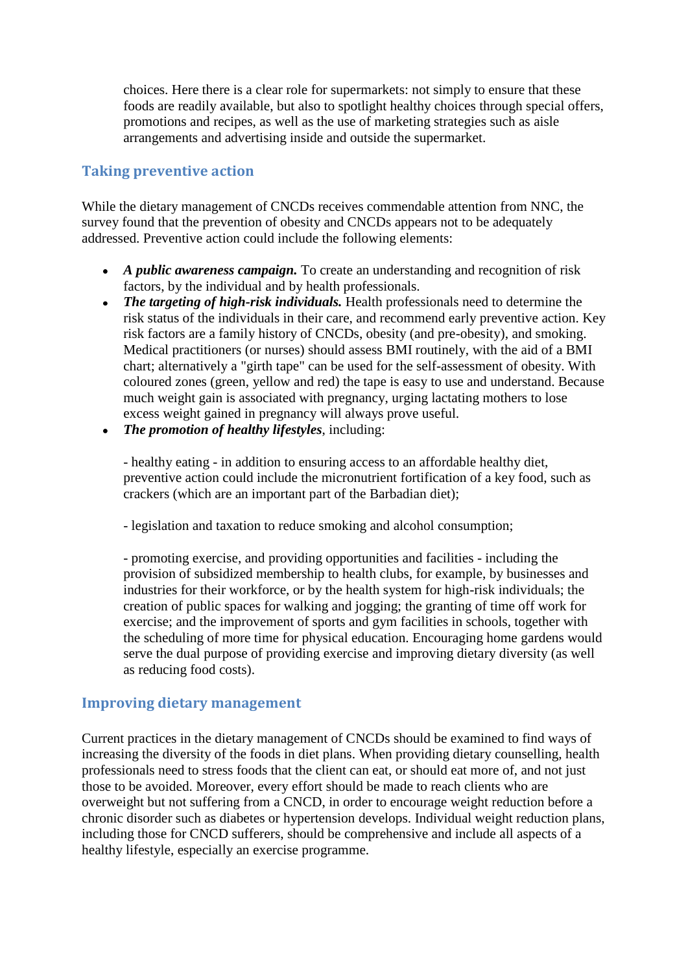choices. Here there is a clear role for supermarkets: not simply to ensure that these foods are readily available, but also to spotlight healthy choices through special offers, promotions and recipes, as well as the use of marketing strategies such as aisle arrangements and advertising inside and outside the supermarket.

## **Taking preventive action**

While the dietary management of CNCDs receives commendable attention from NNC, the survey found that the prevention of obesity and CNCDs appears not to be adequately addressed. Preventive action could include the following elements:

- *A public awareness campaign.* To create an understanding and recognition of risk factors, by the individual and by health professionals.
- *The targeting of high-risk individuals.* Health professionals need to determine the risk status of the individuals in their care, and recommend early preventive action. Key risk factors are a family history of CNCDs, obesity (and pre-obesity), and smoking. Medical practitioners (or nurses) should assess BMI routinely, with the aid of a BMI chart; alternatively a "girth tape" can be used for the self-assessment of obesity. With coloured zones (green, yellow and red) the tape is easy to use and understand. Because much weight gain is associated with pregnancy, urging lactating mothers to lose excess weight gained in pregnancy will always prove useful.
- *The promotion of healthy lifestyles*, including:

- healthy eating - in addition to ensuring access to an affordable healthy diet, preventive action could include the micronutrient fortification of a key food, such as crackers (which are an important part of the Barbadian diet);

- legislation and taxation to reduce smoking and alcohol consumption;

- promoting exercise, and providing opportunities and facilities - including the provision of subsidized membership to health clubs, for example, by businesses and industries for their workforce, or by the health system for high-risk individuals; the creation of public spaces for walking and jogging; the granting of time off work for exercise; and the improvement of sports and gym facilities in schools, together with the scheduling of more time for physical education. Encouraging home gardens would serve the dual purpose of providing exercise and improving dietary diversity (as well as reducing food costs).

## **Improving dietary management**

Current practices in the dietary management of CNCDs should be examined to find ways of increasing the diversity of the foods in diet plans. When providing dietary counselling, health professionals need to stress foods that the client can eat, or should eat more of, and not just those to be avoided. Moreover, every effort should be made to reach clients who are overweight but not suffering from a CNCD, in order to encourage weight reduction before a chronic disorder such as diabetes or hypertension develops. Individual weight reduction plans, including those for CNCD sufferers, should be comprehensive and include all aspects of a healthy lifestyle, especially an exercise programme.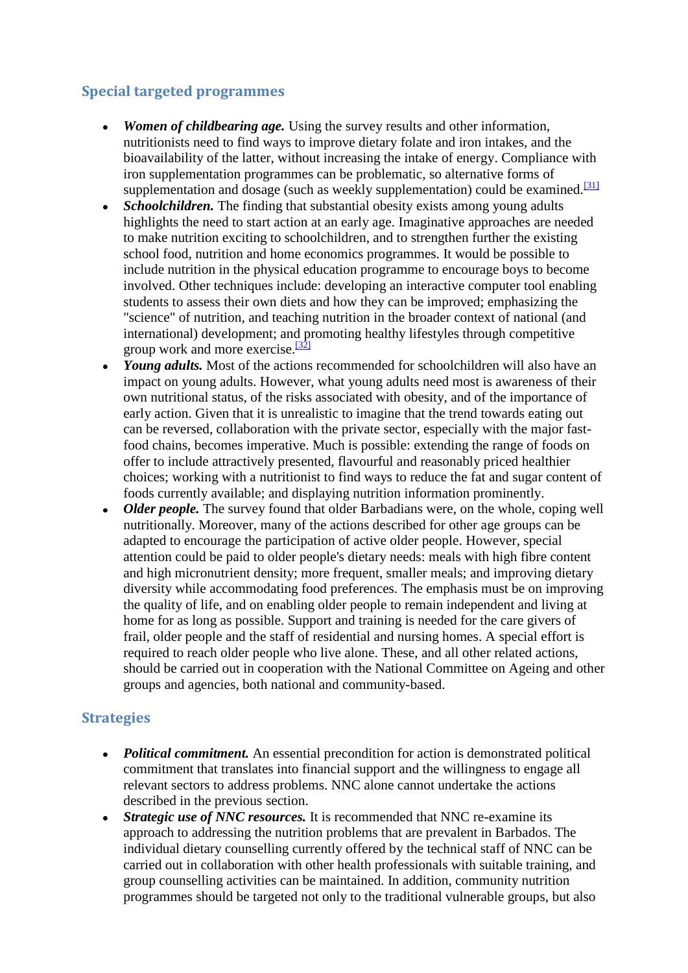## **Special targeted programmes**

- *Women of childbearing age.* Using the survey results and other information, nutritionists need to find ways to improve dietary folate and iron intakes, and the bioavailability of the latter, without increasing the intake of energy. Compliance with iron supplementation programmes can be problematic, so alternative forms of supplementation and dosage (such as weekly supplementation) could be examined.<sup>[\[31\]](http://www.fao.org/docrep/008/y5883e/y5883e0a.htm#fn31)</sup>
- *Schoolchildren.* The finding that substantial obesity exists among young adults highlights the need to start action at an early age. Imaginative approaches are needed to make nutrition exciting to schoolchildren, and to strengthen further the existing school food, nutrition and home economics programmes. It would be possible to include nutrition in the physical education programme to encourage boys to become involved. Other techniques include: developing an interactive computer tool enabling students to assess their own diets and how they can be improved; emphasizing the "science" of nutrition, and teaching nutrition in the broader context of national (and international) development; and promoting healthy lifestyles through competitive group work and more exercise. $\frac{32}{2}$
- *Young adults.* Most of the actions recommended for schoolchildren will also have an  $\bullet$ impact on young adults. However, what young adults need most is awareness of their own nutritional status, of the risks associated with obesity, and of the importance of early action. Given that it is unrealistic to imagine that the trend towards eating out can be reversed, collaboration with the private sector, especially with the major fastfood chains, becomes imperative. Much is possible: extending the range of foods on offer to include attractively presented, flavourful and reasonably priced healthier choices; working with a nutritionist to find ways to reduce the fat and sugar content of foods currently available; and displaying nutrition information prominently.
- *Older people*. The survey found that older Barbadians were, on the whole, coping well  $\bullet$ nutritionally. Moreover, many of the actions described for other age groups can be adapted to encourage the participation of active older people. However, special attention could be paid to older people's dietary needs: meals with high fibre content and high micronutrient density; more frequent, smaller meals; and improving dietary diversity while accommodating food preferences. The emphasis must be on improving the quality of life, and on enabling older people to remain independent and living at home for as long as possible. Support and training is needed for the care givers of frail, older people and the staff of residential and nursing homes. A special effort is required to reach older people who live alone. These, and all other related actions, should be carried out in cooperation with the National Committee on Ageing and other groups and agencies, both national and community-based.

## **Strategies**

- *Political commitment.* An essential precondition for action is demonstrated political commitment that translates into financial support and the willingness to engage all relevant sectors to address problems. NNC alone cannot undertake the actions described in the previous section.
- *Strategic use of NNC resources.* It is recommended that NNC re-examine its  $\bullet$ approach to addressing the nutrition problems that are prevalent in Barbados. The individual dietary counselling currently offered by the technical staff of NNC can be carried out in collaboration with other health professionals with suitable training, and group counselling activities can be maintained. In addition, community nutrition programmes should be targeted not only to the traditional vulnerable groups, but also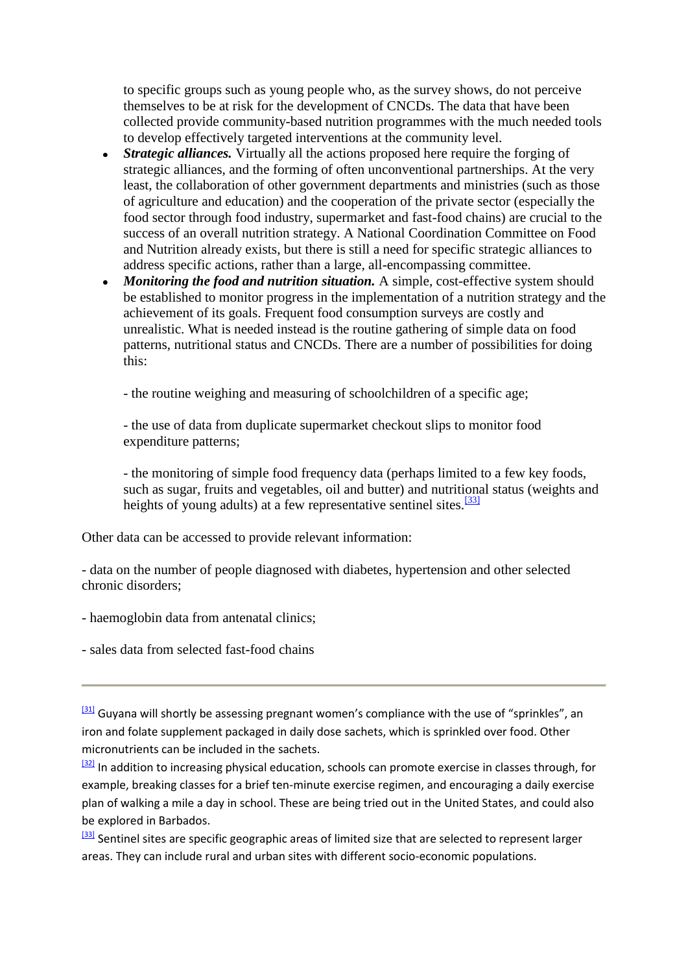to specific groups such as young people who, as the survey shows, do not perceive themselves to be at risk for the development of CNCDs. The data that have been collected provide community-based nutrition programmes with the much needed tools to develop effectively targeted interventions at the community level.

- *Strategic alliances.* Virtually all the actions proposed here require the forging of strategic alliances, and the forming of often unconventional partnerships. At the very least, the collaboration of other government departments and ministries (such as those of agriculture and education) and the cooperation of the private sector (especially the food sector through food industry, supermarket and fast-food chains) are crucial to the success of an overall nutrition strategy. A National Coordination Committee on Food and Nutrition already exists, but there is still a need for specific strategic alliances to address specific actions, rather than a large, all-encompassing committee.
- *Monitoring the food and nutrition situation.* A simple, cost-effective system should be established to monitor progress in the implementation of a nutrition strategy and the achievement of its goals. Frequent food consumption surveys are costly and unrealistic. What is needed instead is the routine gathering of simple data on food patterns, nutritional status and CNCDs. There are a number of possibilities for doing this:

- the routine weighing and measuring of schoolchildren of a specific age;

- the use of data from duplicate supermarket checkout slips to monitor food expenditure patterns;

- the monitoring of simple food frequency data (perhaps limited to a few key foods, such as sugar, fruits and vegetables, oil and butter) and nutritional status (weights and heights of young adults) at a few representative sentinel sites.  $\frac{[33]}{[33]}$  $\frac{[33]}{[33]}$  $\frac{[33]}{[33]}$ 

Other data can be accessed to provide relevant information:

- data on the number of people diagnosed with diabetes, hypertension and other selected chronic disorders;

- haemoglobin data from antenatal clinics;

- sales data from selected fast-food chains

 $\frac{[31]}{[31]}$  $\frac{[31]}{[31]}$  $\frac{[31]}{[31]}$  Guyana will shortly be assessing pregnant women's compliance with the use of "sprinkles", an iron and folate supplement packaged in daily dose sachets, which is sprinkled over food. Other micronutrients can be included in the sachets.

[\[32\]](http://www.fao.org/docrep/008/y5883e/y5883e0a.htm#fnB32) In addition to increasing physical education, schools can promote exercise in classes through, for example, breaking classes for a brief ten-minute exercise regimen, and encouraging a daily exercise plan of walking a mile a day in school. These are being tried out in the United States, and could also be explored in Barbados.

[\[33\]](http://www.fao.org/docrep/008/y5883e/y5883e0a.htm#fnB33) Sentinel sites are specific geographic areas of limited size that are selected to represent larger areas. They can include rural and urban sites with different socio-economic populations.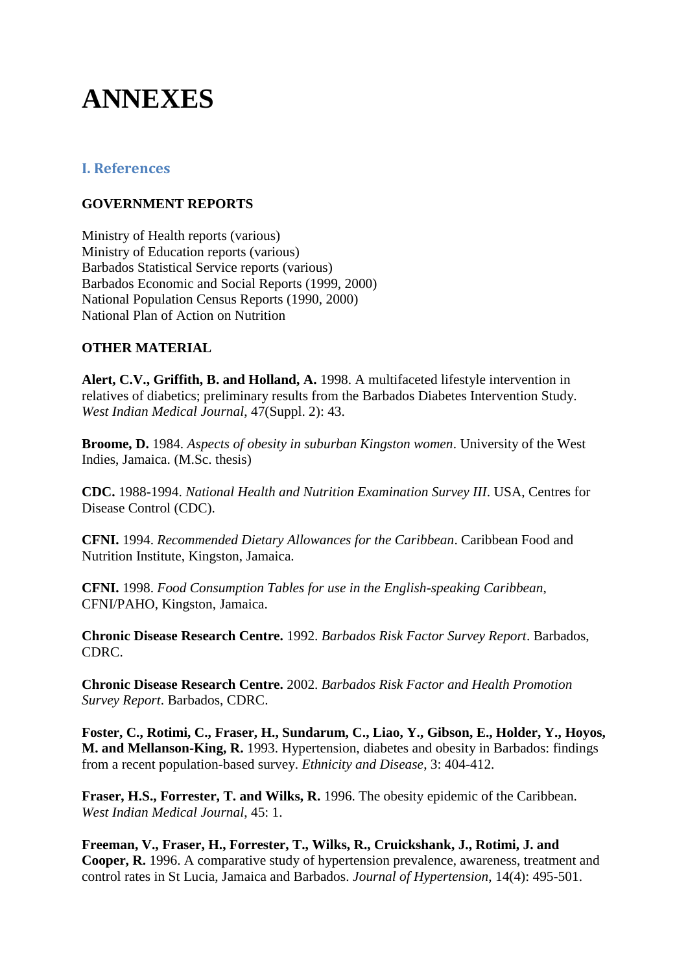## **ANNEXES**

## **I. References**

## **GOVERNMENT REPORTS**

Ministry of Health reports (various) Ministry of Education reports (various) Barbados Statistical Service reports (various) Barbados Economic and Social Reports (1999, 2000) National Population Census Reports (1990, 2000) National Plan of Action on Nutrition

#### **OTHER MATERIAL**

**Alert, C.V., Griffith, B. and Holland, A.** 1998. A multifaceted lifestyle intervention in relatives of diabetics; preliminary results from the Barbados Diabetes Intervention Study. *West Indian Medical Journal*, 47(Suppl. 2): 43.

**Broome, D.** 1984. *Aspects of obesity in suburban Kingston women*. University of the West Indies, Jamaica. (M.Sc. thesis)

**CDC.** 1988-1994. *National Health and Nutrition Examination Survey III*. USA, Centres for Disease Control (CDC).

**CFNI.** 1994. *Recommended Dietary Allowances for the Caribbean*. Caribbean Food and Nutrition Institute, Kingston, Jamaica.

**CFNI.** 1998. *Food Consumption Tables for use in the English-speaking Caribbean*, CFNI/PAHO, Kingston, Jamaica.

**Chronic Disease Research Centre.** 1992. *Barbados Risk Factor Survey Report*. Barbados, CDRC.

**Chronic Disease Research Centre.** 2002. *Barbados Risk Factor and Health Promotion Survey Report*. Barbados, CDRC.

**Foster, C., Rotimi, C., Fraser, H., Sundarum, C., Liao, Y., Gibson, E., Holder, Y., Hoyos, M. and Mellanson-King, R.** 1993. Hypertension, diabetes and obesity in Barbados: findings from a recent population-based survey. *Ethnicity and Disease*, 3: 404-412.

**Fraser, H.S., Forrester, T. and Wilks, R.** 1996. The obesity epidemic of the Caribbean. *West Indian Medical Journal*, 45: 1.

**Freeman, V., Fraser, H., Forrester, T., Wilks, R., Cruickshank, J., Rotimi, J. and Cooper, R.** 1996. A comparative study of hypertension prevalence, awareness, treatment and control rates in St Lucia, Jamaica and Barbados. *Journal of Hypertension*, 14(4): 495-501.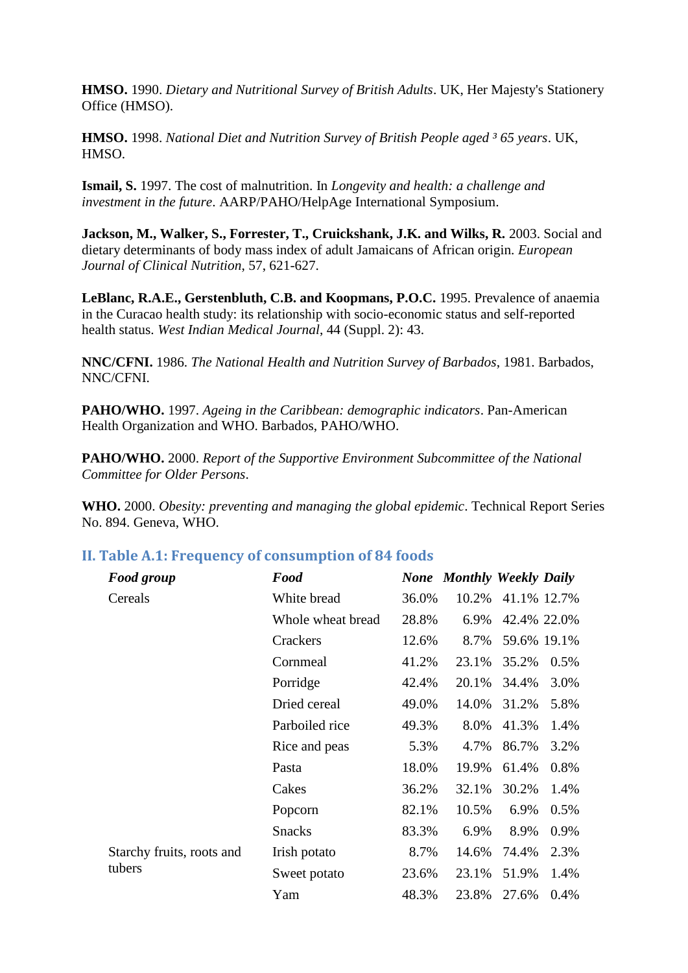**HMSO.** 1990. *Dietary and Nutritional Survey of British Adults*. UK, Her Majesty's Stationery Office (HMSO).

**HMSO.** 1998. *National Diet and Nutrition Survey of British People aged ³ 65 years*. UK, HMSO.

**Ismail, S.** 1997. The cost of malnutrition. In *Longevity and health: a challenge and investment in the future*. AARP/PAHO/HelpAge International Symposium.

**Jackson, M., Walker, S., Forrester, T., Cruickshank, J.K. and Wilks, R.** 2003. Social and dietary determinants of body mass index of adult Jamaicans of African origin. *European Journal of Clinical Nutrition*, 57, 621-627.

**LeBlanc, R.A.E., Gerstenbluth, C.B. and Koopmans, P.O.C.** 1995. Prevalence of anaemia in the Curacao health study: its relationship with socio-economic status and self-reported health status. *West Indian Medical Journal*, 44 (Suppl. 2): 43.

**NNC/CFNI.** 1986. *The National Health and Nutrition Survey of Barbados*, 1981. Barbados, NNC/CFNI.

**PAHO/WHO.** 1997. *Ageing in the Caribbean: demographic indicators*. Pan-American Health Organization and WHO. Barbados, PAHO/WHO.

**PAHO/WHO.** 2000. *Report of the Supportive Environment Subcommittee of the National Committee for Older Persons*.

**WHO.** 2000. *Obesity: preventing and managing the global epidemic*. Technical Report Series No. 894. Geneva, WHO.

#### **II. Table A.1: Frequency of consumption of 84 foods**

| <b>Food group</b>         | Food              |       | <b>None Monthly Weekly Daily</b> |             |             |
|---------------------------|-------------------|-------|----------------------------------|-------------|-------------|
| Cereals                   | White bread       | 36.0% | 10.2%                            |             | 41.1% 12.7% |
|                           | Whole wheat bread | 28.8% | 6.9%                             | 42.4% 22.0% |             |
|                           | Crackers          | 12.6% | 8.7%                             | 59.6% 19.1% |             |
|                           | Cornmeal          | 41.2% | 23.1%                            | 35.2%       | 0.5%        |
|                           | Porridge          | 42.4% | 20.1%                            | 34.4%       | 3.0%        |
|                           | Dried cereal      | 49.0% | 14.0%                            | 31.2%       | 5.8%        |
|                           | Parboiled rice    | 49.3% | 8.0%                             | 41.3%       | 1.4%        |
|                           | Rice and peas     | 5.3%  | 4.7%                             | 86.7%       | 3.2%        |
|                           | Pasta             | 18.0% | 19.9%                            | 61.4%       | 0.8%        |
|                           | Cakes             | 36.2% | 32.1%                            | 30.2%       | 1.4%        |
|                           | Popcorn           | 82.1% | 10.5%                            | 6.9%        | 0.5%        |
|                           | <b>Snacks</b>     | 83.3% | 6.9%                             | 8.9%        | 0.9%        |
| Starchy fruits, roots and | Irish potato      | 8.7%  | 14.6%                            | 74.4%       | 2.3%        |
| tubers                    | Sweet potato      | 23.6% | 23.1%                            | 51.9%       | 1.4%        |
|                           | Yam               | 48.3% | 23.8%                            | 27.6%       | 0.4%        |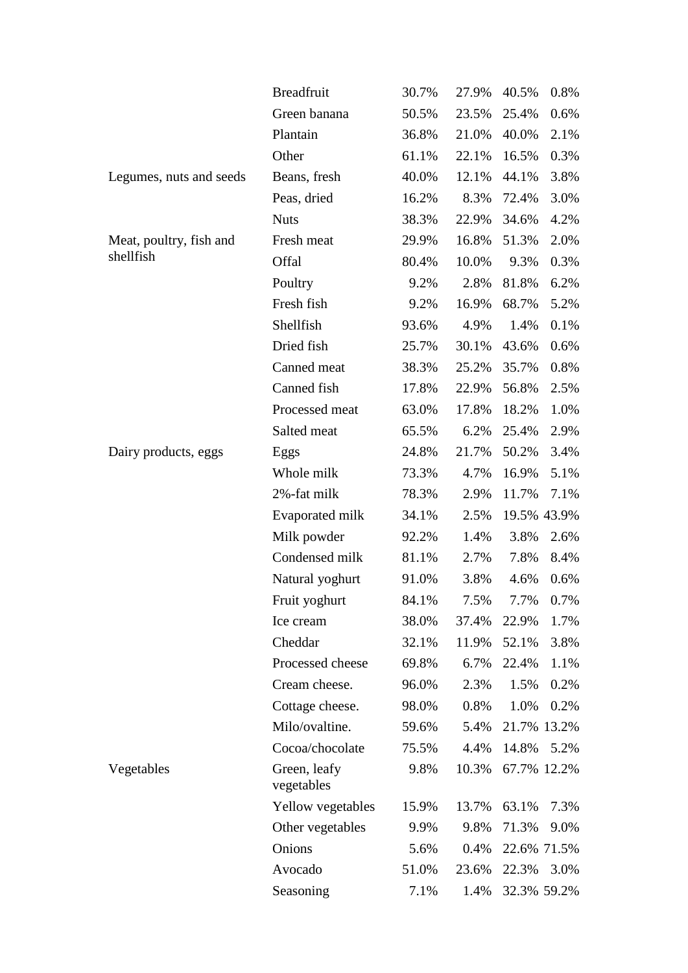|                         | <b>Breadfruit</b>          | 30.7% | 27.9% | 40.5% | 0.8%        |
|-------------------------|----------------------------|-------|-------|-------|-------------|
|                         | Green banana               | 50.5% | 23.5% | 25.4% | 0.6%        |
|                         | Plantain                   | 36.8% | 21.0% | 40.0% | 2.1%        |
|                         | Other                      | 61.1% | 22.1% | 16.5% | 0.3%        |
| Legumes, nuts and seeds | Beans, fresh               | 40.0% | 12.1% | 44.1% | 3.8%        |
|                         | Peas, dried                | 16.2% | 8.3%  | 72.4% | 3.0%        |
|                         | <b>Nuts</b>                | 38.3% | 22.9% | 34.6% | 4.2%        |
| Meat, poultry, fish and | Fresh meat                 | 29.9% | 16.8% | 51.3% | 2.0%        |
| shellfish               | Offal                      | 80.4% | 10.0% | 9.3%  | 0.3%        |
|                         | Poultry                    | 9.2%  | 2.8%  | 81.8% | 6.2%        |
|                         | Fresh fish                 | 9.2%  | 16.9% | 68.7% | 5.2%        |
|                         | Shellfish                  | 93.6% | 4.9%  | 1.4%  | 0.1%        |
|                         | Dried fish                 | 25.7% | 30.1% | 43.6% | 0.6%        |
|                         | Canned meat                | 38.3% | 25.2% | 35.7% | 0.8%        |
|                         | Canned fish                | 17.8% | 22.9% | 56.8% | 2.5%        |
|                         | Processed meat             | 63.0% | 17.8% | 18.2% | 1.0%        |
|                         | Salted meat                | 65.5% | 6.2%  | 25.4% | 2.9%        |
| Dairy products, eggs    | Eggs                       | 24.8% | 21.7% | 50.2% | 3.4%        |
|                         | Whole milk                 | 73.3% | 4.7%  | 16.9% | 5.1%        |
|                         | 2%-fat milk                | 78.3% | 2.9%  | 11.7% | 7.1%        |
|                         | Evaporated milk            | 34.1% | 2.5%  |       | 19.5% 43.9% |
|                         | Milk powder                | 92.2% | 1.4%  | 3.8%  | 2.6%        |
|                         | Condensed milk             | 81.1% | 2.7%  | 7.8%  | 8.4%        |
|                         | Natural yoghurt            | 91.0% | 3.8%  | 4.6%  | 0.6%        |
|                         | Fruit yoghurt              | 84.1% | 7.5%  | 7.7%  | 0.7%        |
|                         | Ice cream                  | 38.0% | 37.4% | 22.9% | 1.7%        |
|                         | Cheddar                    | 32.1% | 11.9% | 52.1% | 3.8%        |
|                         | Processed cheese           | 69.8% | 6.7%  | 22.4% | 1.1%        |
|                         | Cream cheese.              | 96.0% | 2.3%  | 1.5%  | 0.2%        |
|                         | Cottage cheese.            | 98.0% | 0.8%  | 1.0%  | 0.2%        |
|                         | Milo/ovaltine.             | 59.6% | 5.4%  |       | 21.7% 13.2% |
|                         | Cocoa/chocolate            | 75.5% | 4.4%  | 14.8% | 5.2%        |
| Vegetables              | Green, leafy<br>vegetables | 9.8%  | 10.3% |       | 67.7% 12.2% |
|                         | Yellow vegetables          | 15.9% | 13.7% | 63.1% | 7.3%        |
|                         | Other vegetables           | 9.9%  | 9.8%  | 71.3% | 9.0%        |
|                         | Onions                     | 5.6%  | 0.4%  |       | 22.6% 71.5% |
|                         | Avocado                    | 51.0% | 23.6% | 22.3% | 3.0%        |
|                         | Seasoning                  | 7.1%  | 1.4%  |       | 32.3% 59.2% |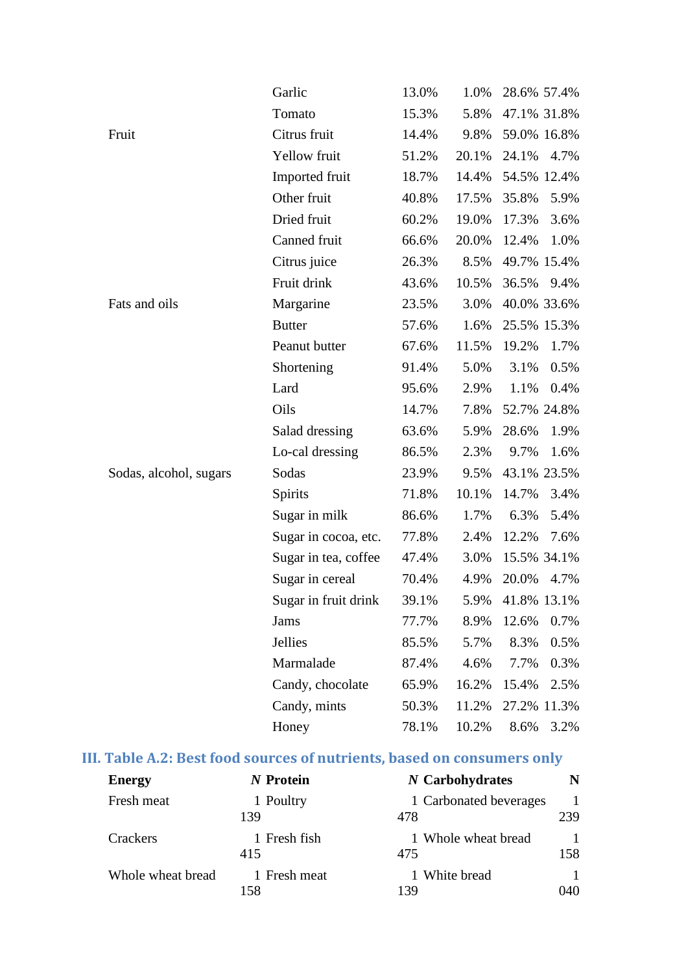|                        | Garlic               | 13.0% | 1.0%  | 28.6% 57.4%      |
|------------------------|----------------------|-------|-------|------------------|
|                        | Tomato               | 15.3% | 5.8%  | 47.1% 31.8%      |
| Fruit                  | Citrus fruit         | 14.4% | 9.8%  | 59.0% 16.8%      |
|                        | Yellow fruit         | 51.2% | 20.1% | 24.1%<br>4.7%    |
|                        | Imported fruit       | 18.7% | 14.4% | 54.5% 12.4%      |
|                        | Other fruit          | 40.8% | 17.5% | 35.8%<br>5.9%    |
|                        | Dried fruit          | 60.2% | 19.0% | 17.3%<br>3.6%    |
|                        | Canned fruit         | 66.6% | 20.0% | 1.0%<br>12.4%    |
|                        | Citrus juice         | 26.3% | 8.5%  | 49.7% 15.4%      |
|                        | Fruit drink          | 43.6% | 10.5% | 36.5%<br>9.4%    |
| Fats and oils          | Margarine            | 23.5% | 3.0%  | 40.0% 33.6%      |
|                        | <b>Butter</b>        | 57.6% | 1.6%  | 25.5% 15.3%      |
|                        | Peanut butter        | 67.6% | 11.5% | 19.2%<br>1.7%    |
|                        | Shortening           | 91.4% | 5.0%  | 3.1%<br>0.5%     |
|                        | Lard                 | 95.6% | 2.9%  | 1.1%<br>0.4%     |
|                        | Oils                 | 14.7% | 7.8%  | 52.7% 24.8%      |
|                        | Salad dressing       | 63.6% | 5.9%  | 28.6%<br>1.9%    |
|                        | Lo-cal dressing      | 86.5% | 2.3%  | 9.7%<br>1.6%     |
| Sodas, alcohol, sugars | Sodas                | 23.9% | 9.5%  | 43.1% 23.5%      |
|                        | Spirits              | 71.8% | 10.1% | 14.7%<br>3.4%    |
|                        | Sugar in milk        | 86.6% | 1.7%  | 6.3%<br>5.4%     |
|                        | Sugar in cocoa, etc. | 77.8% | 2.4%  | 12.2%<br>7.6%    |
|                        | Sugar in tea, coffee | 47.4% | 3.0%  | 15.5% 34.1%      |
|                        | Sugar in cereal      | 70.4% | 4.9%  | 20.0%<br>4.7%    |
|                        | Sugar in fruit drink | 39.1% |       | 5.9% 41.8% 13.1% |
|                        | Jams                 | 77.7% | 8.9%  | 12.6%<br>0.7%    |
|                        | <b>Jellies</b>       | 85.5% | 5.7%  | 8.3%<br>0.5%     |
|                        | Marmalade            | 87.4% | 4.6%  | 7.7%<br>0.3%     |
|                        | Candy, chocolate     | 65.9% | 16.2% | 15.4%<br>2.5%    |
|                        | Candy, mints         | 50.3% | 11.2% | 27.2% 11.3%      |
|                        | Honey                | 78.1% | 10.2% | 8.6%<br>3.2%     |

## **III. Table A.2: Best food sources of nutrients, based on consumers only**

| <b>Energy</b>     | N Protein    |     | $N$ Carbohydrates      |     |
|-------------------|--------------|-----|------------------------|-----|
| Fresh meat        | 1 Poultry    |     | 1 Carbonated beverages |     |
|                   | 139          | 478 |                        | 239 |
| Crackers          | 1 Fresh fish |     | 1 Whole wheat bread    |     |
|                   | 415          | 475 |                        | 158 |
| Whole wheat bread | 1 Fresh meat |     | 1 White bread          |     |
|                   | 158          | 139 |                        | 040 |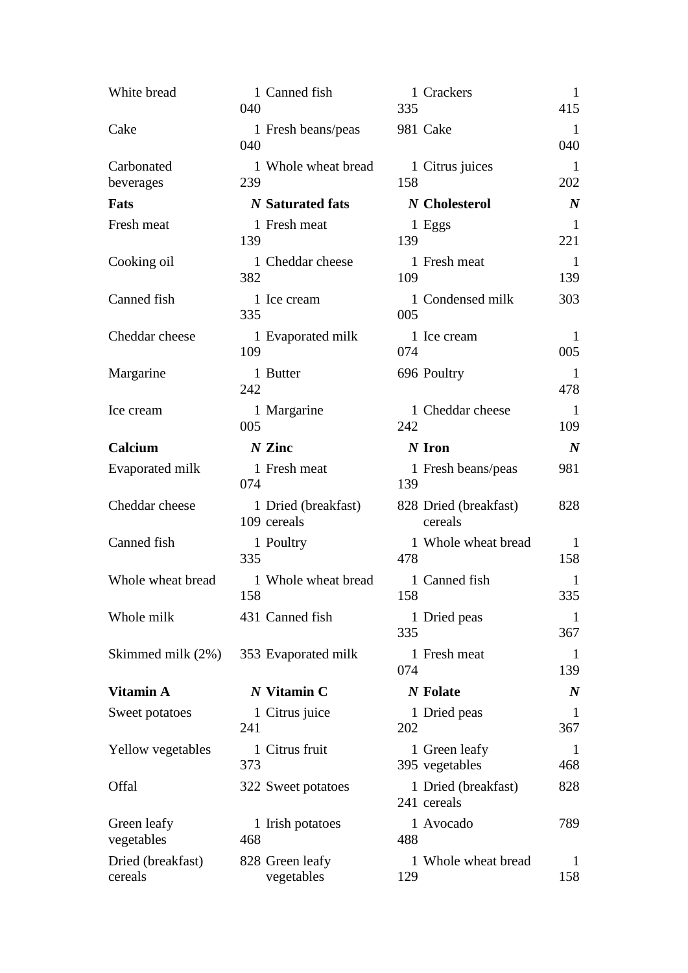| White bread                  | 040 | 1 Canned fish                      | 335 | 1 Crackers                         | $\mathbf{1}$<br>415 |
|------------------------------|-----|------------------------------------|-----|------------------------------------|---------------------|
| Cake                         | 040 | 1 Fresh beans/peas                 |     | 981 Cake                           | $\mathbf{1}$<br>040 |
| Carbonated<br>beverages      | 239 | 1 Whole wheat bread                | 158 | 1 Citrus juices                    | -1<br>202           |
| <b>Fats</b>                  |     | N Saturated fats                   |     | N Cholesterol                      | $\boldsymbol{N}$    |
| Fresh meat                   | 139 | 1 Fresh meat                       | 139 | 1 Eggs                             | -1<br>221           |
| Cooking oil                  | 382 | 1 Cheddar cheese                   | 109 | 1 Fresh meat                       | -1<br>139           |
| Canned fish                  | 335 | 1 Ice cream                        | 005 | 1 Condensed milk                   | 303                 |
| Cheddar cheese               | 109 | 1 Evaporated milk                  | 074 | 1 Ice cream                        | -1<br>005           |
| Margarine                    | 242 | 1 Butter                           |     | 696 Poultry                        | $\mathbf{1}$<br>478 |
| Ice cream                    | 005 | 1 Margarine                        | 242 | 1 Cheddar cheese                   | -1<br>109           |
| Calcium                      |     | $N$ Zinc                           |     | $N$ Iron                           | $\boldsymbol{N}$    |
| Evaporated milk              | 074 | 1 Fresh meat                       | 139 | 1 Fresh beans/peas                 | 981                 |
| Cheddar cheese               |     | 1 Dried (breakfast)<br>109 cereals |     | 828 Dried (breakfast)<br>cereals   | 828                 |
| Canned fish                  | 335 | 1 Poultry                          | 478 | 1 Whole wheat bread                | $\mathbf{1}$<br>158 |
| Whole wheat bread            | 158 | 1 Whole wheat bread                | 158 | 1 Canned fish                      | $\mathbf{1}$<br>335 |
| Whole milk                   |     | 431 Canned fish                    | 335 | 1 Dried peas                       | $\mathbf{1}$<br>367 |
| Skimmed milk (2%)            |     | 353 Evaporated milk                | 074 | 1 Fresh meat                       | 1<br>139            |
| <b>Vitamin A</b>             |     | $N$ Vitamin $C$                    |     | $N$ Folate                         | $\boldsymbol{N}$    |
| Sweet potatoes               | 241 | 1 Citrus juice                     | 202 | 1 Dried peas                       | $\mathbf{1}$<br>367 |
| Yellow vegetables            | 373 | 1 Citrus fruit                     |     | 1 Green leafy<br>395 vegetables    | $\mathbf{1}$<br>468 |
| Offal                        |     | 322 Sweet potatoes                 |     | 1 Dried (breakfast)<br>241 cereals | 828                 |
| Green leafy<br>vegetables    | 468 | 1 Irish potatoes                   | 488 | 1 Avocado                          | 789                 |
| Dried (breakfast)<br>cereals |     | 828 Green leafy<br>vegetables      | 129 | 1 Whole wheat bread                | $\mathbf{I}$<br>158 |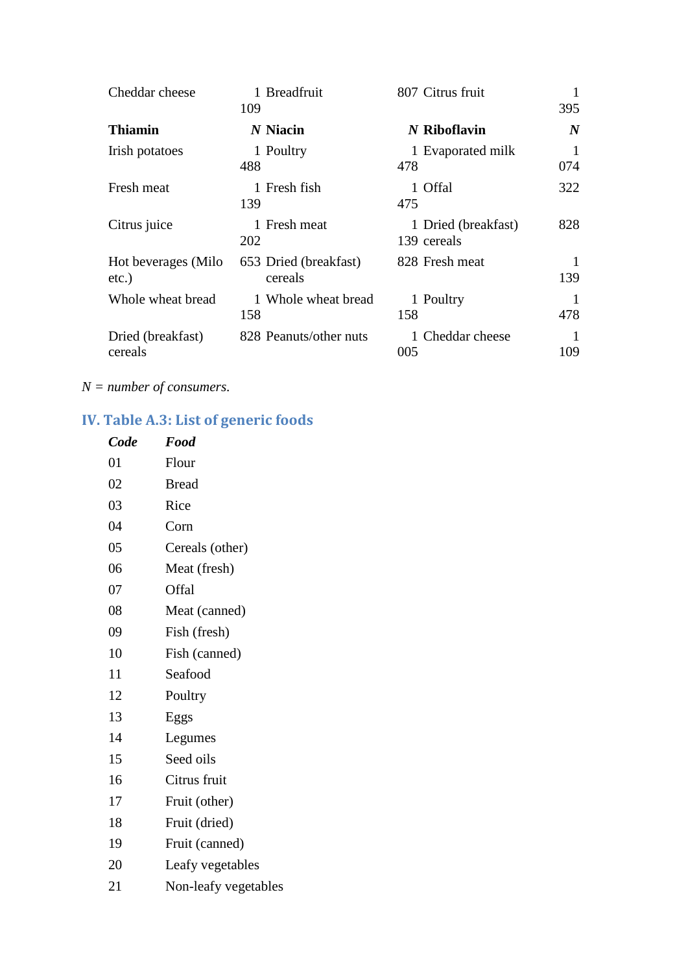| Cheddar cheese                  | 109 | 1 Breadfruit                     |     | 807 Citrus fruit                   | 395              |
|---------------------------------|-----|----------------------------------|-----|------------------------------------|------------------|
| <b>Thiamin</b>                  |     | $N$ Niacin                       |     | $N$ Riboflavin                     | $\boldsymbol{N}$ |
| Irish potatoes                  | 488 | 1 Poultry                        | 478 | 1 Evaporated milk                  | 074              |
| Fresh meat                      | 139 | 1 Fresh fish                     | 475 | 1 Offal                            | 322              |
| Citrus juice                    | 202 | 1 Fresh meat                     |     | 1 Dried (breakfast)<br>139 cereals | 828              |
| Hot beverages (Milo<br>$etc.$ ) |     | 653 Dried (breakfast)<br>cereals |     | 828 Fresh meat                     | 139              |
| Whole wheat bread               | 158 | 1 Whole wheat bread              | 158 | 1 Poultry                          | 478              |
| Dried (breakfast)<br>cereals    |     | 828 Peanuts/other nuts           | 005 | 1 Cheddar cheese                   | 109              |

*N = number of consumers.*

## **IV. Table A.3: List of generic foods**

| <b>Code</b> | Food                 |
|-------------|----------------------|
| 01          | Flour                |
| 02          | <b>Bread</b>         |
| 03          | Rice                 |
| 04          | Corn                 |
| 05          | Cereals (other)      |
| 06          | Meat (fresh)         |
| 07          | Offal                |
| 08          | Meat (canned)        |
| 09          | Fish (fresh)         |
| 10          | Fish (canned)        |
| 11          | Seafood              |
| 12          | Poultry              |
| 13          | Eggs                 |
| 14          | Legumes              |
| 15          | Seed oils            |
| 16          | Citrus fruit         |
| 17          | Fruit (other)        |
| 18          | Fruit (dried)        |
| 19          | Fruit (canned)       |
| 20          | Leafy vegetables     |
| 21          | Non-leafy vegetables |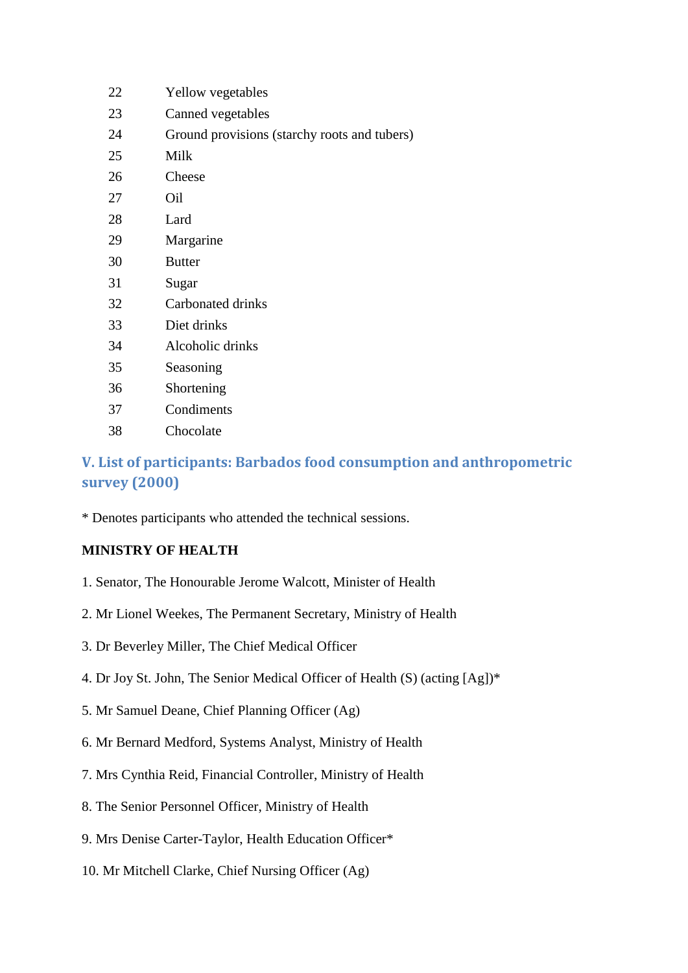| 22 | <b>Yellow</b> vegetables                     |
|----|----------------------------------------------|
| 23 | Canned vegetables                            |
| 24 | Ground provisions (starchy roots and tubers) |
| 25 | Milk                                         |
| 26 | Cheese                                       |
| 27 | Oil                                          |
| 28 | Lard                                         |
| 29 | Margarine                                    |
| 30 | <b>Butter</b>                                |
| 31 | Sugar                                        |
| 32 | Carbonated drinks                            |
| 33 | Diet drinks                                  |
| 34 | Alcoholic drinks                             |
| 35 | Seasoning                                    |
| 36 | Shortening                                   |
| 37 | Condiments                                   |
| 38 | Chocolate                                    |
|    |                                              |

## **V. List of participants: Barbados food consumption and anthropometric survey (2000)**

\* Denotes participants who attended the technical sessions.

## **MINISTRY OF HEALTH**

- 1. Senator, The Honourable Jerome Walcott, Minister of Health
- 2. Mr Lionel Weekes, The Permanent Secretary, Ministry of Health
- 3. Dr Beverley Miller, The Chief Medical Officer
- 4. Dr Joy St. John, The Senior Medical Officer of Health (S) (acting [Ag])\*
- 5. Mr Samuel Deane, Chief Planning Officer (Ag)
- 6. Mr Bernard Medford, Systems Analyst, Ministry of Health
- 7. Mrs Cynthia Reid, Financial Controller, Ministry of Health
- 8. The Senior Personnel Officer, Ministry of Health
- 9. Mrs Denise Carter-Taylor, Health Education Officer\*
- 10. Mr Mitchell Clarke, Chief Nursing Officer (Ag)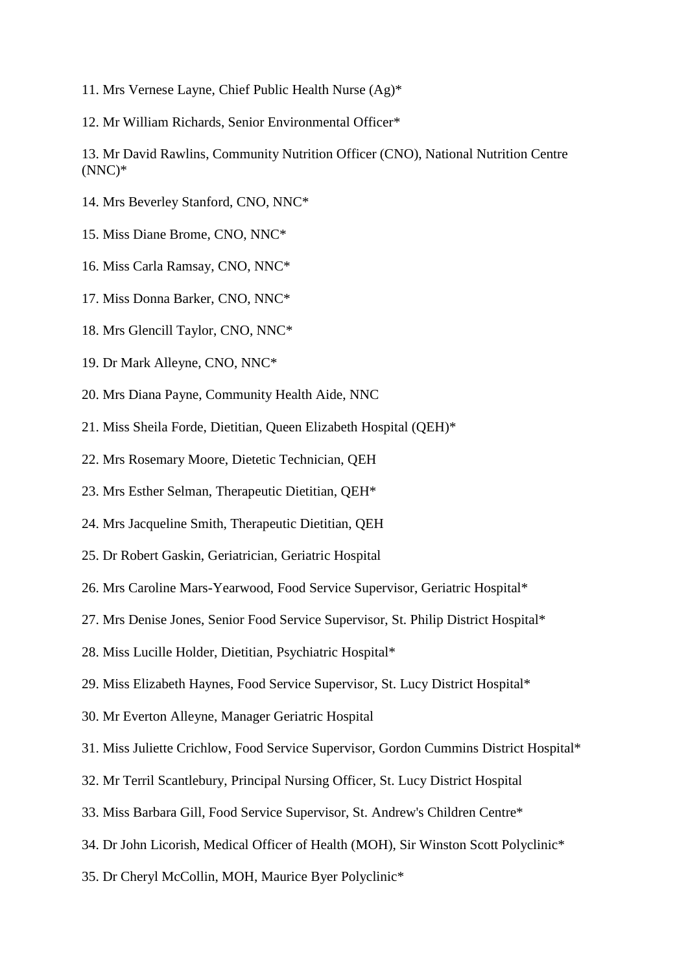- 11. Mrs Vernese Layne, Chief Public Health Nurse (Ag)\*
- 12. Mr William Richards, Senior Environmental Officer\*

13. Mr David Rawlins, Community Nutrition Officer (CNO), National Nutrition Centre (NNC)\*

- 14. Mrs Beverley Stanford, CNO, NNC\*
- 15. Miss Diane Brome, CNO, NNC\*
- 16. Miss Carla Ramsay, CNO, NNC\*
- 17. Miss Donna Barker, CNO, NNC\*
- 18. Mrs Glencill Taylor, CNO, NNC\*
- 19. Dr Mark Alleyne, CNO, NNC\*
- 20. Mrs Diana Payne, Community Health Aide, NNC
- 21. Miss Sheila Forde, Dietitian, Queen Elizabeth Hospital (QEH)\*
- 22. Mrs Rosemary Moore, Dietetic Technician, QEH
- 23. Mrs Esther Selman, Therapeutic Dietitian, QEH\*
- 24. Mrs Jacqueline Smith, Therapeutic Dietitian, QEH
- 25. Dr Robert Gaskin, Geriatrician, Geriatric Hospital
- 26. Mrs Caroline Mars-Yearwood, Food Service Supervisor, Geriatric Hospital\*
- 27. Mrs Denise Jones, Senior Food Service Supervisor, St. Philip District Hospital\*
- 28. Miss Lucille Holder, Dietitian, Psychiatric Hospital\*
- 29. Miss Elizabeth Haynes, Food Service Supervisor, St. Lucy District Hospital\*
- 30. Mr Everton Alleyne, Manager Geriatric Hospital
- 31. Miss Juliette Crichlow, Food Service Supervisor, Gordon Cummins District Hospital\*
- 32. Mr Terril Scantlebury, Principal Nursing Officer, St. Lucy District Hospital
- 33. Miss Barbara Gill, Food Service Supervisor, St. Andrew's Children Centre\*
- 34. Dr John Licorish, Medical Officer of Health (MOH), Sir Winston Scott Polyclinic\*
- 35. Dr Cheryl McCollin, MOH, Maurice Byer Polyclinic\*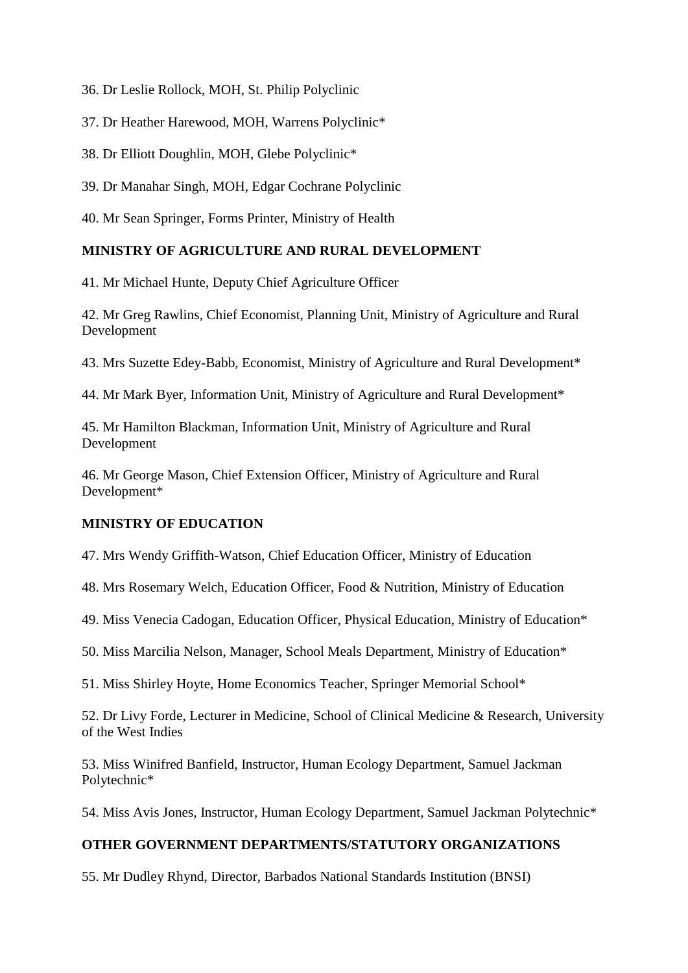- 36. Dr Leslie Rollock, MOH, St. Philip Polyclinic
- 37. Dr Heather Harewood, MOH, Warrens Polyclinic\*
- 38. Dr Elliott Doughlin, MOH, Glebe Polyclinic\*
- 39. Dr Manahar Singh, MOH, Edgar Cochrane Polyclinic
- 40. Mr Sean Springer, Forms Printer, Ministry of Health

### **MINISTRY OF AGRICULTURE AND RURAL DEVELOPMENT**

41. Mr Michael Hunte, Deputy Chief Agriculture Officer

42. Mr Greg Rawlins, Chief Economist, Planning Unit, Ministry of Agriculture and Rural Development

43. Mrs Suzette Edey-Babb, Economist, Ministry of Agriculture and Rural Development\*

44. Mr Mark Byer, Information Unit, Ministry of Agriculture and Rural Development\*

45. Mr Hamilton Blackman, Information Unit, Ministry of Agriculture and Rural Development

46. Mr George Mason, Chief Extension Officer, Ministry of Agriculture and Rural Development\*

#### **MINISTRY OF EDUCATION**

47. Mrs Wendy Griffith-Watson, Chief Education Officer, Ministry of Education

48. Mrs Rosemary Welch, Education Officer, Food & Nutrition, Ministry of Education

49. Miss Venecia Cadogan, Education Officer, Physical Education, Ministry of Education\*

50. Miss Marcilia Nelson, Manager, School Meals Department, Ministry of Education\*

51. Miss Shirley Hoyte, Home Economics Teacher, Springer Memorial School\*

52. Dr Livy Forde, Lecturer in Medicine, School of Clinical Medicine & Research, University of the West Indies

53. Miss Winifred Banfield, Instructor, Human Ecology Department, Samuel Jackman Polytechnic\*

54. Miss Avis Jones, Instructor, Human Ecology Department, Samuel Jackman Polytechnic\*

### **OTHER GOVERNMENT DEPARTMENTS/STATUTORY ORGANIZATIONS**

55. Mr Dudley Rhynd, Director, Barbados National Standards Institution (BNSI)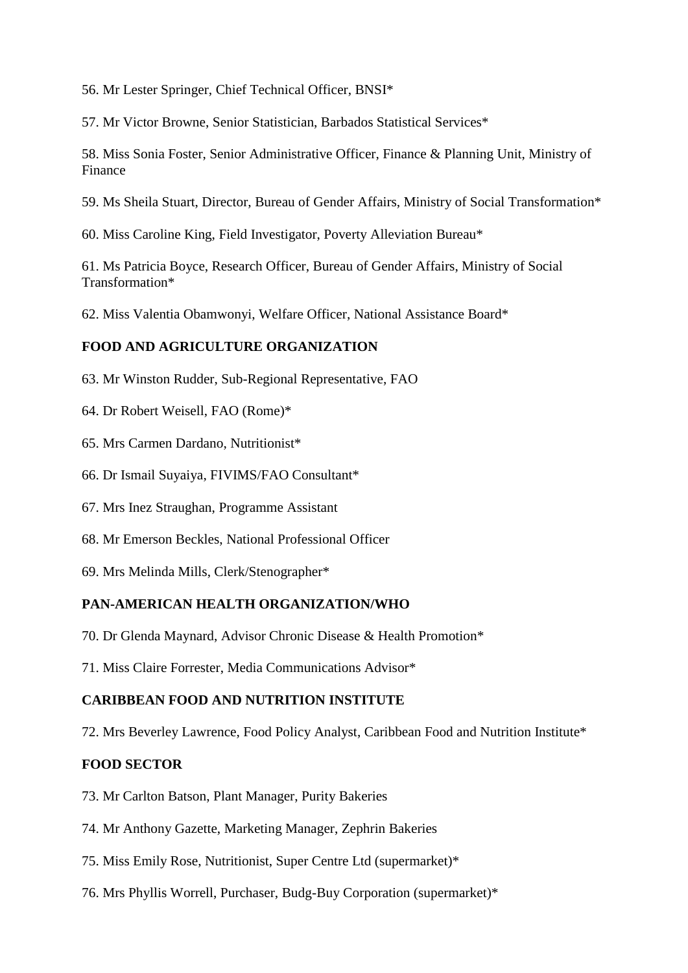56. Mr Lester Springer, Chief Technical Officer, BNSI\*

57. Mr Victor Browne, Senior Statistician, Barbados Statistical Services\*

58. Miss Sonia Foster, Senior Administrative Officer, Finance & Planning Unit, Ministry of Finance

- 59. Ms Sheila Stuart, Director, Bureau of Gender Affairs, Ministry of Social Transformation\*
- 60. Miss Caroline King, Field Investigator, Poverty Alleviation Bureau\*

61. Ms Patricia Boyce, Research Officer, Bureau of Gender Affairs, Ministry of Social Transformation\*

62. Miss Valentia Obamwonyi, Welfare Officer, National Assistance Board\*

# **FOOD AND AGRICULTURE ORGANIZATION**

- 63. Mr Winston Rudder, Sub-Regional Representative, FAO
- 64. Dr Robert Weisell, FAO (Rome)\*
- 65. Mrs Carmen Dardano, Nutritionist\*
- 66. Dr Ismail Suyaiya, FIVIMS/FAO Consultant\*
- 67. Mrs Inez Straughan, Programme Assistant
- 68. Mr Emerson Beckles, National Professional Officer
- 69. Mrs Melinda Mills, Clerk/Stenographer\*

# **PAN-AMERICAN HEALTH ORGANIZATION/WHO**

- 70. Dr Glenda Maynard, Advisor Chronic Disease & Health Promotion\*
- 71. Miss Claire Forrester, Media Communications Advisor\*

# **CARIBBEAN FOOD AND NUTRITION INSTITUTE**

72. Mrs Beverley Lawrence, Food Policy Analyst, Caribbean Food and Nutrition Institute\*

# **FOOD SECTOR**

- 73. Mr Carlton Batson, Plant Manager, Purity Bakeries
- 74. Mr Anthony Gazette, Marketing Manager, Zephrin Bakeries
- 75. Miss Emily Rose, Nutritionist, Super Centre Ltd (supermarket)\*
- 76. Mrs Phyllis Worrell, Purchaser, Budg-Buy Corporation (supermarket)\*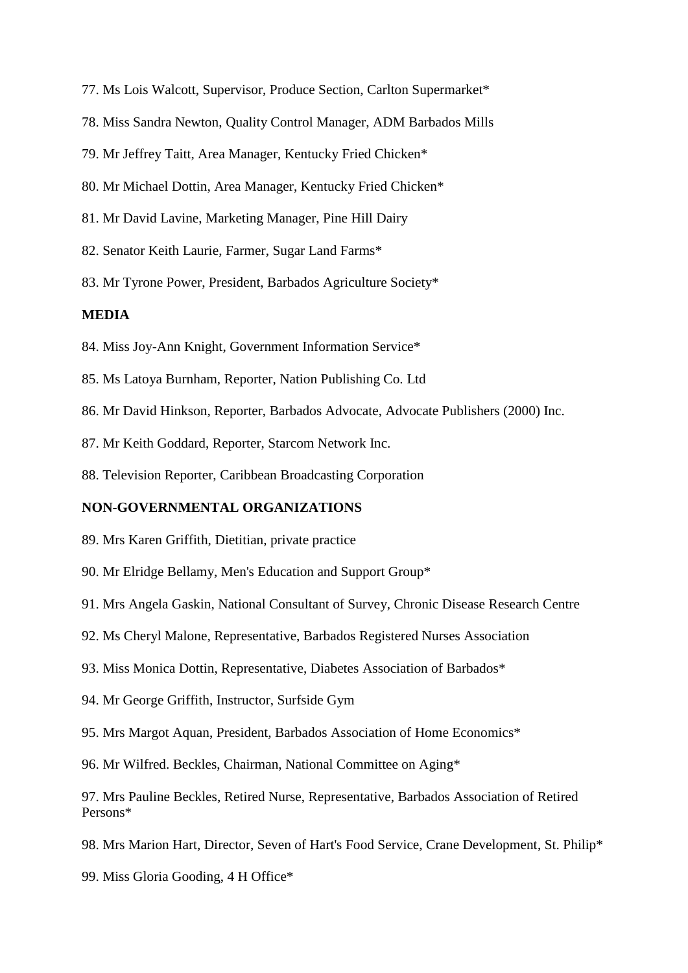- 77. Ms Lois Walcott, Supervisor, Produce Section, Carlton Supermarket\*
- 78. Miss Sandra Newton, Quality Control Manager, ADM Barbados Mills
- 79. Mr Jeffrey Taitt, Area Manager, Kentucky Fried Chicken\*
- 80. Mr Michael Dottin, Area Manager, Kentucky Fried Chicken\*
- 81. Mr David Lavine, Marketing Manager, Pine Hill Dairy
- 82. Senator Keith Laurie, Farmer, Sugar Land Farms\*
- 83. Mr Tyrone Power, President, Barbados Agriculture Society\*

#### **MEDIA**

- 84. Miss Joy-Ann Knight, Government Information Service\*
- 85. Ms Latoya Burnham, Reporter, Nation Publishing Co. Ltd
- 86. Mr David Hinkson, Reporter, Barbados Advocate, Advocate Publishers (2000) Inc.
- 87. Mr Keith Goddard, Reporter, Starcom Network Inc.
- 88. Television Reporter, Caribbean Broadcasting Corporation

#### **NON-GOVERNMENTAL ORGANIZATIONS**

- 89. Mrs Karen Griffith, Dietitian, private practice
- 90. Mr Elridge Bellamy, Men's Education and Support Group\*
- 91. Mrs Angela Gaskin, National Consultant of Survey, Chronic Disease Research Centre
- 92. Ms Cheryl Malone, Representative, Barbados Registered Nurses Association
- 93. Miss Monica Dottin, Representative, Diabetes Association of Barbados\*
- 94. Mr George Griffith, Instructor, Surfside Gym
- 95. Mrs Margot Aquan, President, Barbados Association of Home Economics\*
- 96. Mr Wilfred. Beckles, Chairman, National Committee on Aging\*

97. Mrs Pauline Beckles, Retired Nurse, Representative, Barbados Association of Retired Persons\*

- 98. Mrs Marion Hart, Director, Seven of Hart's Food Service, Crane Development, St. Philip\*
- 99. Miss Gloria Gooding, 4 H Office\*